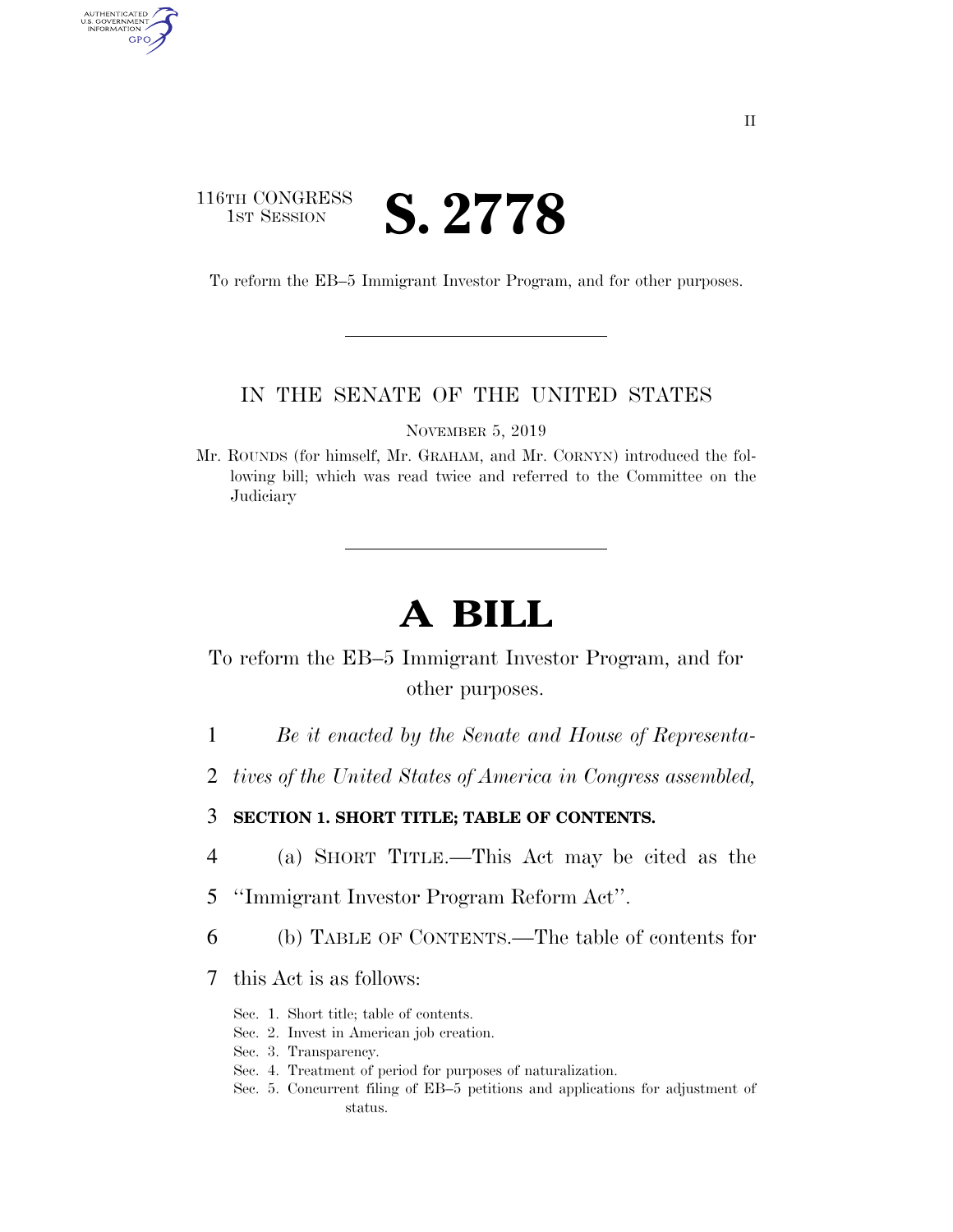## 116TH CONGRESS **IST SESSION S. 2778**

AUTHENTICATED<br>U.S. GOVERNMENT<br>INFORMATION GPO

To reform the EB–5 Immigrant Investor Program, and for other purposes.

### IN THE SENATE OF THE UNITED STATES

NOVEMBER 5, 2019

Mr. ROUNDS (for himself, Mr. GRAHAM, and Mr. CORNYN) introduced the following bill; which was read twice and referred to the Committee on the Judiciary

# **A BILL**

To reform the EB–5 Immigrant Investor Program, and for other purposes.

- 1 *Be it enacted by the Senate and House of Representa-*
- 2 *tives of the United States of America in Congress assembled,*

#### 3 **SECTION 1. SHORT TITLE; TABLE OF CONTENTS.**

- 4 (a) SHORT TITLE.—This Act may be cited as the
- 5 ''Immigrant Investor Program Reform Act''.
- 6 (b) TABLE OF CONTENTS.—The table of contents for
- 7 this Act is as follows:
	- Sec. 1. Short title; table of contents.
	- Sec. 2. Invest in American job creation.
	- Sec. 3. Transparency.
	- Sec. 4. Treatment of period for purposes of naturalization.
	- Sec. 5. Concurrent filing of EB–5 petitions and applications for adjustment of status.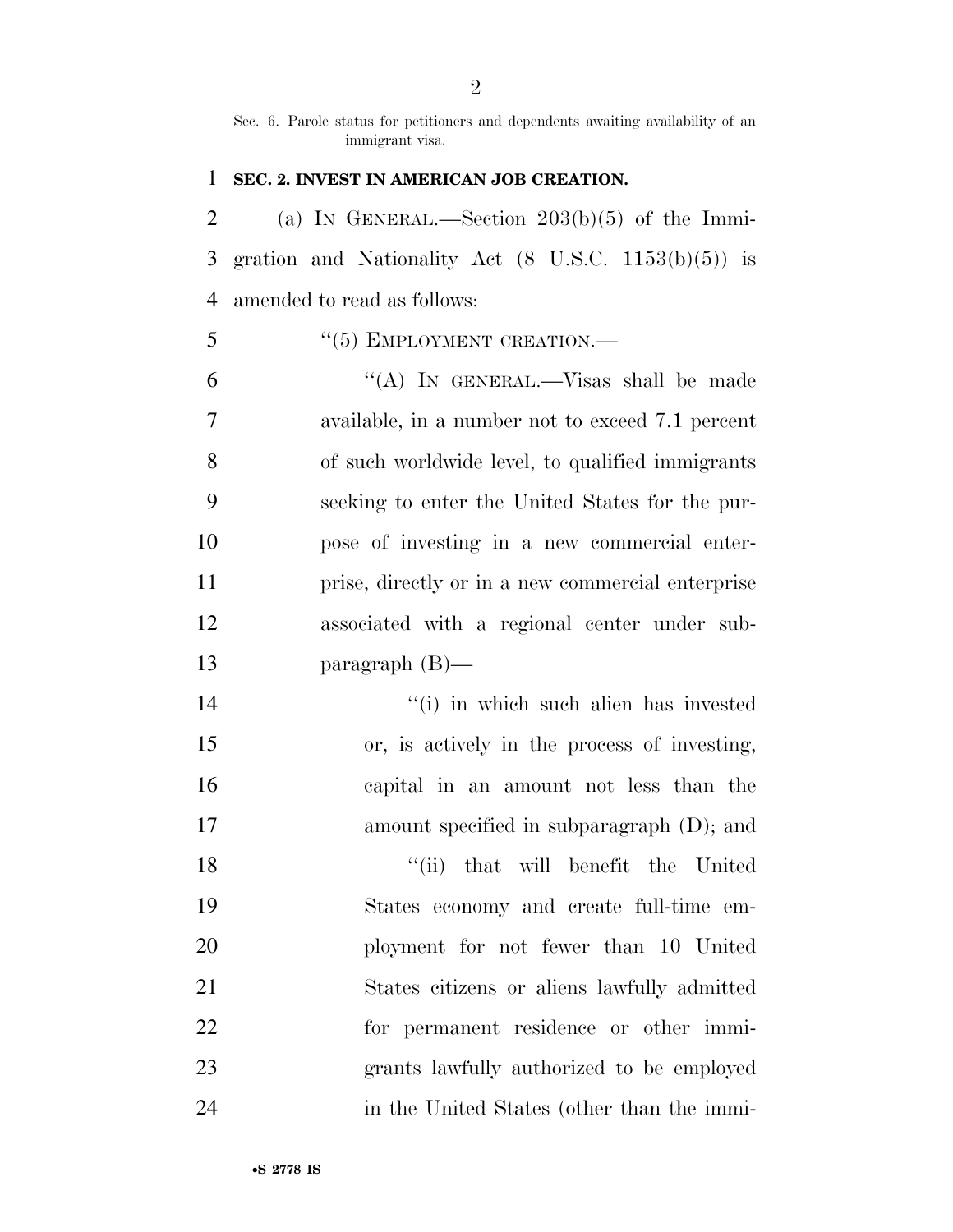Sec. 6. Parole status for petitioners and dependents awaiting availability of an immigrant visa.

#### **SEC. 2. INVEST IN AMERICAN JOB CREATION.**

2 (a) IN GENERAL.—Section  $203(b)(5)$  of the Immi- gration and Nationality Act (8 U.S.C. 1153(b)(5)) is amended to read as follows:

#### 5 "(5) EMPLOYMENT CREATION.—

 ''(A) IN GENERAL.—Visas shall be made available, in a number not to exceed 7.1 percent of such worldwide level, to qualified immigrants seeking to enter the United States for the pur- pose of investing in a new commercial enter- prise, directly or in a new commercial enterprise associated with a regional center under sub-paragraph (B)—

 ''(i) in which such alien has invested or, is actively in the process of investing, capital in an amount not less than the amount specified in subparagraph (D); and ''(ii) that will benefit the United States economy and create full-time em- ployment for not fewer than 10 United States citizens or aliens lawfully admitted for permanent residence or other immi- grants lawfully authorized to be employed in the United States (other than the immi-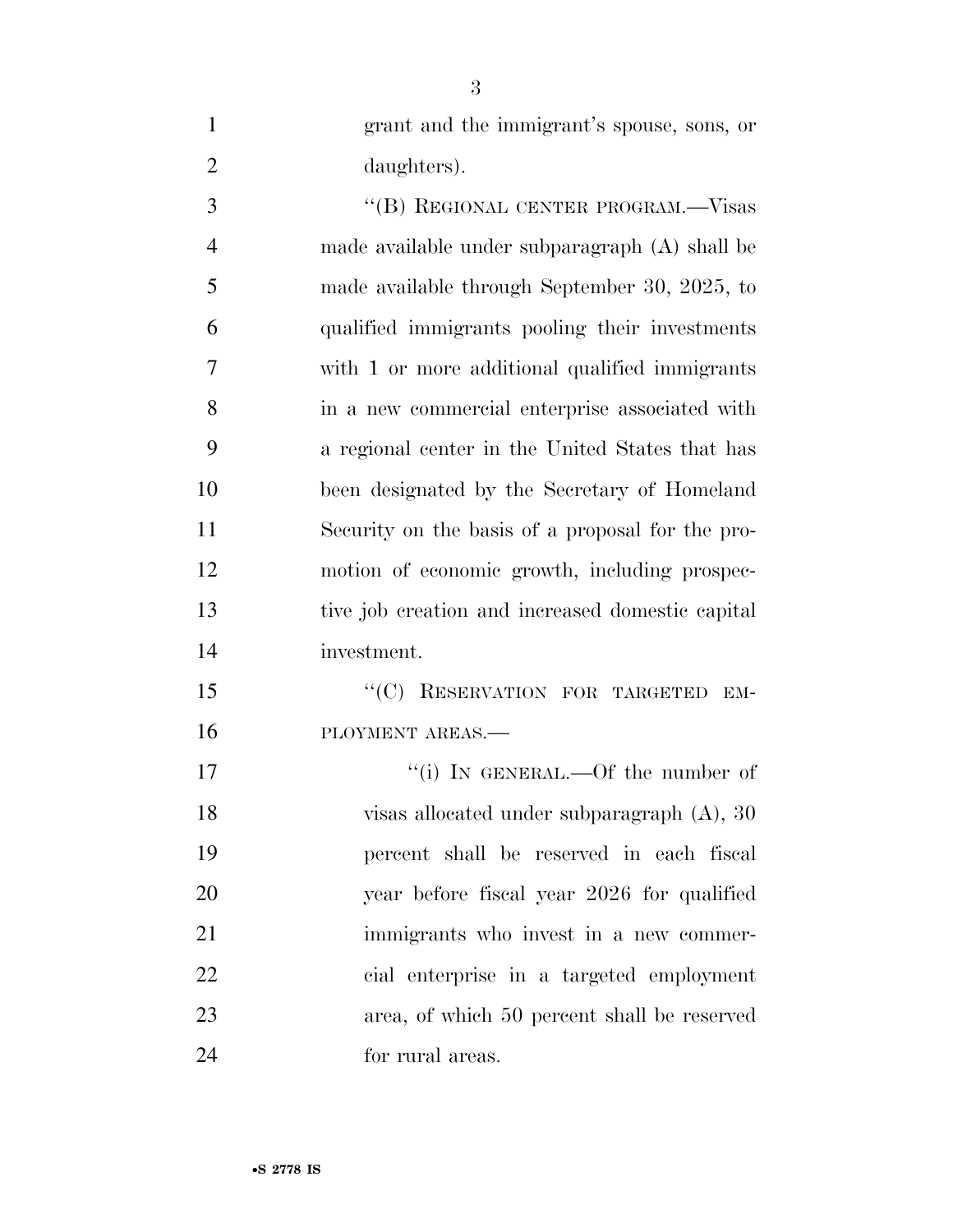| $\mathbf{1}$   | grant and the immigrant's spouse, sons, or       |
|----------------|--------------------------------------------------|
| $\overline{2}$ | daughters).                                      |
| 3              | "(B) REGIONAL CENTER PROGRAM.—Visas              |
| $\overline{4}$ | made available under subparagraph (A) shall be   |
| 5              | made available through September 30, 2025, to    |
| 6              | qualified immigrants pooling their investments   |
| 7              | with 1 or more additional qualified immigrants   |
| 8              | in a new commercial enterprise associated with   |
| 9              | a regional center in the United States that has  |
| 10             | been designated by the Secretary of Homeland     |
| 11             | Security on the basis of a proposal for the pro- |
| 12             | motion of economic growth, including prospec-    |
| 13             | tive job creation and increased domestic capital |
| 14             | investment.                                      |
| 15             | "(C) RESERVATION FOR TARGETED EM-                |
| 16             | PLOYMENT AREAS.-                                 |
| 17             | "(i) IN GENERAL.—Of the number of                |
| 18             | visas allocated under subparagraph $(A)$ , 30    |
| 19             | percent shall be reserved in each fiscal         |
| 20             | year before fiscal year 2026 for qualified       |
| 21             | immigrants who invest in a new commer-           |
| 22             | cial enterprise in a targeted employment         |
| 23             | area, of which 50 percent shall be reserved      |
| 24             | for rural areas.                                 |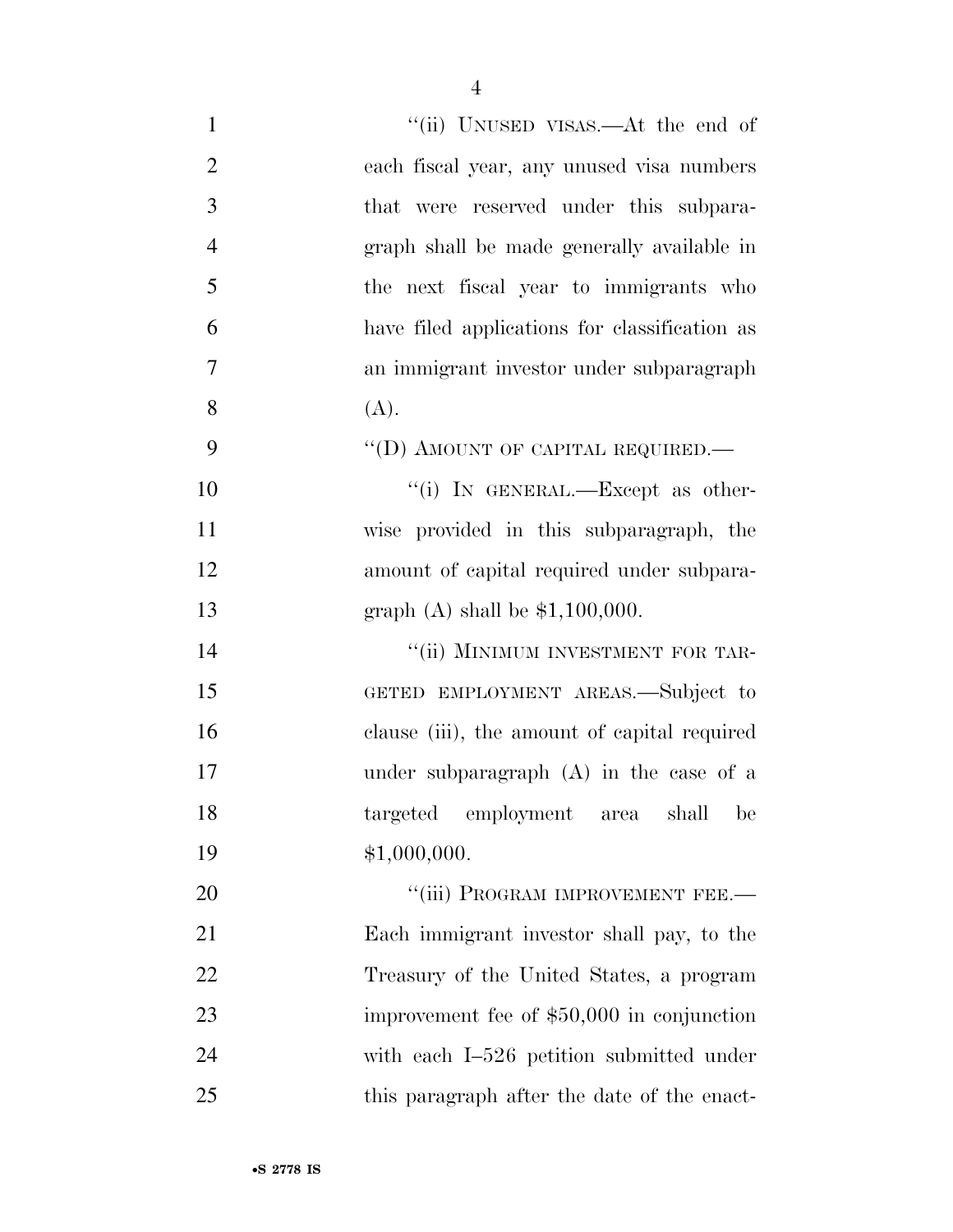| $\mathbf{1}$   | "(ii) UNUSED VISAS.—At the end of             |
|----------------|-----------------------------------------------|
| $\overline{2}$ | each fiscal year, any unused visa numbers     |
| 3              | that were reserved under this subpara-        |
| $\overline{4}$ | graph shall be made generally available in    |
| 5              | the next fiscal year to immigrants who        |
| 6              | have filed applications for classification as |
| 7              | an immigrant investor under subparagraph      |
| 8              | (A).                                          |
| 9              | "(D) AMOUNT OF CAPITAL REQUIRED.—             |
| 10             | "(i) IN GENERAL.—Except as other-             |
| 11             | wise provided in this subparagraph, the       |
| 12             | amount of capital required under subpara-     |
| 13             | graph $(A)$ shall be \$1,100,000.             |
| 14             | "(ii) MINIMUM INVESTMENT FOR TAR-             |
| 15             | GETED EMPLOYMENT AREAS.—Subject to            |
| 16             | clause (iii), the amount of capital required  |
| 17             | under subparagraph $(A)$ in the case of a     |
| 18             | targeted employment<br>shall<br>be<br>area    |
| 19             | \$1,000,000.                                  |
| 20             | "(iii) PROGRAM IMPROVEMENT FEE.-              |
| 21             | Each immigrant investor shall pay, to the     |
| 22             | Treasury of the United States, a program      |
| 23             | improvement fee of \$50,000 in conjunction    |
| 24             | with each I-526 petition submitted under      |
| 25             | this paragraph after the date of the enact-   |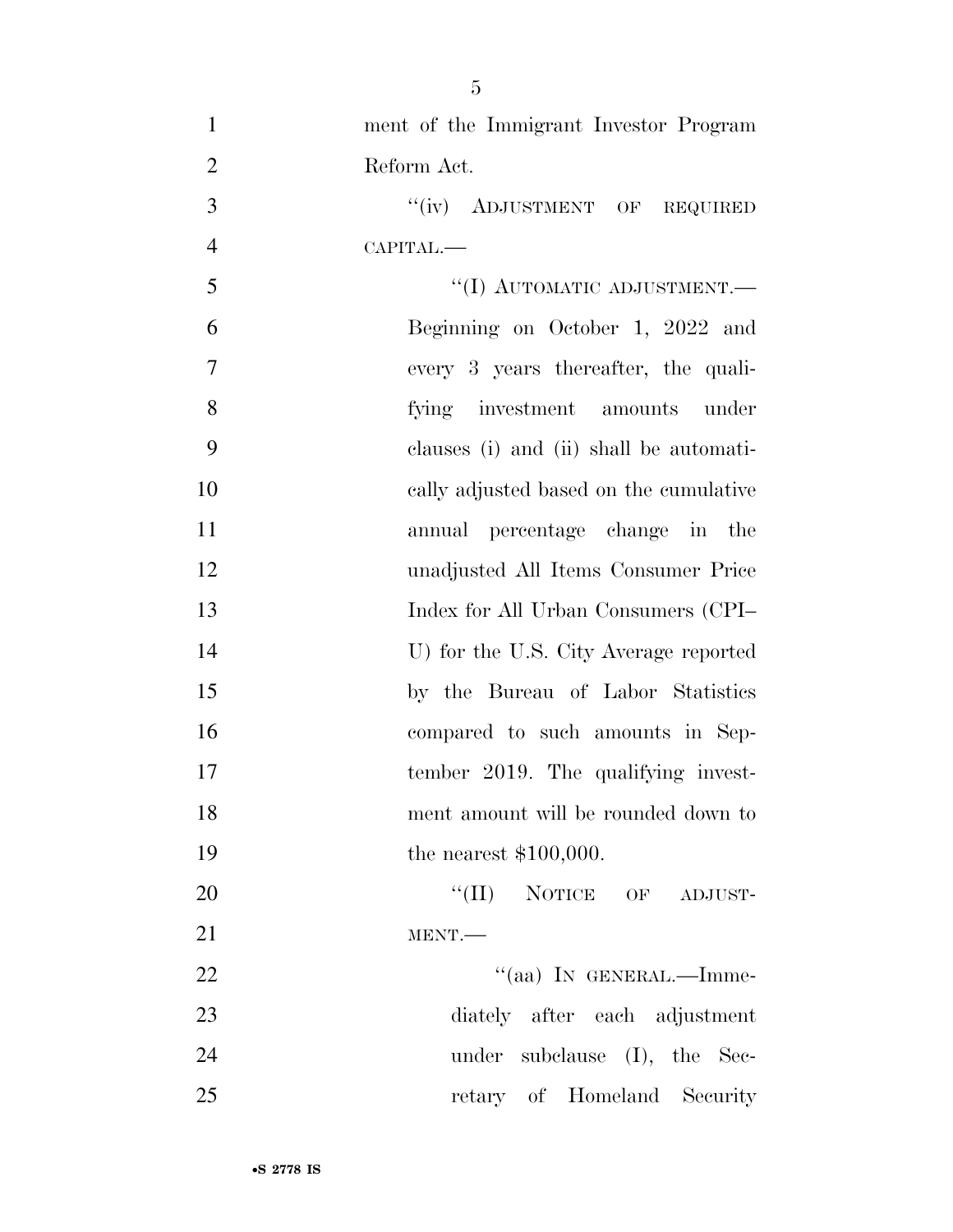| $\mathbf{1}$   | ment of the Immigrant Investor Program  |
|----------------|-----------------------------------------|
| $\overline{2}$ | Reform Act.                             |
| 3              | "(iv) ADJUSTMENT OF REQUIRED            |
| $\overline{4}$ | CAPITAL.-                               |
| 5              | "(I) AUTOMATIC ADJUSTMENT.-             |
| 6              | Beginning on October 1, 2022 and        |
| $\overline{7}$ | every 3 years thereafter, the quali-    |
| 8              | fying investment amounts under          |
| 9              | clauses (i) and (ii) shall be automati- |
| 10             | cally adjusted based on the cumulative  |
| 11             | annual percentage change in the         |
| 12             | unadjusted All Items Consumer Price     |
| 13             | Index for All Urban Consumers (CPI-     |
| 14             | U) for the U.S. City Average reported   |
| 15             | by the Bureau of Labor Statistics       |
| 16             | compared to such amounts in Sep-        |
| 17             | tember 2019. The qualifying invest-     |
| 18             | ment amount will be rounded down to     |
| 19             | the nearest $$100,000$ .                |
| 20             | "(II) NOTICE OF ADJUST-                 |
| 21             | MENT.                                   |
| 22             | "(aa) IN GENERAL.—Imme-                 |
| 23             | diately after each adjustment           |
| 24             | under subclause (I), the Sec-           |
| 25             | retary of Homeland Security             |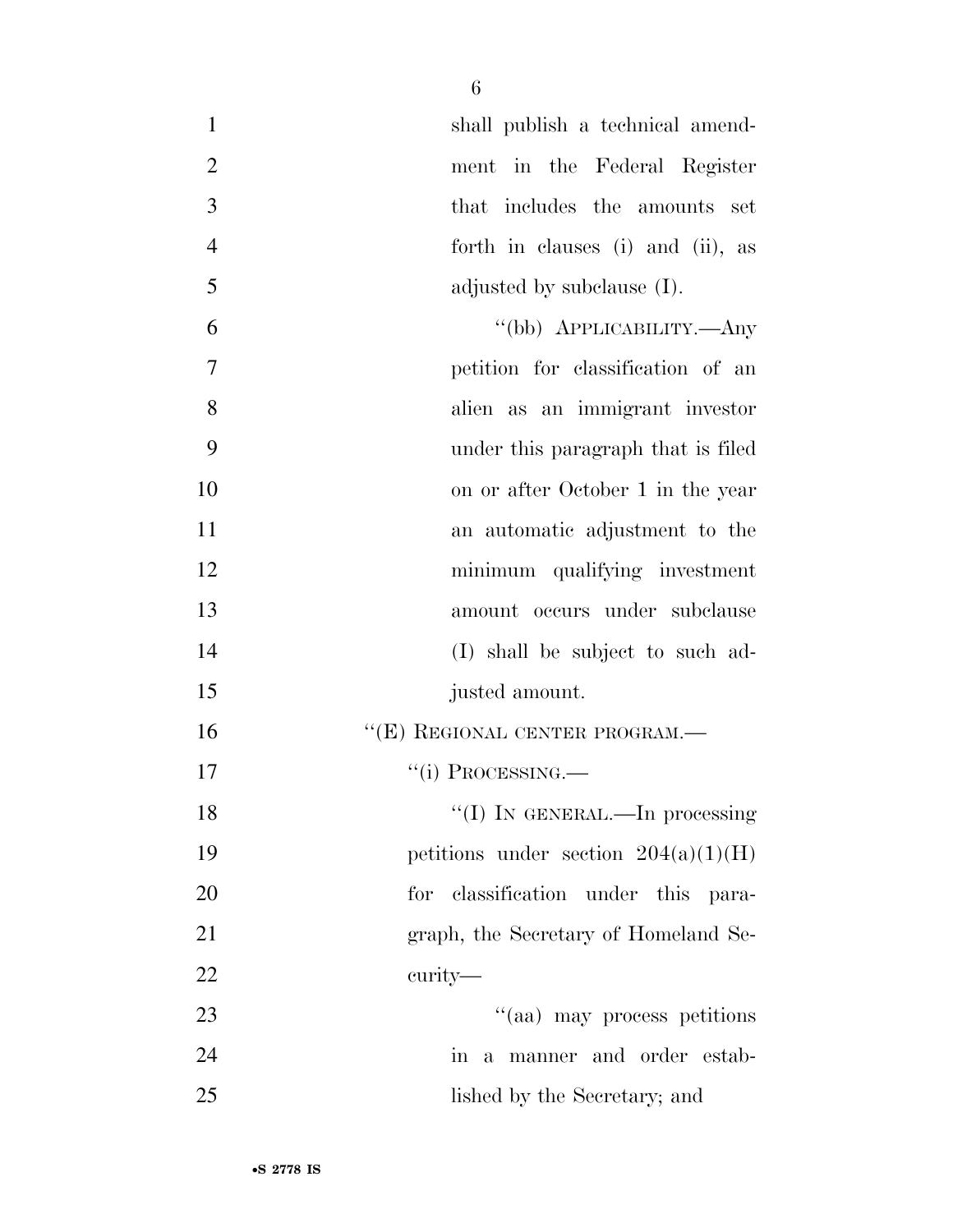| $\mathbf{1}$   | shall publish a technical amend-       |
|----------------|----------------------------------------|
| $\overline{2}$ | ment in the Federal Register           |
| 3              | that includes the amounts set          |
| $\overline{4}$ | forth in clauses (i) and (ii), as      |
| 5              | adjusted by subclause (I).             |
| 6              | "(bb) APPLICABILITY.—Any               |
| $\overline{7}$ | petition for classification of an      |
| 8              | alien as an immigrant investor         |
| 9              | under this paragraph that is filed     |
| 10             | on or after October 1 in the year      |
| 11             | an automatic adjustment to the         |
| 12             | minimum qualifying investment          |
| 13             | amount occurs under subclause          |
| 14             | (I) shall be subject to such ad-       |
| 15             | justed amount.                         |
| 16             | $``(E)$ REGIONAL CENTER PROGRAM.—      |
| 17             | $``(i)$ PROCESSING.—                   |
| 18             | "(I) IN GENERAL.—In processing         |
| 19             | petitions under section $204(a)(1)(H)$ |
| 20             | classification under this para-<br>for |
| 21             | graph, the Secretary of Homeland Se-   |
| 22             | curity—                                |
| 23             | "(aa) may process petitions            |
| 24             | in a manner and order estab-           |
| 25             | lished by the Secretary; and           |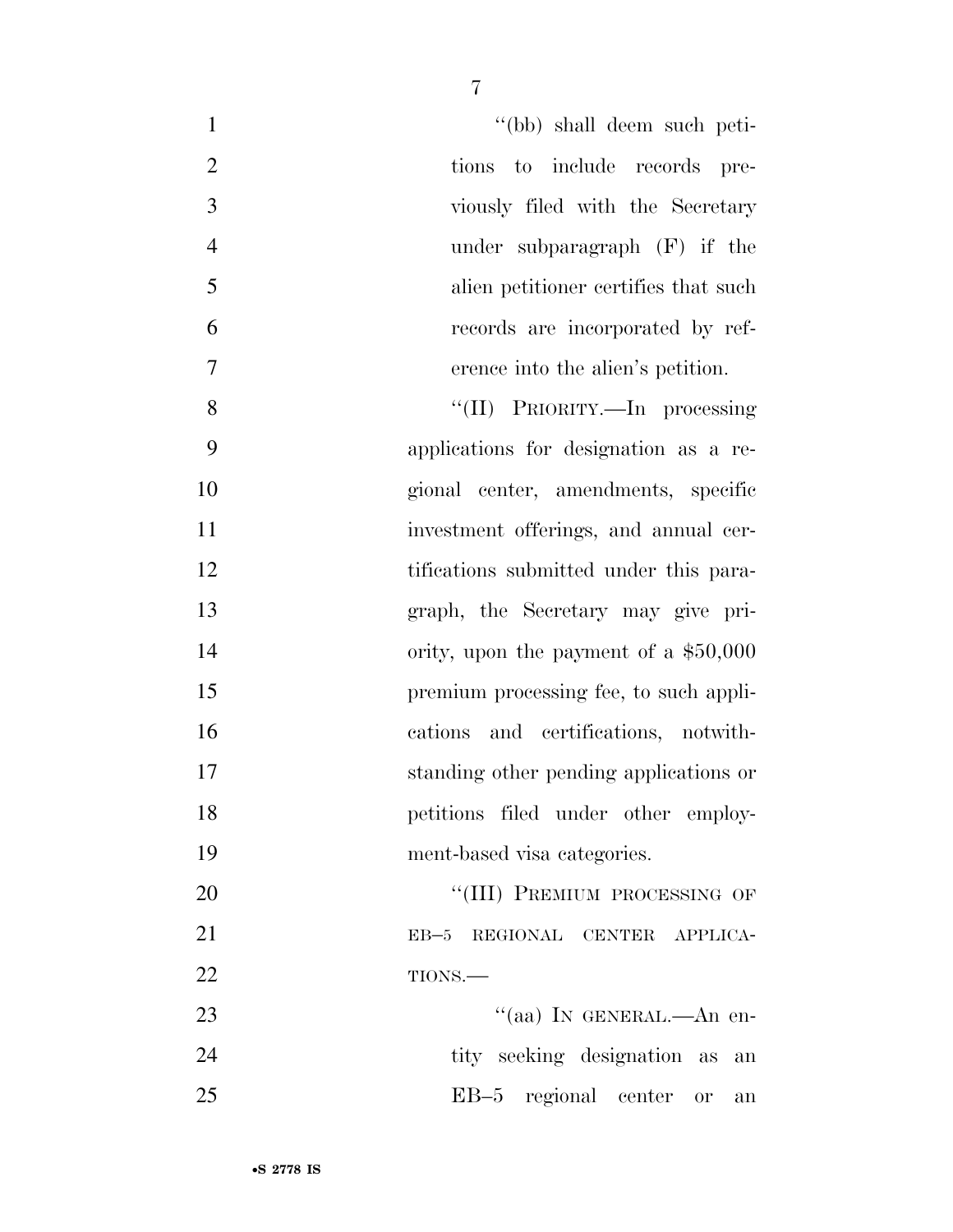1 ''(bb) shall deem such peti- tions to include records pre- viously filed with the Secretary under subparagraph (F) if the alien petitioner certifies that such records are incorporated by ref-erence into the alien's petition.

8 ''(II) PRIORITY.—In processing applications for designation as a re- gional center, amendments, specific 11 investment offerings, and annual cer-12 tifications submitted under this para- graph, the Secretary may give pri-14 ority, upon the payment of a \$50,000 premium processing fee, to such appli- cations and certifications, notwith- standing other pending applications or petitions filed under other employ-ment-based visa categories.

20 "(III) PREMIUM PROCESSING OF EB–5 REGIONAL CENTER APPLICA-22 TIONS.—

23 "(aa) IN GENERAL.—An en-24 tity seeking designation as an EB–5 regional center or an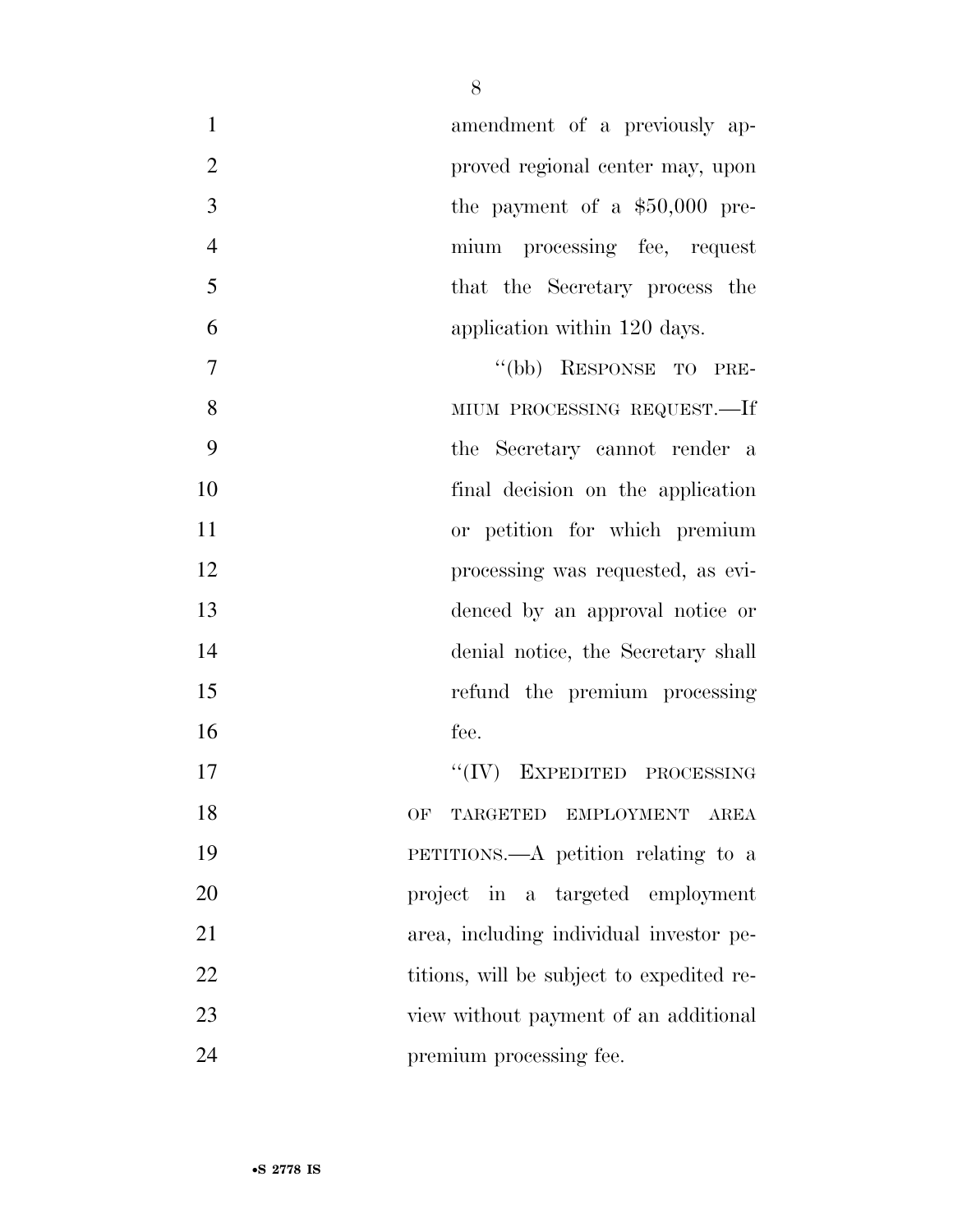| $\mathbf{1}$   | amendment of a previously ap-             |
|----------------|-------------------------------------------|
| $\overline{2}$ | proved regional center may, upon          |
| 3              | the payment of a $$50,000$ pre-           |
| $\overline{4}$ | mium processing fee, request              |
| 5              | that the Secretary process the            |
| 6              | application within 120 days.              |
| 7              | "(bb) RESPONSE TO PRE-                    |
| 8              | MIUM PROCESSING REQUEST.—If               |
| 9              | the Secretary cannot render a             |
| 10             | final decision on the application         |
| 11             | or petition for which premium             |
| 12             | processing was requested, as evi-         |
| 13             | denced by an approval notice or           |
| 14             | denial notice, the Secretary shall        |
| 15             | refund the premium processing             |
| 16             | fee.                                      |
| 17             | $``(IV)$ EXPEDITED PROCESSING             |
| 18             | TARGETED EMPLOYMENT AREA<br>OF            |
| 19             | PETITIONS.—A petition relating to a       |
| 20             | project in a targeted employment          |
| 21             | area, including individual investor pe-   |
| 22             | titions, will be subject to expedited re- |
| 23             | view without payment of an additional     |
| 24             | premium processing fee.                   |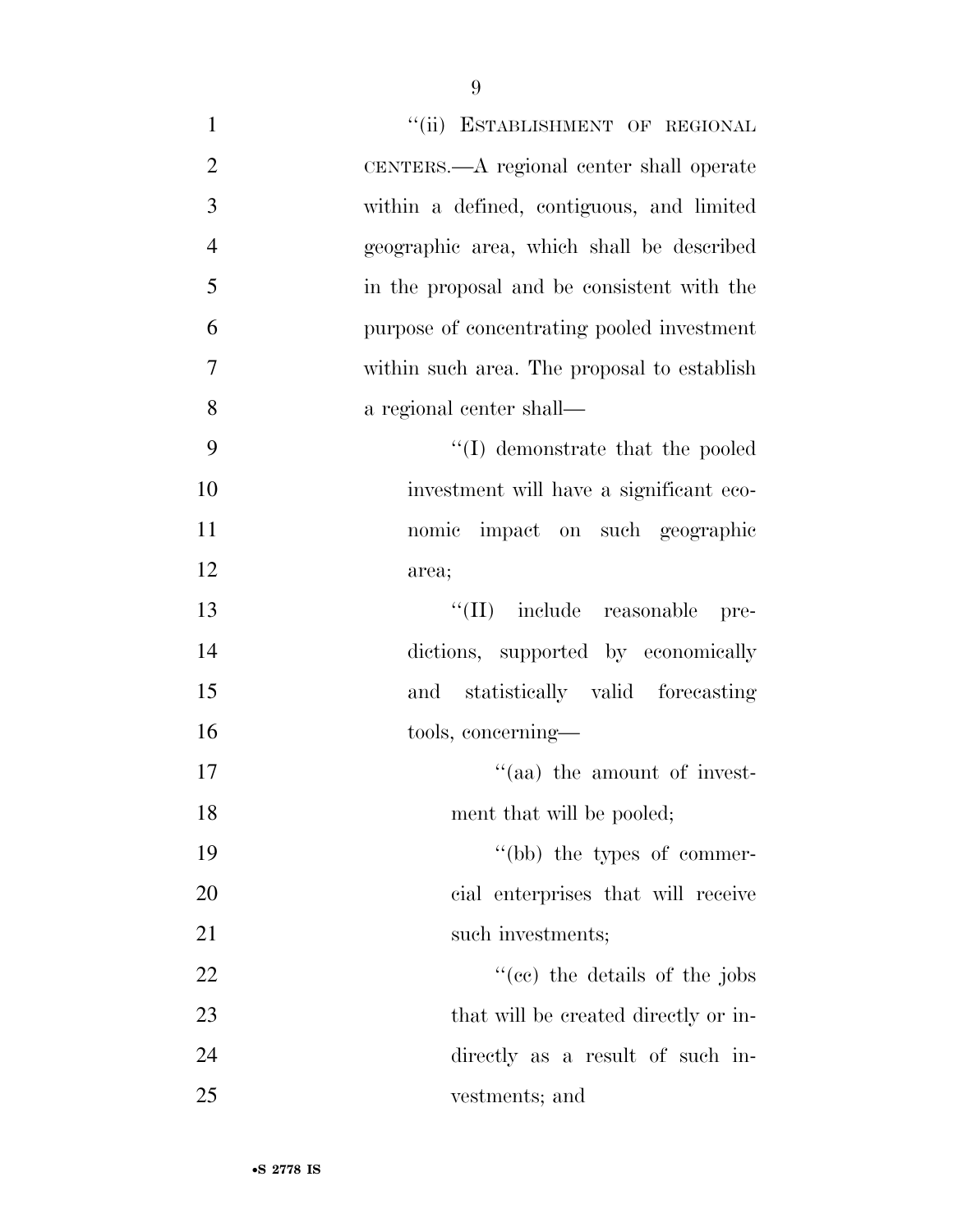| $\mathbf{1}$   | "(ii) ESTABLISHMENT OF REGIONAL             |
|----------------|---------------------------------------------|
| $\mathfrak{2}$ | CENTERS.—A regional center shall operate    |
| 3              | within a defined, contiguous, and limited   |
| $\overline{4}$ | geographic area, which shall be described   |
| 5              | in the proposal and be consistent with the  |
| 6              | purpose of concentrating pooled investment  |
| $\overline{7}$ | within such area. The proposal to establish |
| 8              | a regional center shall—                    |
| 9              | $\lq\lq$ demonstrate that the pooled        |
| 10             | investment will have a significant eco-     |
| 11             | nomic impact on such geographic             |
| 12             | area;                                       |
| 13             | "(II) include reasonable<br>pre-            |
| 14             | dictions, supported by economically         |
| 15             | statistically valid forecasting<br>and      |
| 16             | tools, concerning—                          |
| 17             | "(aa) the amount of invest-                 |
| 18             | ment that will be pooled;                   |
| 19             | "(bb) the types of commer-                  |
| 20             | cial enterprises that will receive          |
| 21             | such investments;                           |
| 22             | $\cdot$ (ce) the details of the jobs        |
| 23             | that will be created directly or in-        |
| 24             | directly as a result of such in-            |
| 25             | vestments; and                              |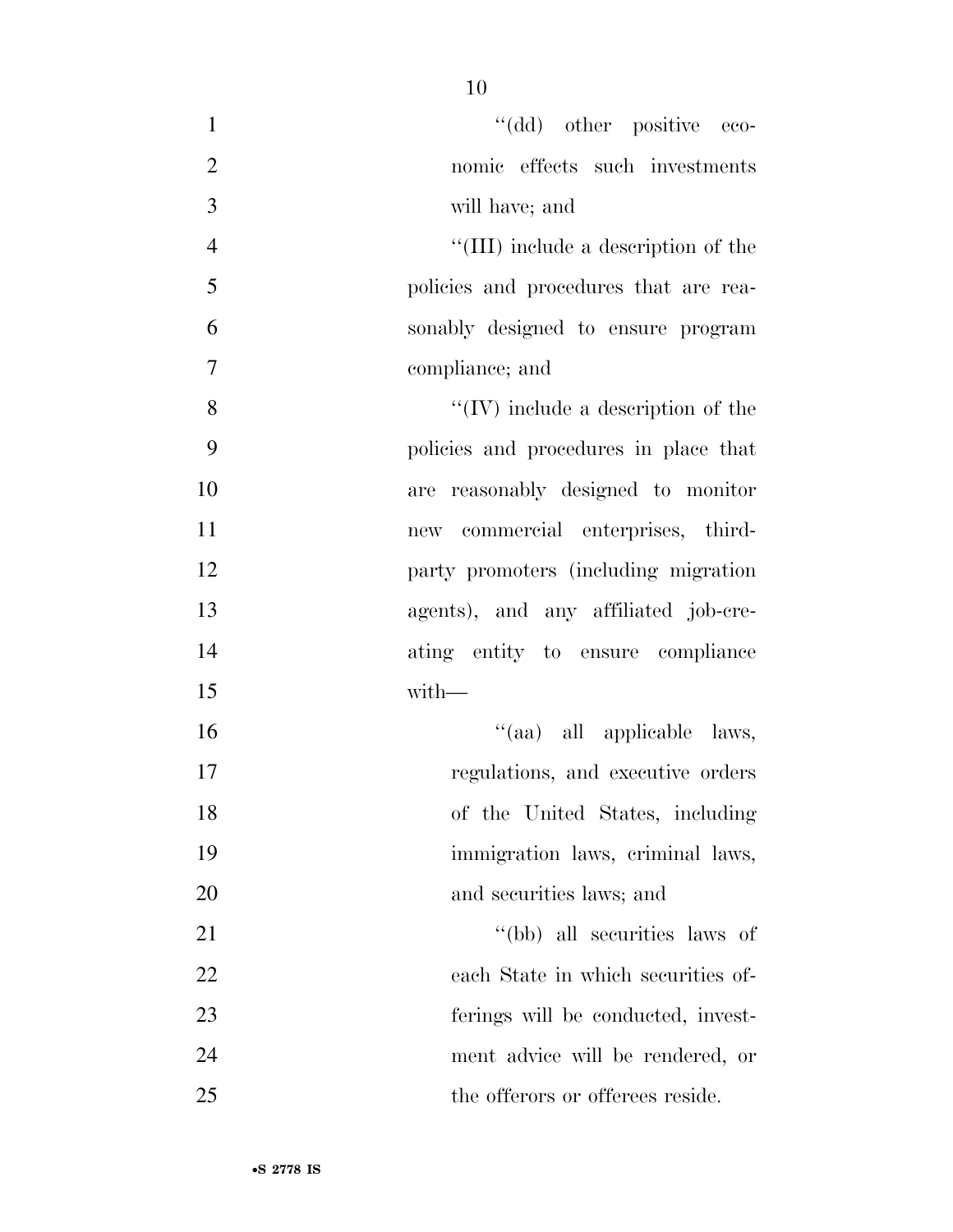| $\mathbf{1}$   | "(dd) other positive eco-             |
|----------------|---------------------------------------|
| $\overline{2}$ | nomic effects such investments        |
| 3              | will have; and                        |
| $\overline{4}$ | "(III) include a description of the   |
| 5              | policies and procedures that are rea- |
| 6              | sonably designed to ensure program    |
| $\tau$         | compliance; and                       |
| 8              | $``(IV)$ include a description of the |
| 9              | policies and procedures in place that |
| 10             | are reasonably designed to monitor    |
| 11             | new commercial enterprises, third-    |
| 12             | party promoters (including migration  |
| 13             | agents), and any affiliated job-cre-  |
| 14             | ating entity to ensure compliance     |
| 15             | with-                                 |
| 16             | "(aa) all applicable laws,            |
| 17             | regulations, and executive orders     |
| 18             | of the United States, including       |
| 19             | immigration laws, criminal laws,      |
| 20             | and securities laws; and              |
| 21             | "(bb) all securities laws of          |
| 22             | each State in which securities of-    |
| 23             | ferings will be conducted, invest-    |
| 24             | ment advice will be rendered, or      |
| 25             | the offerors or offerees reside.      |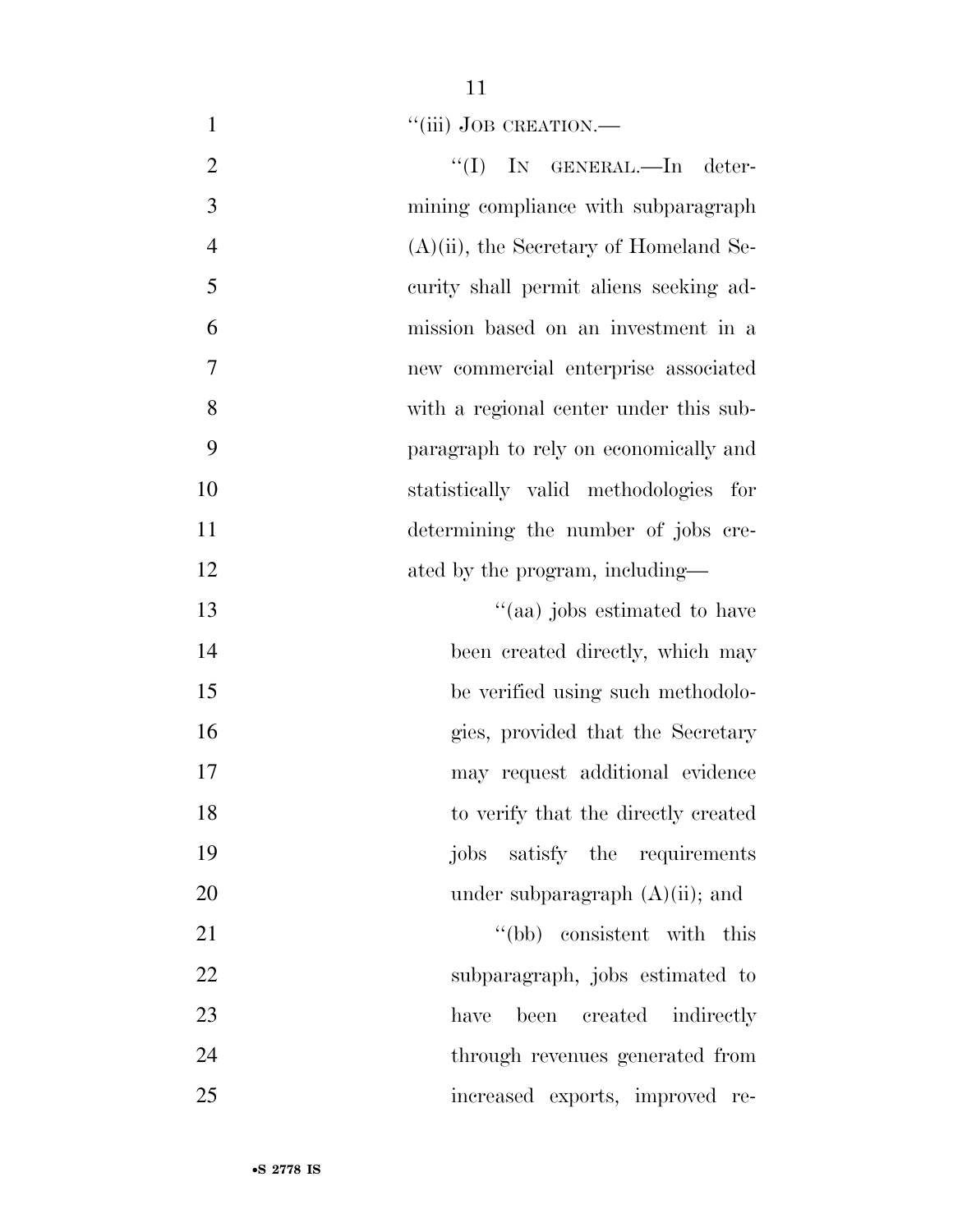1 "(iii) JOB CREATION.—

| $\overline{2}$ | "(I) IN GENERAL.—In deter-                |
|----------------|-------------------------------------------|
| 3              | mining compliance with subparagraph       |
| $\overline{4}$ | $(A)(ii)$ , the Secretary of Homeland Se- |
| 5              | curity shall permit aliens seeking ad-    |
| 6              | mission based on an investment in a       |
| $\tau$         | new commercial enterprise associated      |
| 8              | with a regional center under this sub-    |
| 9              | paragraph to rely on economically and     |
| 10             | statistically valid methodologies for     |
| 11             | determining the number of jobs cre-       |
| 12             | ated by the program, including—           |
| 13             | "(aa) jobs estimated to have              |
| 14             | been created directly, which may          |
| 15             | be verified using such methodolo-         |
| 16             | gies, provided that the Secretary         |
| 17             | may request additional evidence           |
| 18             | to verify that the directly created       |
| 19             | jobs satisfy the requirements             |
| 20             | under subparagraph $(A)(ii)$ ; and        |
| 21             | "(bb) consistent with this                |
| 22             | subparagraph, jobs estimated to           |
| 23             | created indirectly<br>have<br>been        |
| 24             | through revenues generated from           |
| 25             | increased exports, improved re-           |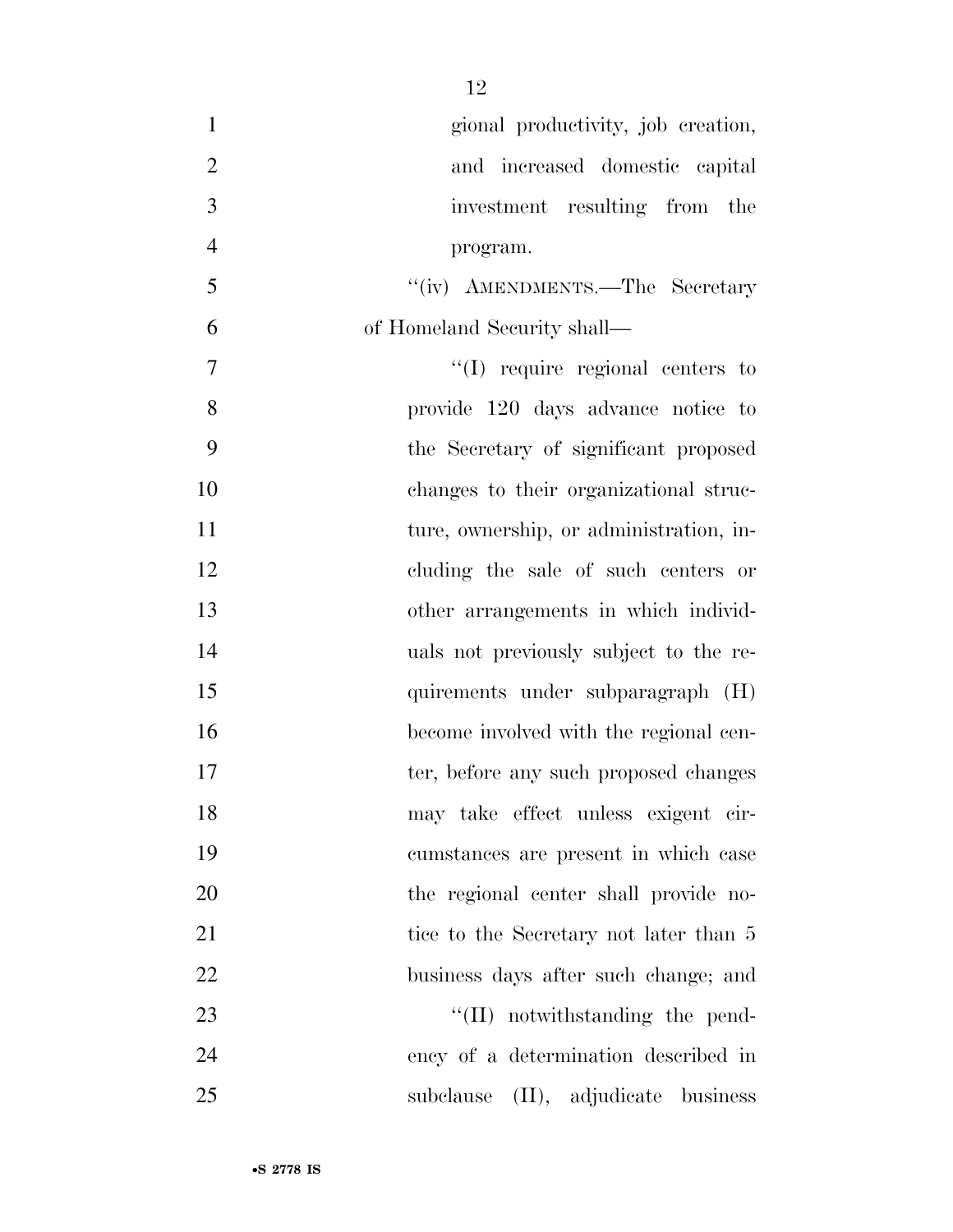| $\mathbf{1}$   | gional productivity, job creation,      |
|----------------|-----------------------------------------|
| $\overline{2}$ | and increased domestic capital          |
| 3              | investment resulting from the           |
| $\overline{4}$ | program.                                |
| 5              | "(iv) AMENDMENTS.—The Secretary         |
| 6              | of Homeland Security shall—             |
| $\overline{7}$ | $\lq\lq$ require regional centers to    |
| 8              | provide 120 days advance notice to      |
| 9              | the Secretary of significant proposed   |
| 10             | changes to their organizational struc-  |
| 11             | ture, ownership, or administration, in- |
| 12             | cluding the sale of such centers or     |
| 13             | other arrangements in which individ-    |
| 14             | uals not previously subject to the re-  |
| 15             | quirements under subparagraph (H)       |
| 16             | become involved with the regional cen-  |
| 17             | ter, before any such proposed changes   |
| 18             | may take effect unless exigent cir-     |
| 19             | cumstances are present in which case    |
| 20             | the regional center shall provide no-   |
| 21             | tice to the Secretary not later than 5  |
| 22             | business days after such change; and    |
| 23             | $\lq\lq$ (II) notwithstanding the pend- |
| 24             | ency of a determination described in    |
| 25             | subclause (II), adjudicate business     |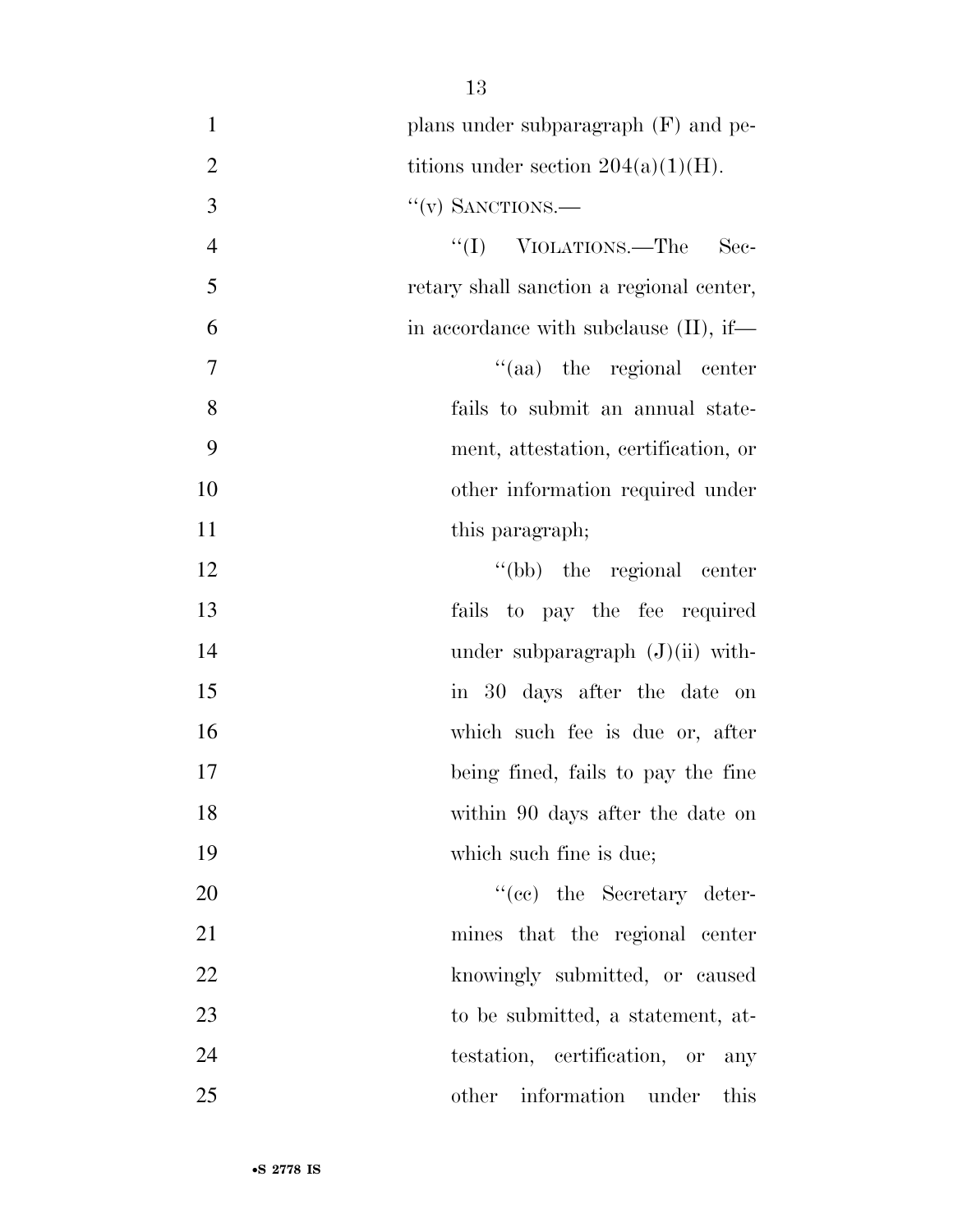| $\mathbf{1}$   | plans under subparagraph $(F)$ and pe-    |
|----------------|-------------------------------------------|
| $\overline{2}$ | titions under section $204(a)(1)(H)$ .    |
| 3              | $``(v)$ SANCTIONS.—                       |
| $\overline{4}$ | "(I) VIOLATIONS.—The Sec-                 |
| 5              | retary shall sanction a regional center,  |
| 6              | in accordance with subclause $(II)$ , if— |
| 7              | "(aa) the regional center                 |
| 8              | fails to submit an annual state-          |
| 9              | ment, attestation, certification, or      |
| 10             | other information required under          |
| 11             | this paragraph;                           |
| 12             | "(bb) the regional center                 |
| 13             | fails to pay the fee required             |
| 14             | under subparagraph $(J)(ii)$ with-        |
| 15             | in 30 days after the date on              |
| 16             | which such fee is due or, after           |
| 17             | being fined, fails to pay the fine        |
| 18             | within 90 days after the date on          |
| 19             | which such fine is due;                   |
| 20             | "(cc) the Secretary deter-                |
| 21             | mines that the regional center            |
| 22             | knowingly submitted, or caused            |
| 23             | to be submitted, a statement, at-         |
| 24             | testation, certification, or<br>any       |
| 25             | other information under this              |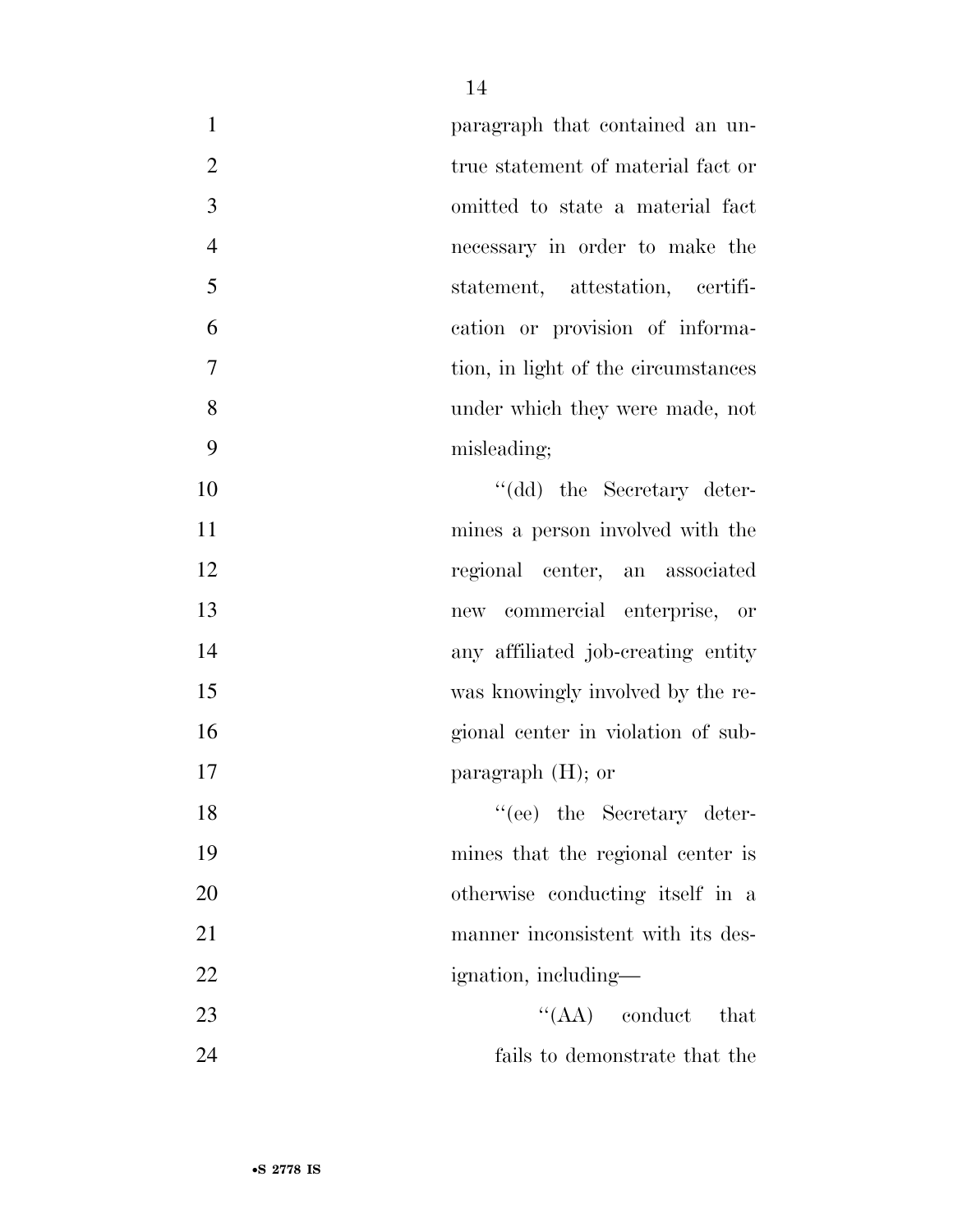| $\mathbf{1}$   | paragraph that contained an un-          |
|----------------|------------------------------------------|
| $\overline{2}$ | true statement of material fact or       |
| $\overline{3}$ | omitted to state a material fact         |
| $\overline{4}$ | necessary in order to make the           |
| 5              | statement, attestation, certifi-         |
| 6              | cation or provision of informa-          |
| 7              | tion, in light of the circumstances      |
| 8              | under which they were made, not          |
| 9              | misleading;                              |
| 10             | "(dd) the Secretary deter-               |
| 11             | mines a person involved with the         |
| 12             | regional center, an associated           |
| 13             | commercial enterprise, or<br>${\rm new}$ |
| 14             | any affiliated job-creating entity       |
| 15             | was knowingly involved by the re-        |
| 16             | gional center in violation of sub-       |
| 17             | paragraph $(H)$ ; or                     |
| 18             | "(ee) the Secretary deter-               |
| 19             | mines that the regional center is        |
| 20             | otherwise conducting itself in a         |
| 21             | manner inconsistent with its des-        |
| 22             | ignation, including—                     |
| 23             | $\lq\lq (AA)$ conduct<br>that            |
| 24             | fails to demonstrate that the            |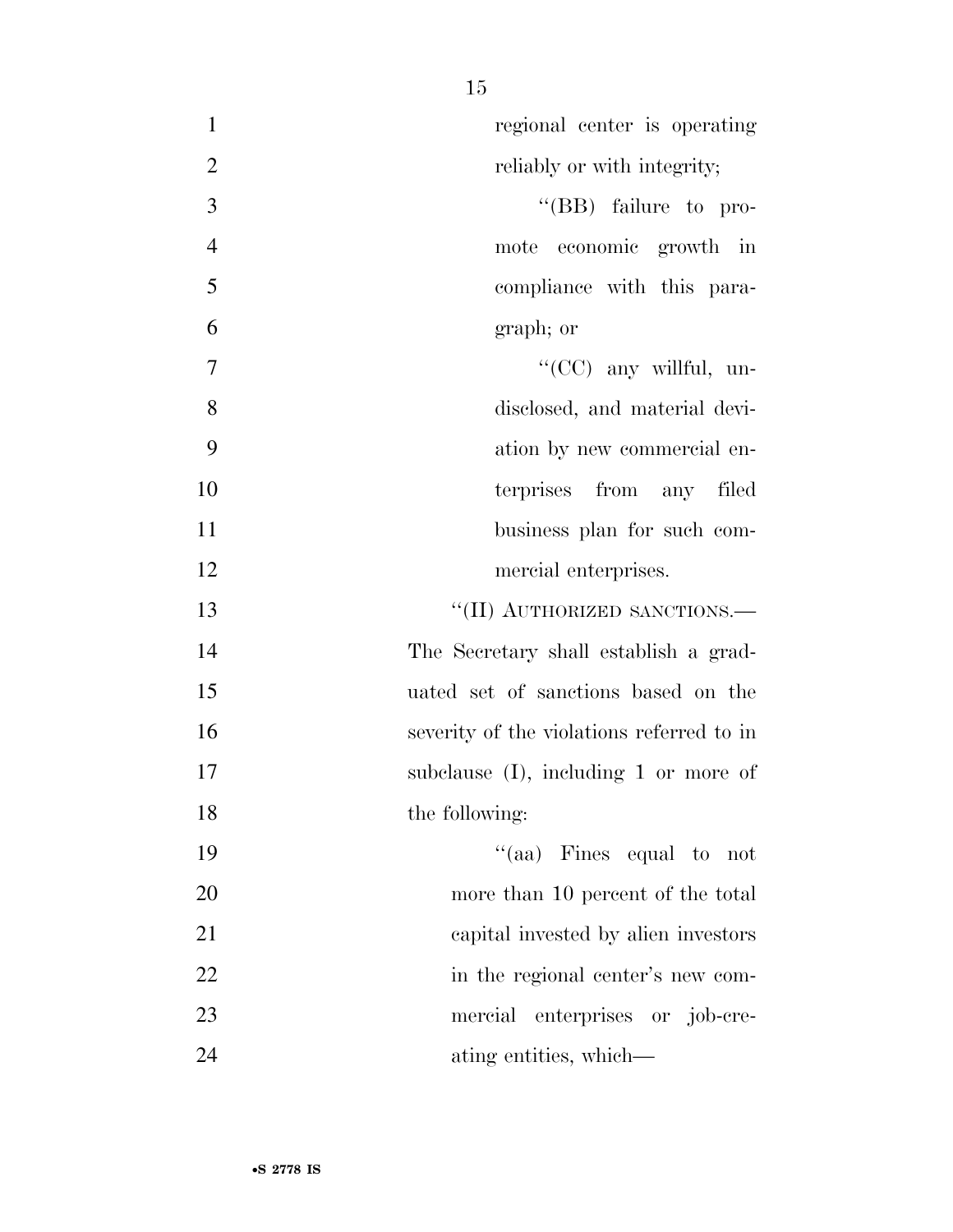| $\mathbf{1}$   | regional center is operating              |
|----------------|-------------------------------------------|
| $\overline{2}$ | reliably or with integrity;               |
| $\overline{3}$ | "(BB) failure to pro-                     |
| $\overline{4}$ | mote economic growth in                   |
| 5              | compliance with this para-                |
| 6              | graph; or                                 |
| 7              | " $(CC)$ any willful, un-                 |
| 8              | disclosed, and material devi-             |
| 9              | ation by new commercial en-               |
| 10             | terprises from any filed                  |
| 11             | business plan for such com-               |
| 12             | mercial enterprises.                      |
| 13             | "(II) AUTHORIZED SANCTIONS.-              |
| 14             | The Secretary shall establish a grad-     |
| 15             | uated set of sanctions based on the       |
| 16             | severity of the violations referred to in |
| 17             | subclause $(I)$ , including 1 or more of  |
| 18             | the following:                            |
| 19             | "(aa) Fines equal to not                  |
| 20             | more than 10 percent of the total         |
| 21             | capital invested by alien investors       |
| 22             | in the regional center's new com-         |
| 23             | mercial<br>enterprises or job-cre-        |
| 24             | ating entities, which—                    |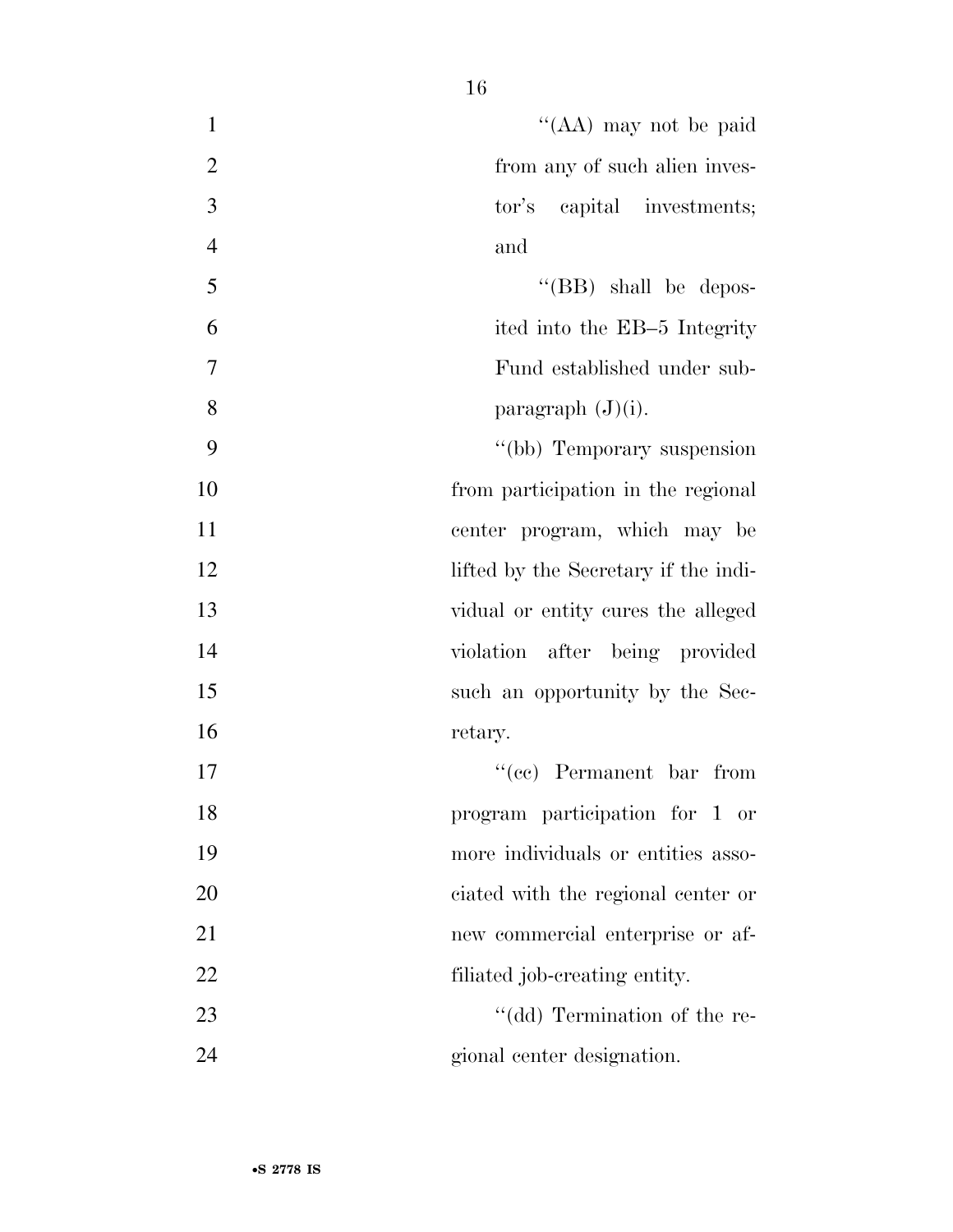- ''(AA) may not be paid 2 from any of such alien inves- tor's capital investments; and 5 ''(BB) shall be depos- ited into the EB–5 Integrity Fund established under sub-8 paragraph  $(J)(i)$ . ''(bb) Temporary suspension from participation in the regional center program, which may be 12 lifted by the Secretary if the indi- vidual or entity cures the alleged violation after being provided 15 such an opportunity by the Sec-16 retary. 17 ''(cc) Permanent bar from program participation for 1 or more individuals or entities asso- ciated with the regional center or new commercial enterprise or af-
- 23 ''(dd) Termination of the re-gional center designation.

22 filiated job-creating entity.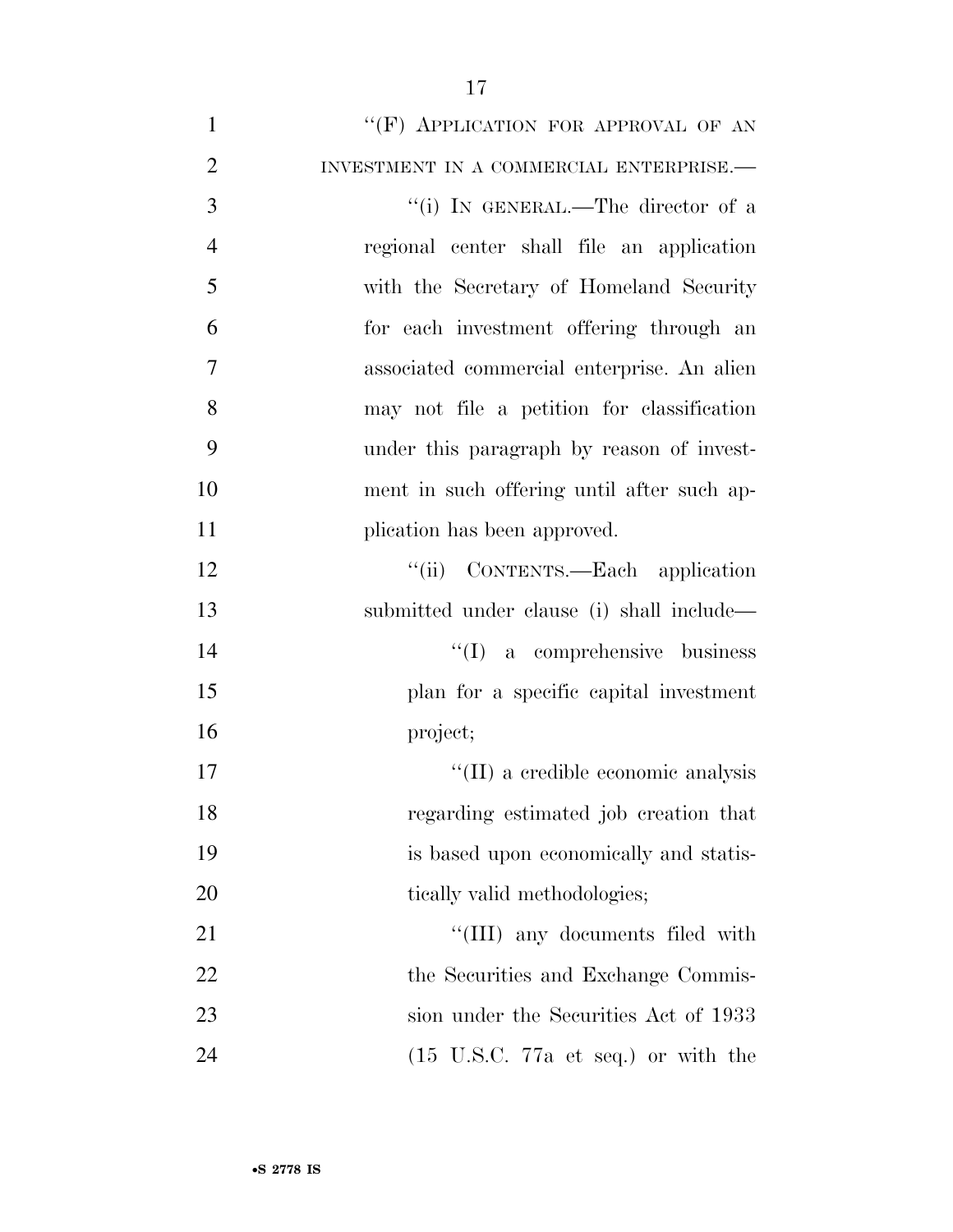1 ""(F) APPLICATION FOR APPROVAL OF AN INVESTMENT IN A COMMERCIAL ENTERPRISE.— 3 "(i) IN GENERAL.—The director of a regional center shall file an application with the Secretary of Homeland Security for each investment offering through an associated commercial enterprise. An alien may not file a petition for classification under this paragraph by reason of invest- ment in such offering until after such ap-11 plication has been approved. 12 ''(ii) CONTENTS.—Each application submitted under clause (i) shall include— 14 ''(I) a comprehensive business plan for a specific capital investment project;  $\text{``(II)}$  a credible economic analysis regarding estimated job creation that is based upon economically and statis-20 tically valid methodologies; 21 ''(III) any documents filed with 22 the Securities and Exchange Commis- sion under the Securities Act of 1933 24 (15 U.S.C. 77a et seq.) or with the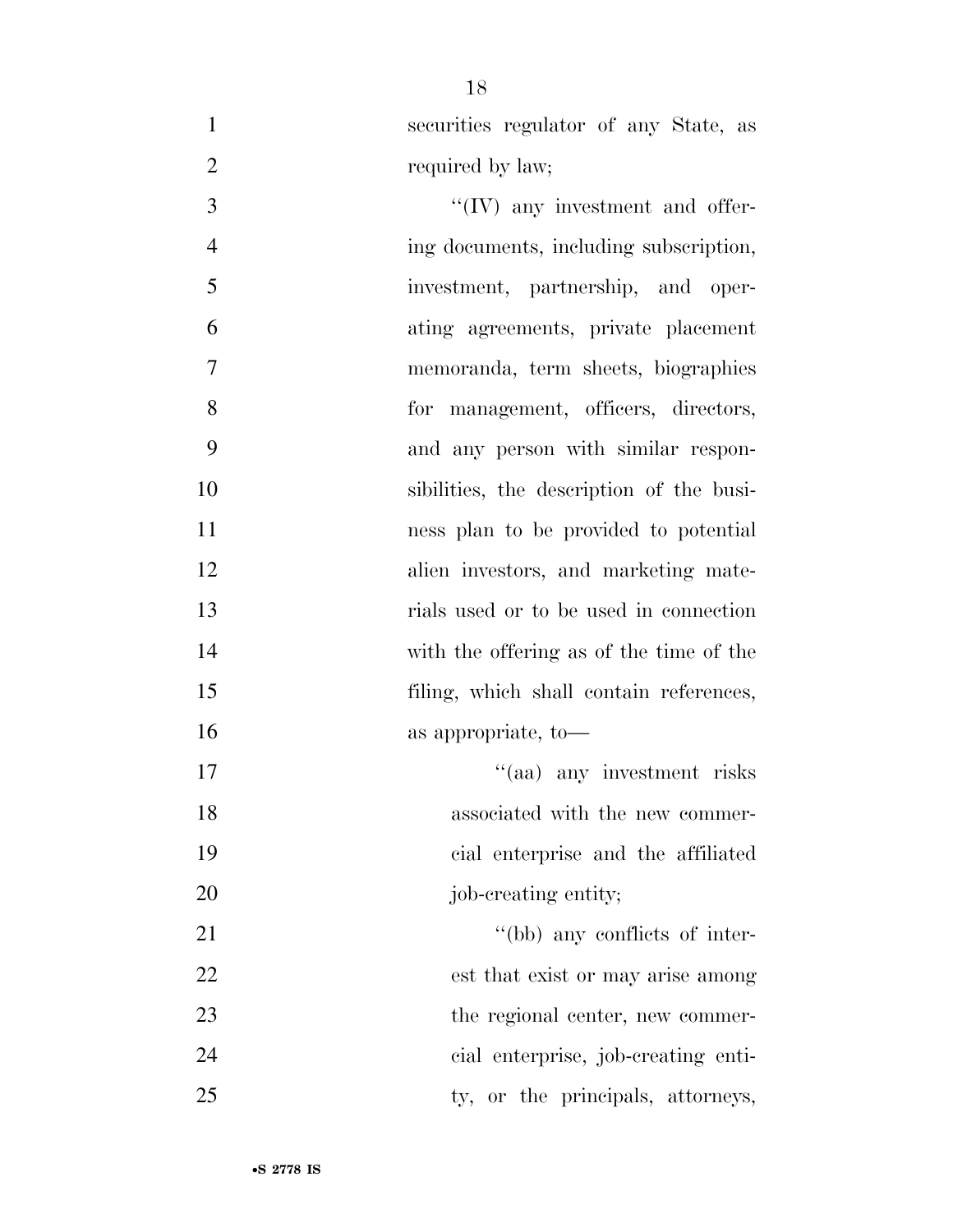securities regulator of any State, as 2 required by law;

 ''(IV) any investment and offer- ing documents, including subscription, investment, partnership, and oper- ating agreements, private placement memoranda, term sheets, biographies for management, officers, directors, and any person with similar respon- sibilities, the description of the busi- ness plan to be provided to potential alien investors, and marketing mate- rials used or to be used in connection with the offering as of the time of the filing, which shall contain references, 16 as appropriate, to 17 ''(aa) any investment risks

18 associated with the new commer- cial enterprise and the affiliated 20 job-creating entity;

21 ''(bb) any conflicts of inter- est that exist or may arise among 23 the regional center, new commer- cial enterprise, job-creating enti-25 ty, or the principals, attorneys,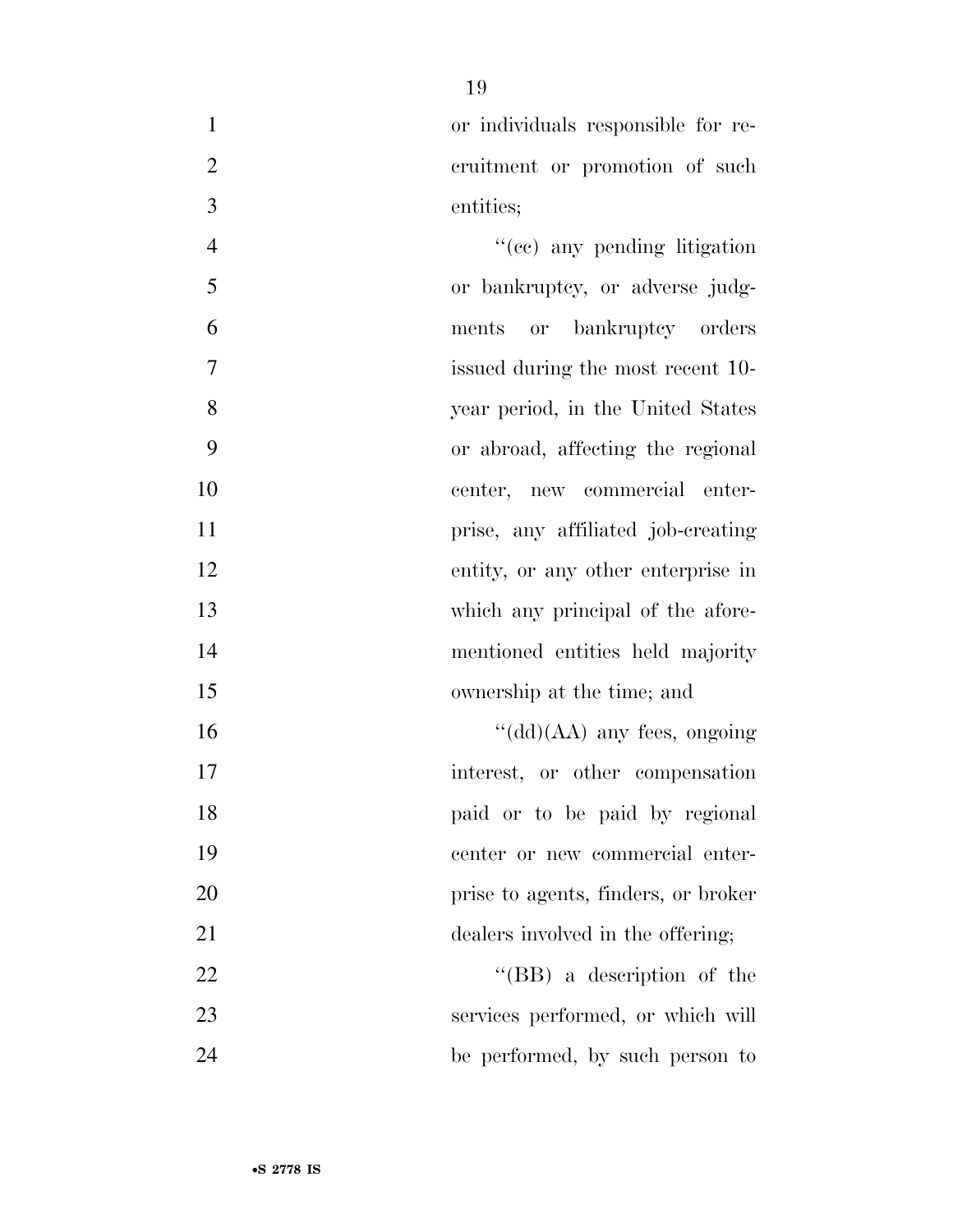or individuals responsible for re-2 cruitment or promotion of such entities;

4 ''(cc) any pending litigation or bankruptcy, or adverse judg- ments or bankruptcy orders issued during the most recent 10- year period, in the United States or abroad, affecting the regional center, new commercial enter- prise, any affiliated job-creating entity, or any other enterprise in 13 which any principal of the afore- mentioned entities held majority ownership at the time; and  $\frac{16}{\text{ (dd)}(AA)}$  any fees, ongoing 17 interest, or other compensation paid or to be paid by regional center or new commercial enter- prise to agents, finders, or broker 21 dealers involved in the offering;

22 ''(BB) a description of the services performed, or which will be performed, by such person to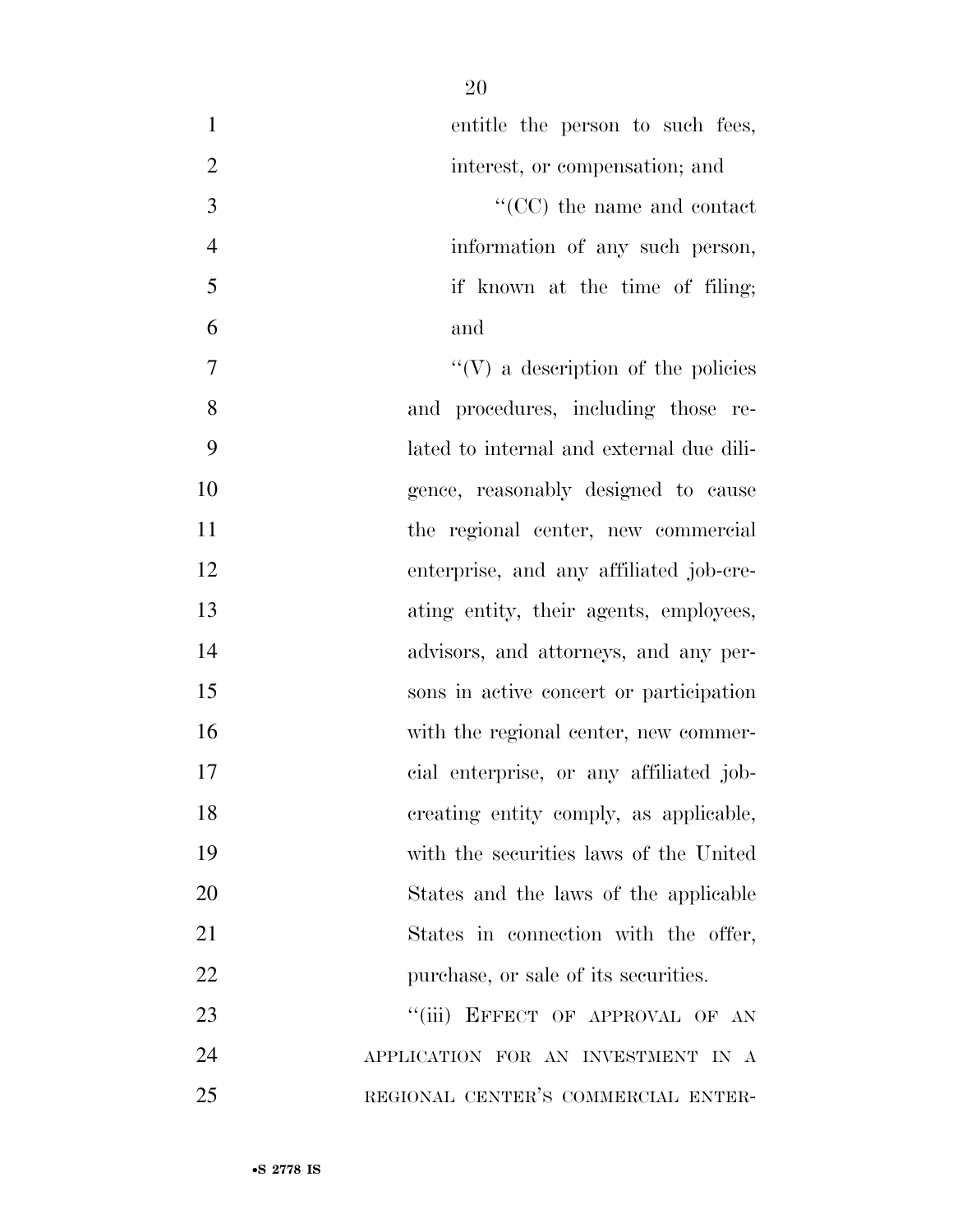| $\mathbf{1}$   | entitle the person to such fees,          |
|----------------|-------------------------------------------|
| $\overline{2}$ | interest, or compensation; and            |
| 3              | $``(CC)$ the name and contact             |
| $\overline{4}$ | information of any such person,           |
| 5              | if known at the time of filing;           |
| 6              | and                                       |
| 7              | $\lq\lq(V)$ a description of the policies |
| 8              | and procedures, including those re-       |
| 9              | lated to internal and external due dili-  |
| 10             | gence, reasonably designed to cause       |
| 11             | the regional center, new commercial       |
| 12             | enterprise, and any affiliated job-cre-   |
| 13             | ating entity, their agents, employees,    |
| 14             | advisors, and attorneys, and any per-     |
| 15             | sons in active concert or participation   |
| 16             | with the regional center, new commer-     |
| 17             | cial enterprise, or any affiliated job-   |
| 18             | creating entity comply, as applicable,    |
| 19             | with the securities laws of the United    |
| 20             | States and the laws of the applicable     |
| 21             | States in connection with the offer,      |
| 22             | purchase, or sale of its securities.      |
| 23             | "(iii) EFFECT OF APPROVAL OF AN           |
| 24             | APPLICATION FOR AN INVESTMENT IN A        |
| 25             | REGIONAL CENTER'S COMMERCIAL ENTER-       |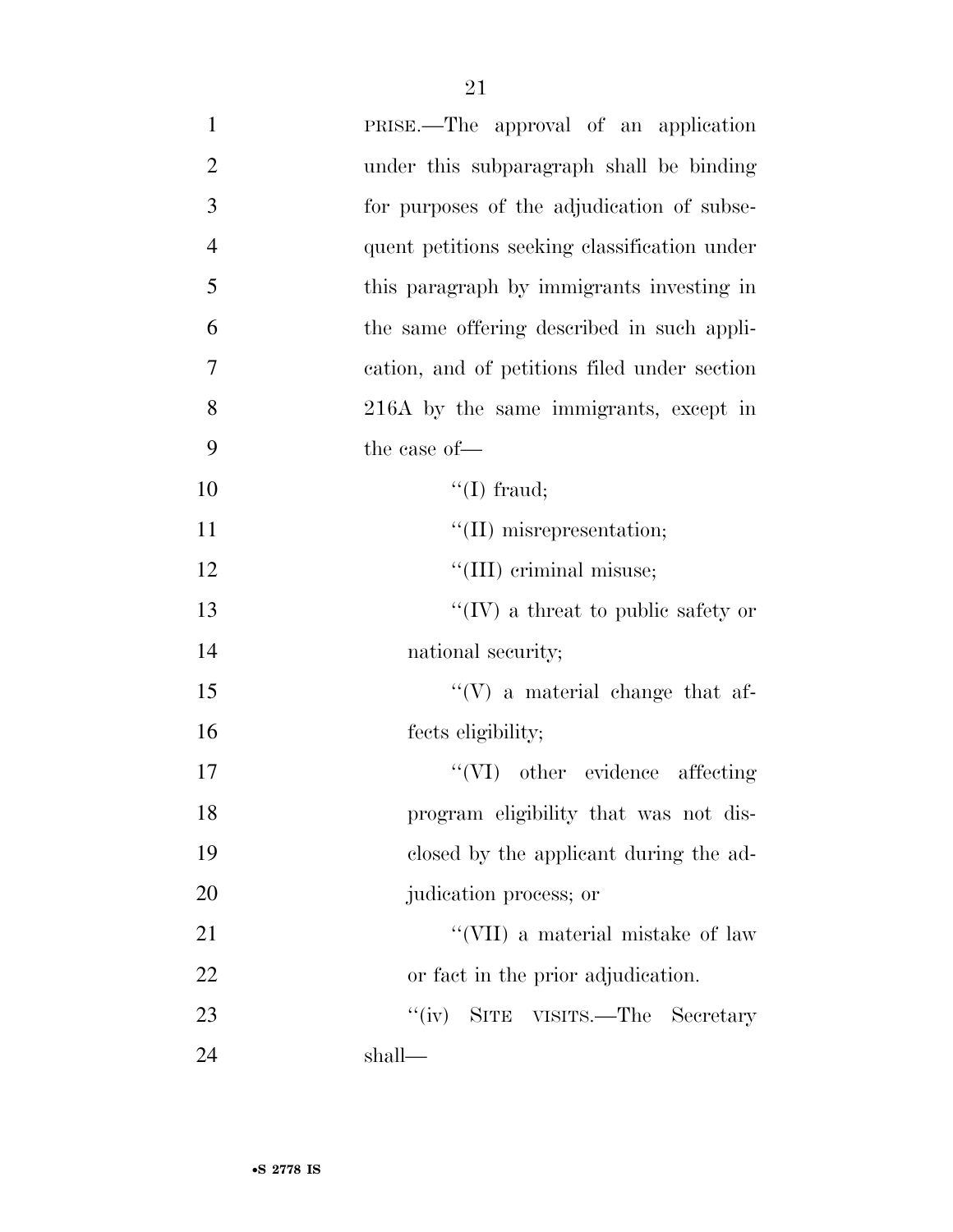| $\mathbf{1}$   | PRISE.—The approval of an application        |
|----------------|----------------------------------------------|
| $\overline{2}$ | under this subparagraph shall be binding     |
| 3              | for purposes of the adjudication of subse-   |
| $\overline{4}$ | quent petitions seeking classification under |
| 5              | this paragraph by immigrants investing in    |
| 6              | the same offering described in such appli-   |
| $\overline{7}$ | cation, and of petitions filed under section |
| 8              | 216A by the same immigrants, except in       |
| 9              | the case of-                                 |
| 10             | $\lq\lq$ (I) fraud;                          |
| 11             | $\lq\lq$ (II) misrepresentation;             |
| 12             | "(III) criminal misuse;                      |
| 13             | "(IV) a threat to public safety or           |
| 14             | national security;                           |
| 15             | $\lq\lq(V)$ a material change that af-       |
| 16             | fects eligibility;                           |
| 17             | $``(VI)$ other evidence affecting            |
| 18             | program eligibility that was not dis-        |
| 19             | closed by the applicant during the ad-       |
| 20             | judication process; or                       |
| 21             | "(VII) a material mistake of law             |
| 22             | or fact in the prior adjudication.           |
| 23             | ``(iv)<br>SITE VISITS.—The Secretary         |
| 24             | shall—                                       |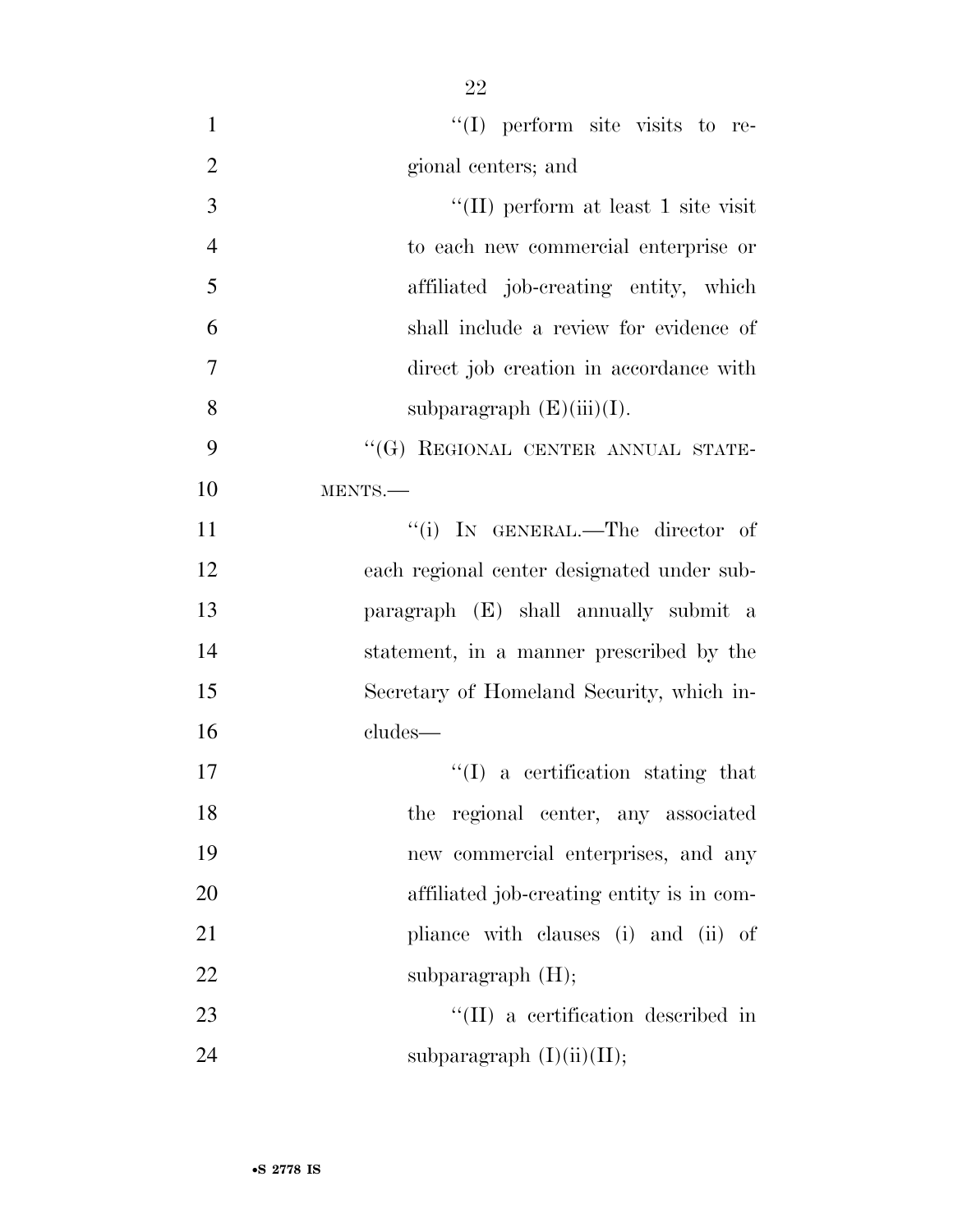| $\mathbf{1}$   | $\lq(1)$ perform site visits to re-        |
|----------------|--------------------------------------------|
| $\overline{2}$ | gional centers; and                        |
| 3              | "(II) perform at least 1 site visit        |
| $\overline{4}$ | to each new commercial enterprise or       |
| 5              | affiliated job-creating entity, which      |
| 6              | shall include a review for evidence of     |
| $\tau$         | direct job creation in accordance with     |
| 8              | subparagraph $(E)(iii)(I)$ .               |
| 9              | "(G) REGIONAL CENTER ANNUAL STATE-         |
| 10             | MENTS.                                     |
| 11             | "(i) IN GENERAL.—The director of           |
| 12             | each regional center designated under sub- |
| 13             | paragraph (E) shall annually submit a      |
| 14             | statement, in a manner prescribed by the   |
| 15             | Secretary of Homeland Security, which in-  |
| 16             | cludes—                                    |
| 17             | $\lq(1)$ a certification stating that      |
| 18             | the regional center, any associated        |
| 19             | new commercial enterprises, and any        |
| 20             | affiliated job-creating entity is in com-  |
| 21             | pliance with clauses (i) and (ii) of       |
| 22             | subparagraph $(H)$ ;                       |
| 23             | "(II) a certification described in         |
| 24             | subparagraph $(I)(ii)(II);$                |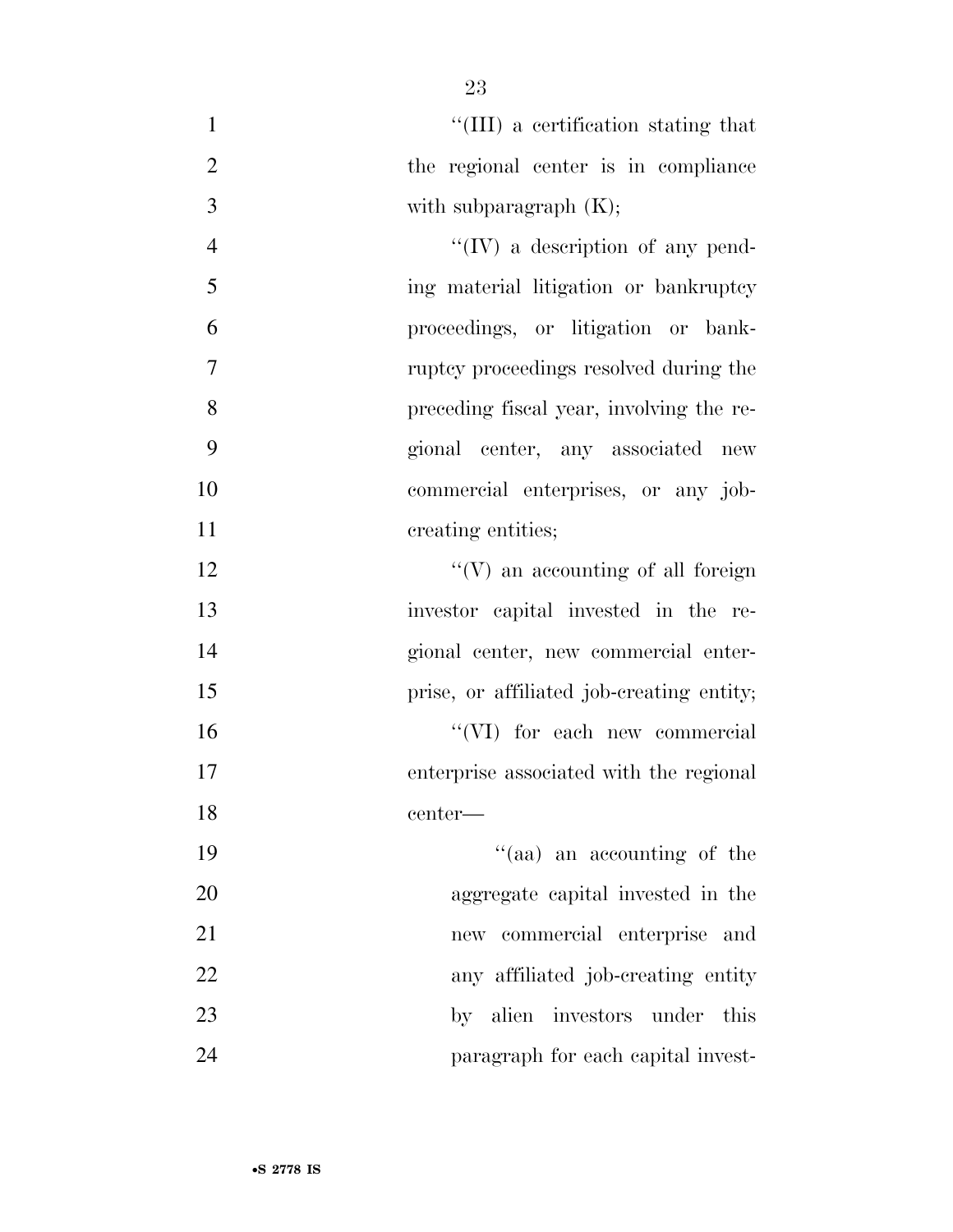| $\mathbf{1}$   | "(III) a certification stating that       |
|----------------|-------------------------------------------|
| $\overline{2}$ | the regional center is in compliance      |
| 3              | with subparagraph $(K);$                  |
| $\overline{4}$ | "(IV) a description of any pend-          |
| 5              | ing material litigation or bankruptcy     |
| 6              | proceedings, or litigation or bank-       |
| $\overline{7}$ | ruptcy proceedings resolved during the    |
| 8              | preceding fiscal year, involving the re-  |
| 9              | gional center, any associated new         |
| 10             | commercial enterprises, or any job-       |
| 11             | creating entities;                        |
| 12             | $\lq\lq(V)$ an accounting of all foreign  |
| 13             | investor capital invested in the re-      |
| 14             | gional center, new commercial enter-      |
| 15             | prise, or affiliated job-creating entity; |
| 16             | "(VI) for each new commercial             |
| 17             | enterprise associated with the regional   |
| 18             | center-                                   |
| 19             | "(aa) an accounting of the                |
| 20             | aggregate capital invested in the         |
| 21             | new commercial enterprise and             |
| 22             | any affiliated job-creating entity        |
| 23             | by alien investors under<br>this          |
| 24             | paragraph for each capital invest-        |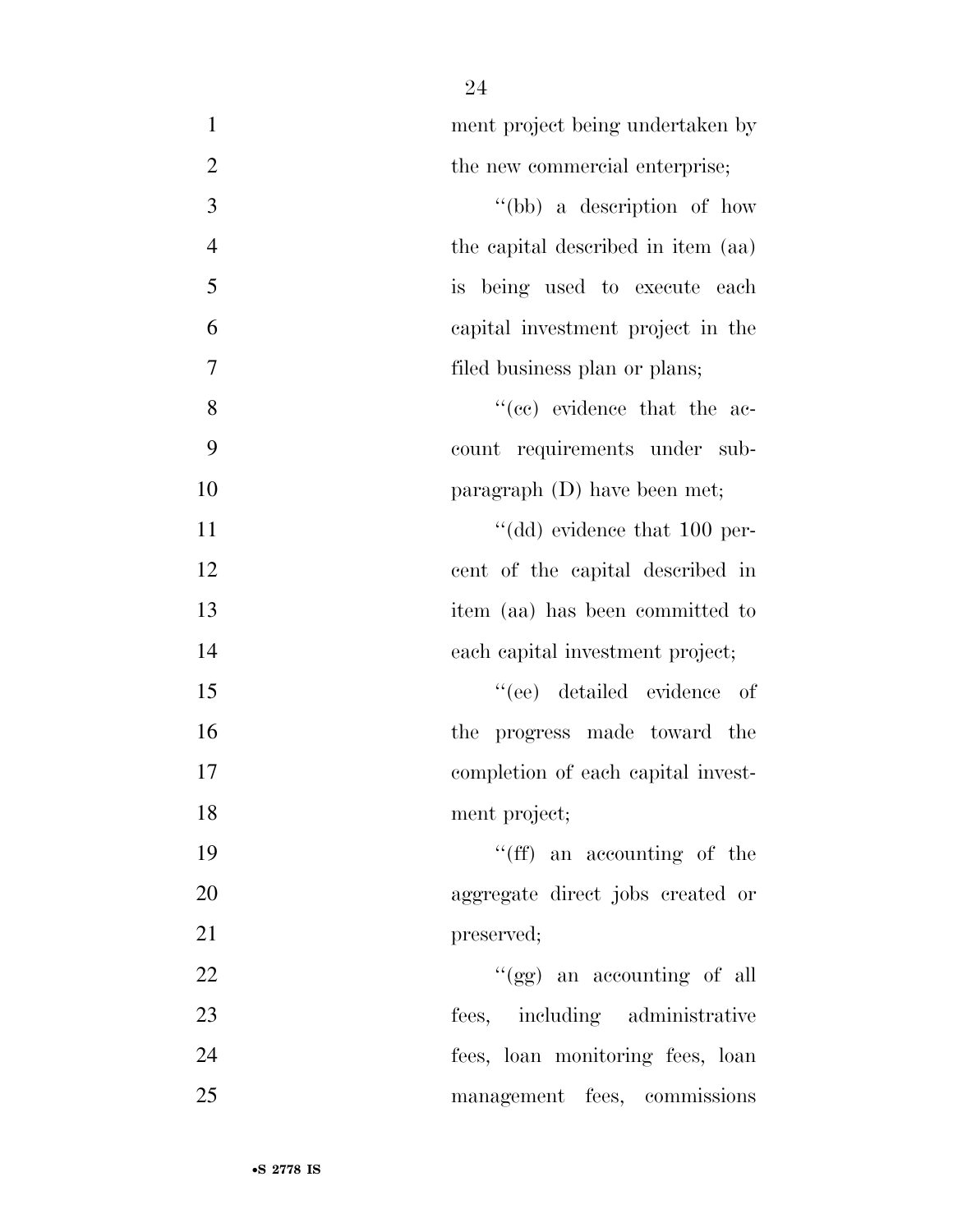| $\mathbf{1}$   | ment project being undertaken by   |
|----------------|------------------------------------|
| $\mathfrak{2}$ | the new commercial enterprise;     |
| $\overline{3}$ | "(bb) a description of how         |
| $\overline{4}$ | the capital described in item (aa) |
| 5              | is being used to execute each      |
| 6              | capital investment project in the  |
| 7              | filed business plan or plans;      |
| 8              | "(cc) evidence that the ac-        |
| 9              | count requirements under sub-      |
| 10             | paragraph $(D)$ have been met;     |
| 11             | "(dd) evidence that 100 per-       |
| 12             | cent of the capital described in   |
| 13             | item (aa) has been committed to    |
| 14             | each capital investment project;   |
| 15             | "(ee) detailed evidence of         |
| 16             | the progress made toward the       |
| 17             | completion of each capital invest- |
| 18             | ment project;                      |
| 19             | "(ff) an accounting of the         |
| 20             | aggregate direct jobs created or   |
| 21             | preserved;                         |
| 22             | "(gg) an accounting of all         |
| 23             | fees, including administrative     |
| 24             | fees, loan monitoring fees, loan   |
| 25             | management fees, commissions       |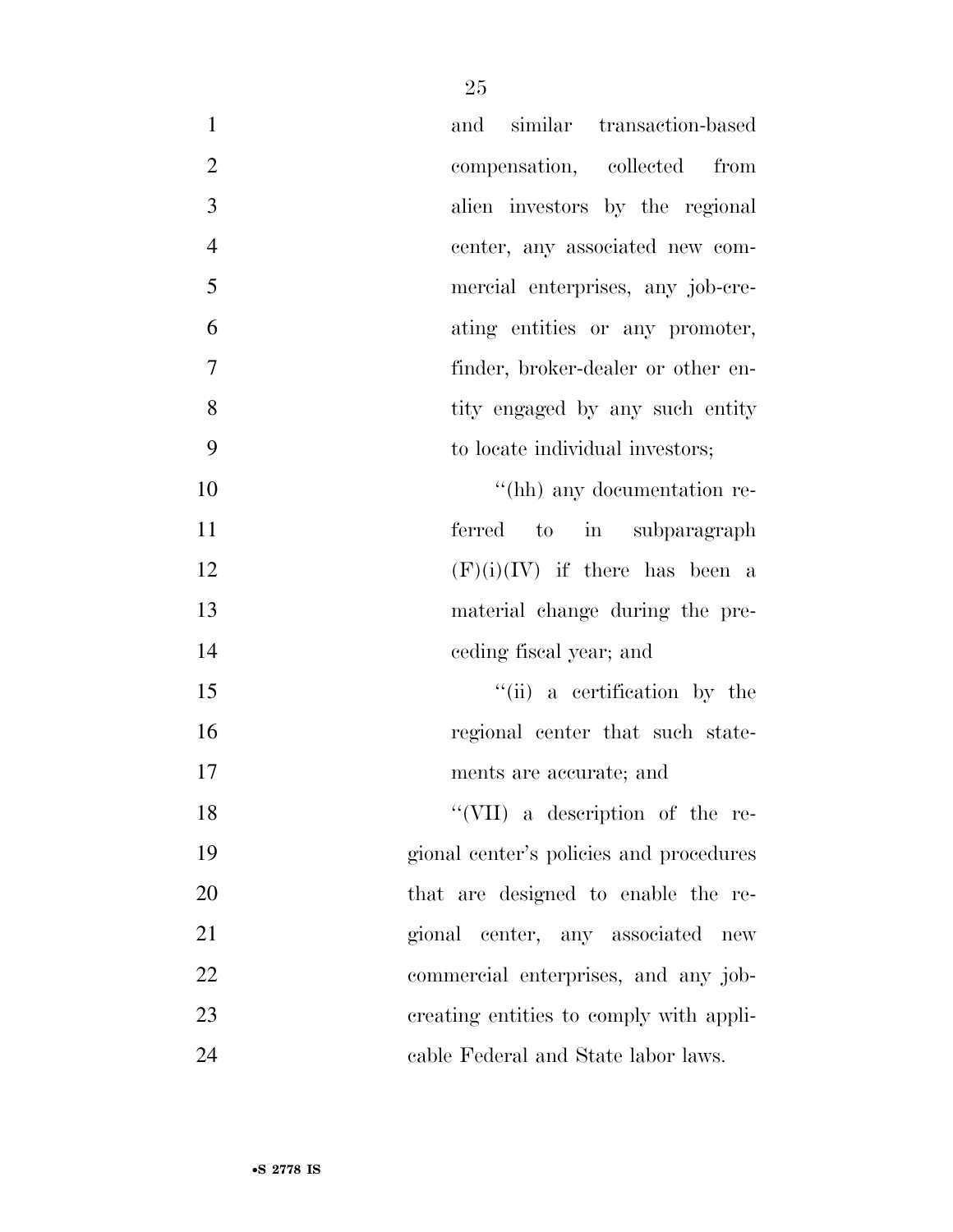| $\mathbf{1}$   | and similar transaction-based                |
|----------------|----------------------------------------------|
| $\overline{2}$ | compensation, collected from                 |
| $\overline{3}$ | alien investors by the regional              |
| $\overline{4}$ | center, any associated new com-              |
| 5              | mercial enterprises, any job-cre-            |
| 6              | ating entities or any promoter,              |
| $\tau$         | finder, broker-dealer or other en-           |
| 8              | tity engaged by any such entity              |
| 9              | to locate individual investors;              |
| 10             | "(hh) any documentation re-                  |
| 11             | ferred to in subparagraph                    |
| 12             | $(F)(i)(IV)$ if there has been a             |
| 13             | material change during the pre-              |
| 14             | eeding fiscal year; and                      |
| 15             | "(ii) a certification by the                 |
| 16             | regional center that such state-             |
| 17             | ments are accurate; and                      |
| 18             | "(VII) a description of the re-              |
| 19             | gional center's policies and procedures      |
| 20             | that are designed to enable the re-          |
| 21             | gional center, any associated<br>${\rm new}$ |
| 22             | commercial enterprises, and any job-         |
| 23             | creating entities to comply with appli-      |
| 24             | cable Federal and State labor laws.          |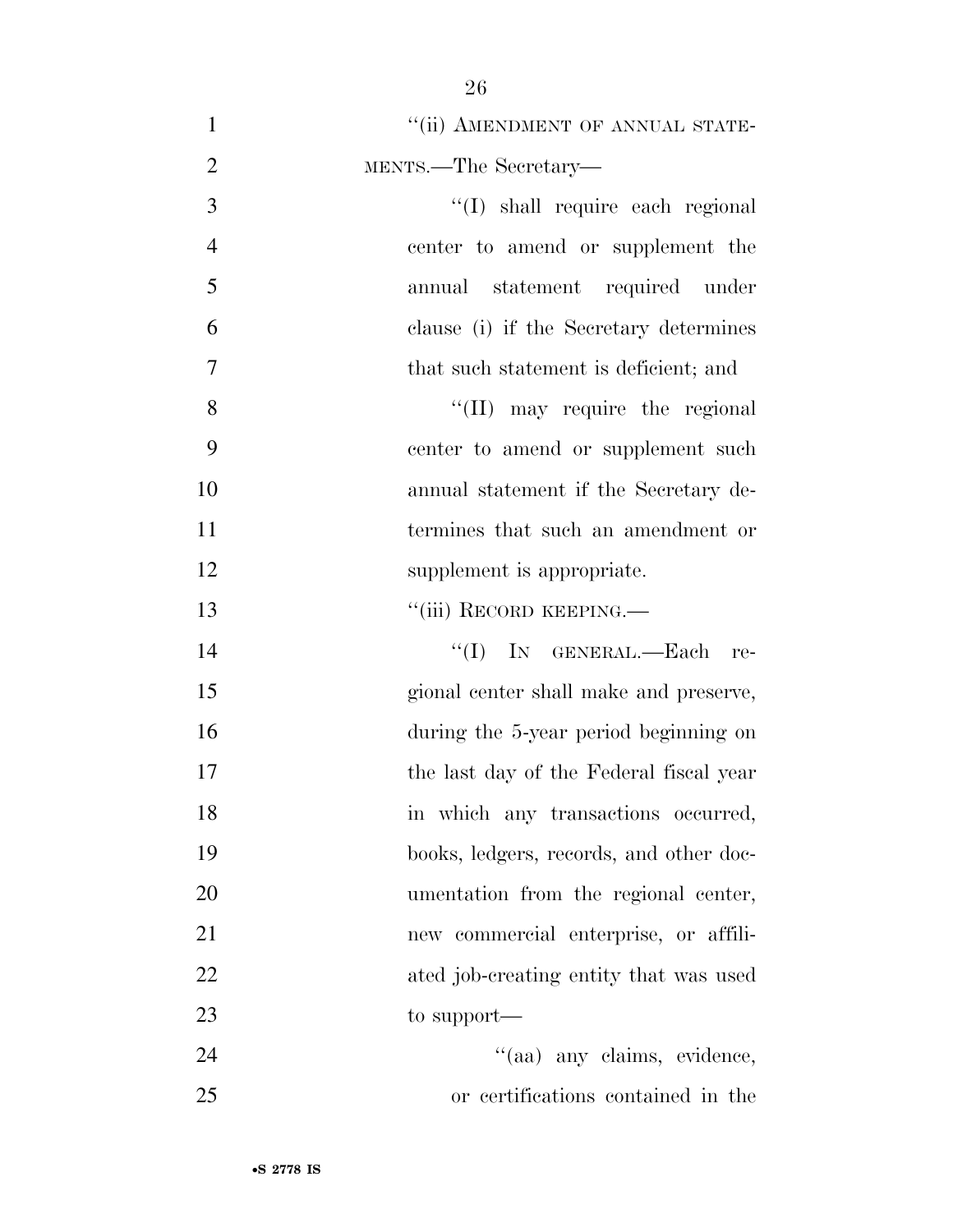| $\mathbf{1}$   | "(ii) AMENDMENT OF ANNUAL STATE-        |
|----------------|-----------------------------------------|
| $\overline{2}$ | MENTS.—The Secretary—                   |
| 3              | "(I) shall require each regional        |
| $\overline{4}$ | center to amend or supplement the       |
| 5              | annual statement required under         |
| 6              | clause (i) if the Secretary determines  |
| 7              | that such statement is deficient; and   |
| 8              | $\lq\lq$ (II) may require the regional  |
| 9              | center to amend or supplement such      |
| 10             | annual statement if the Secretary de-   |
| 11             | termines that such an amendment or      |
| 12             | supplement is appropriate.              |
| 13             | "(iii) RECORD KEEPING.—                 |
| 14             | "(I) IN GENERAL.—Each re-               |
| 15             | gional center shall make and preserve,  |
| 16             | during the 5-year period beginning on   |
| 17             | the last day of the Federal fiscal year |
| 18             | in which any transactions occurred,     |
| 19             | books, ledgers, records, and other doc- |
| 20             | umentation from the regional center,    |
| 21             | new commercial enterprise, or affili-   |
| 22             | ated job-creating entity that was used  |
| 23             | to support—                             |
| 24             | "(aa) any claims, evidence,             |
| 25             | or certifications contained in the      |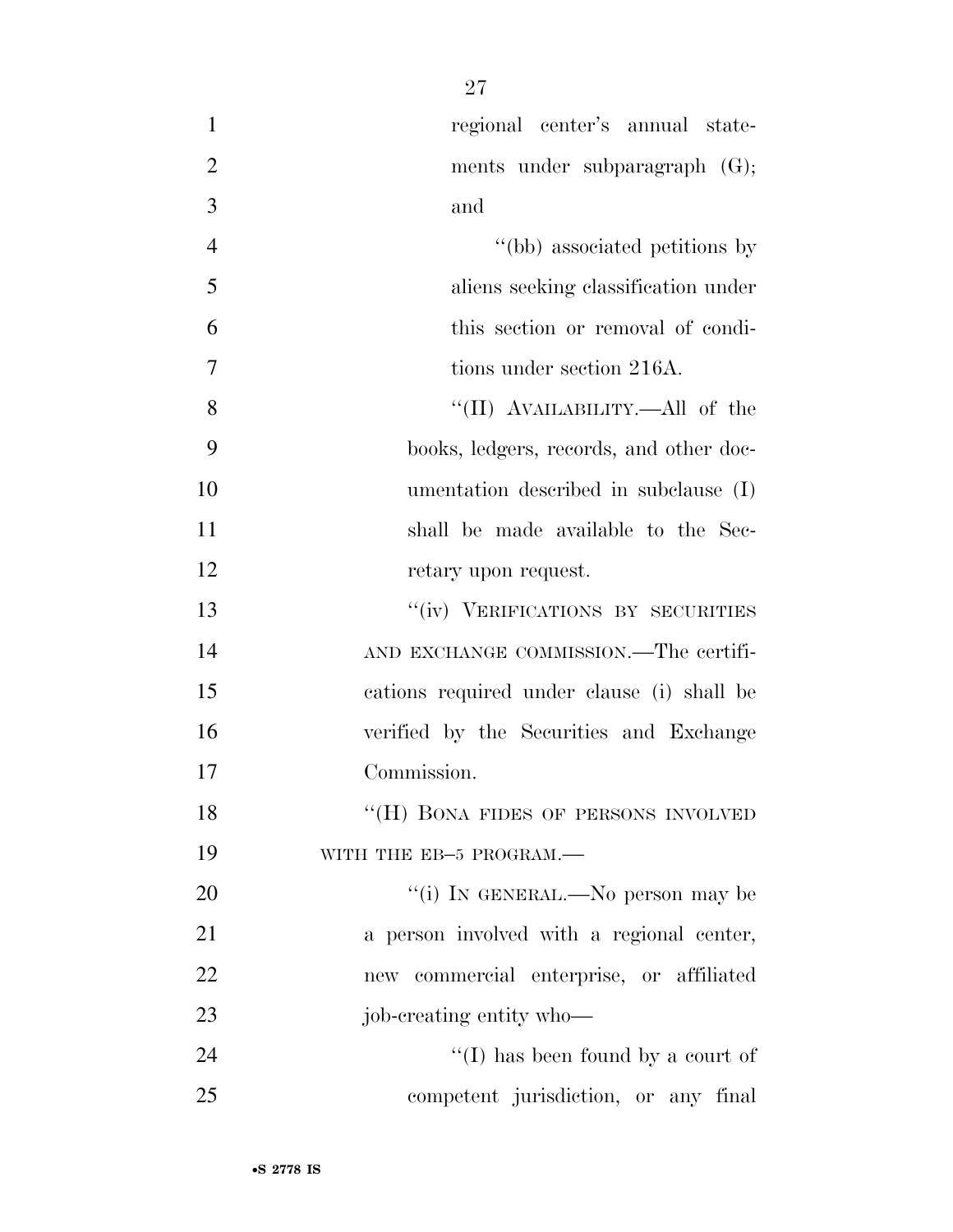| $\mathbf{1}$   | regional center's annual state-            |
|----------------|--------------------------------------------|
| $\overline{2}$ | ments under subparagraph (G);              |
| 3              | and                                        |
| $\overline{4}$ | "(bb) associated petitions by              |
| 5              | aliens seeking classification under        |
| 6              | this section or removal of condi-          |
| $\overline{7}$ | tions under section 216A.                  |
| 8              | "(II) AVAILABILITY.—All of the             |
| 9              | books, ledgers, records, and other doc-    |
| 10             | umentation described in subclause (I)      |
| 11             | shall be made available to the Sec-        |
| 12             | retary upon request.                       |
| 13             | "(iv) VERIFICATIONS BY SECURITIES          |
| 14             | AND EXCHANGE COMMISSION.—The certifi-      |
| 15             | cations required under clause (i) shall be |
| 16             | verified by the Securities and Exchange    |
| 17             | Commission.                                |
| 18             | "(H) BONA FIDES OF PERSONS INVOLVED        |
| 19             | WITH THE EB-5 PROGRAM.-                    |
| 20             | "(i) IN GENERAL.—No person may be          |
| 21             | a person involved with a regional center,  |
| 22             | new commercial enterprise, or affiliated   |
| 23             | job-creating entity who—                   |
| 24             | "(I) has been found by a court of          |
| 25             | competent jurisdiction, or any final       |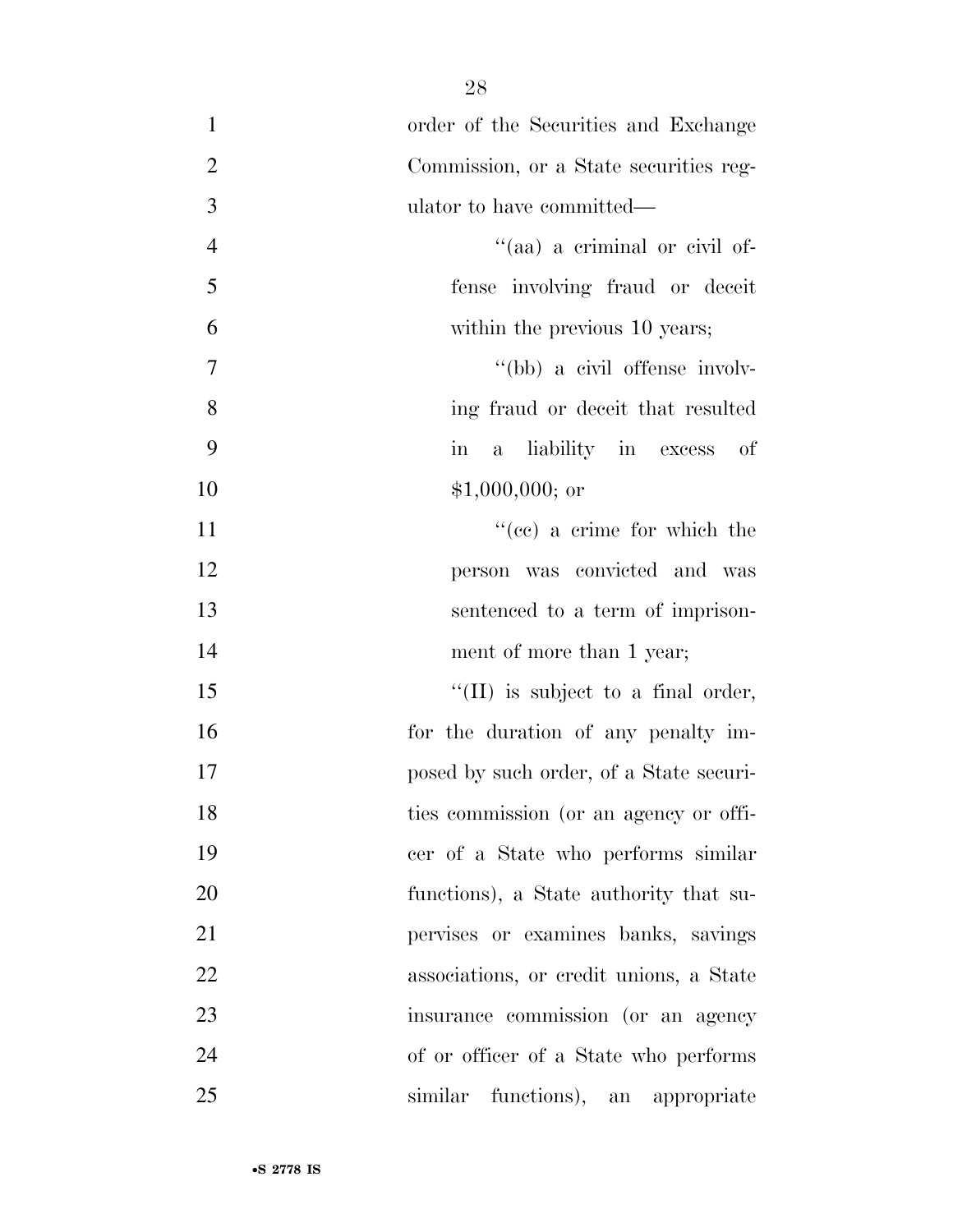| $\mathbf{1}$   | order of the Securities and Exchange               |
|----------------|----------------------------------------------------|
| $\overline{2}$ | Commission, or a State securities reg-             |
| $\mathfrak{Z}$ | ulator to have committed—                          |
| $\overline{4}$ | "(aa) a criminal or civil of-                      |
| $\mathfrak{S}$ | fense involving fraud or deceit                    |
| 6              | within the previous 10 years;                      |
| $\tau$         | "(bb) a civil offense involv-                      |
| 8              | ing fraud or deceit that resulted                  |
| 9              | a liability in excess<br>οf<br>$\operatorname{in}$ |
| 10             | $$1,000,000;$ or                                   |
| 11             | $f''(ce)$ a crime for which the                    |
| 12             | person was convicted and was                       |
| 13             | sentenced to a term of imprison-                   |
| 14             | ment of more than 1 year;                          |
| 15             | $\lq\lq$ (II) is subject to a final order,         |
| 16             | for the duration of any penalty im-                |
| 17             | posed by such order, of a State securi-            |
| 18             | ties commission (or an agency or offi-             |
| 19             | cer of a State who performs similar                |
| 20             | functions), a State authority that su-             |
| 21             | pervises or examines banks, savings                |
| 22             | associations, or credit unions, a State            |
| 23             | insurance commission (or an agency                 |
| 24             | of or officer of a State who performs              |
| 25             | similar functions), an appropriate                 |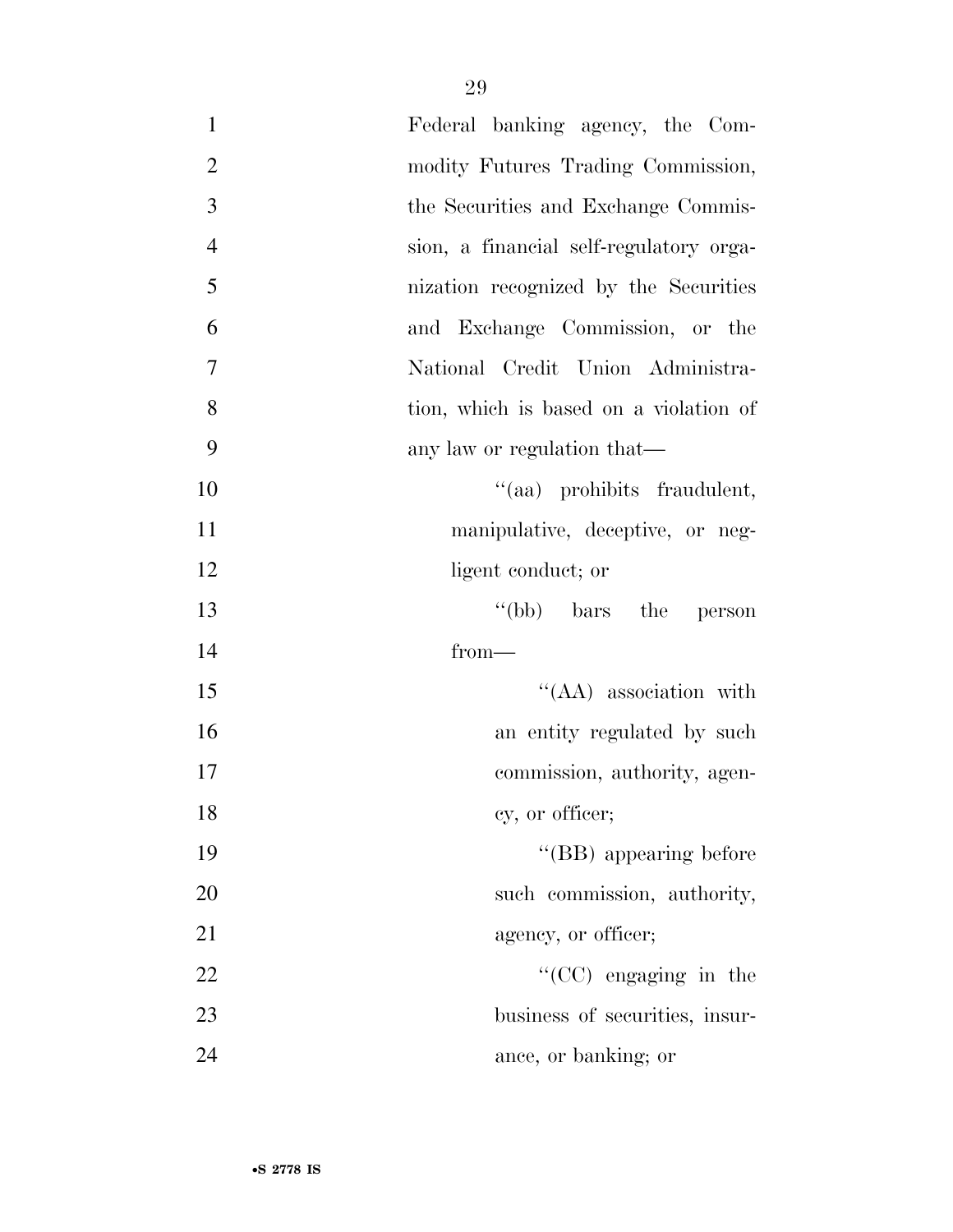| $\mathbf{1}$   | Federal banking agency, the Com-        |
|----------------|-----------------------------------------|
| $\overline{2}$ | modity Futures Trading Commission,      |
| 3              | the Securities and Exchange Commis-     |
| $\overline{4}$ | sion, a financial self-regulatory orga- |
| 5              | nization recognized by the Securities   |
| 6              | and Exchange Commission, or the         |
| $\tau$         | National Credit Union Administra-       |
| 8              | tion, which is based on a violation of  |
| 9              | any law or regulation that—             |
| 10             | "(aa) prohibits fraudulent,             |
| 11             | manipulative, deceptive, or neg-        |
| 12             | ligent conduct; or                      |
| 13             | "(bb) bars the person                   |
| 14             | $from-$                                 |
| 15             | $\lq\lq$ (AA) association with          |
| 16             | an entity regulated by such             |
| 17             | commission, authority, agen-            |
| 18             | cy, or officer;                         |
| 19             | $\lq\lq$ (BB) appearing before          |
| 20             | such commission, authority,             |
| 21             | agency, or officer;                     |
| 22             | $\lq\lq$ (CC) engaging in the           |
| 23             | business of securities, insur-          |
| 24             | ance, or banking; or                    |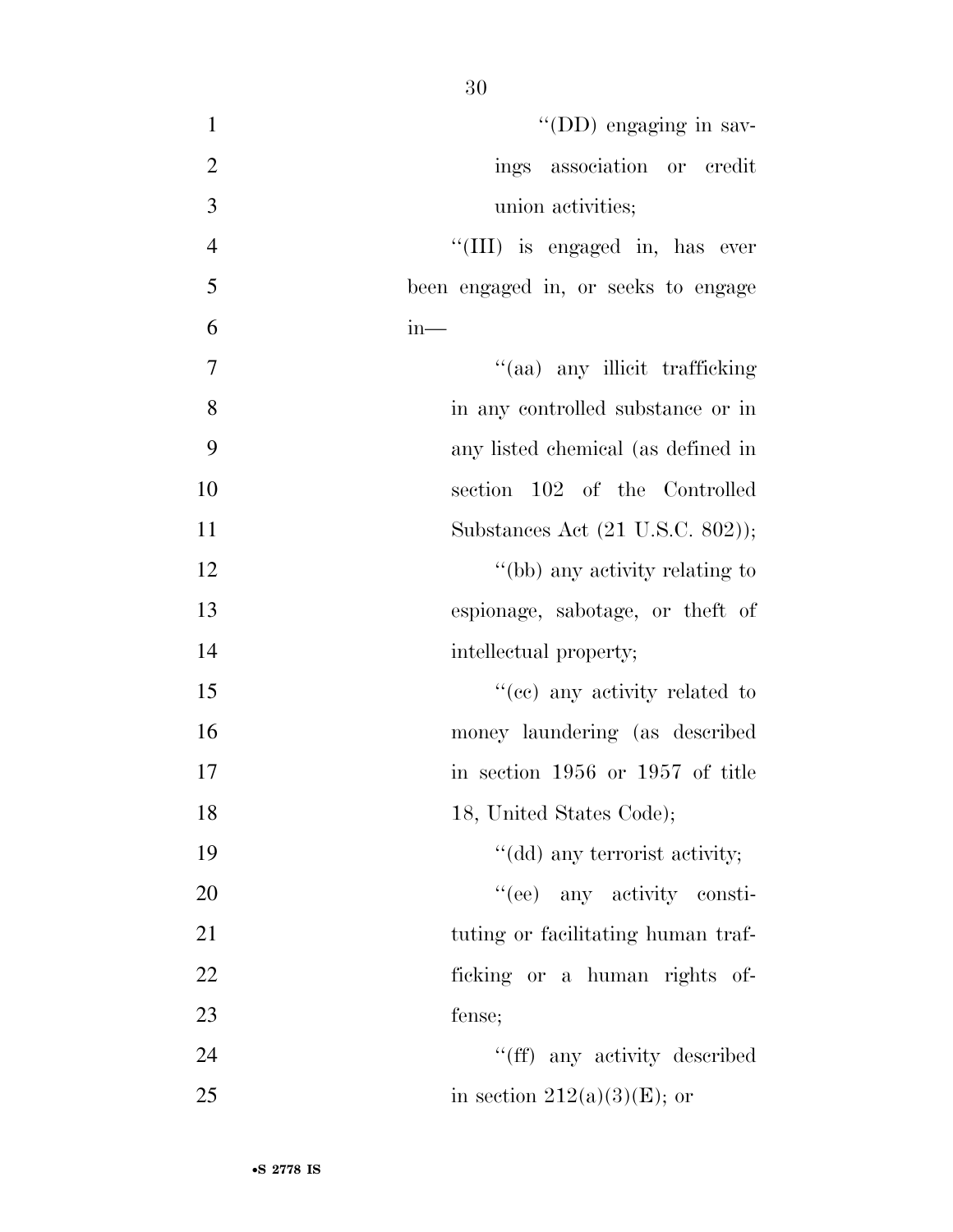| $\mathbf{1}$   | "(DD) engaging in sav-              |
|----------------|-------------------------------------|
| $\mathbf{2}$   | ings association or credit          |
| 3              | union activities;                   |
|                |                                     |
| $\overline{4}$ | "(III) is engaged in, has ever      |
| 5              | been engaged in, or seeks to engage |
| 6              | $in-$                               |
| 7              | "(aa) any illicit trafficking       |
| 8              | in any controlled substance or in   |
| 9              | any listed chemical (as defined in  |
| 10             | section 102 of the Controlled       |
| 11             | Substances Act (21 U.S.C. 802));    |
| 12             | "(bb) any activity relating to      |
| 13             | espionage, sabotage, or theft of    |
| 14             | intellectual property;              |
| 15             | "(cc) any activity related to       |
| 16             | money laundering (as described      |
| 17             | in section 1956 or 1957 of title    |
| 18             | 18, United States Code);            |
| 19             | "(dd) any terrorist activity;       |
| 20             | "(ee) any activity consti-          |
| 21             | tuting or facilitating human traf-  |
| 22             | ficking or a human rights of-       |
| 23             | fense;                              |
| 24             | "(ff) any activity described        |
| 25             | in section $212(a)(3)(E)$ ; or      |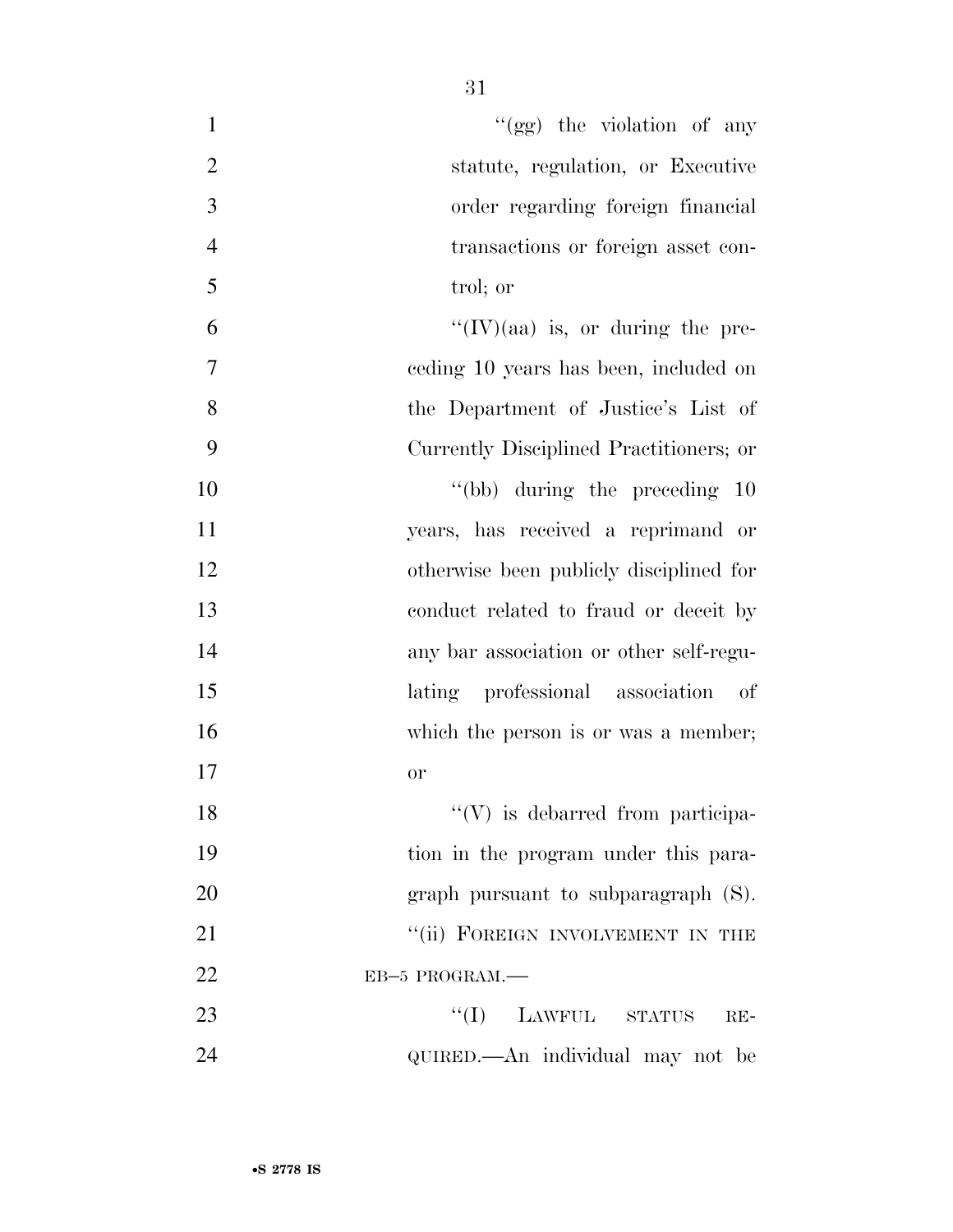| $\mathbf{1}$   | "(gg) the violation of any              |
|----------------|-----------------------------------------|
| $\overline{2}$ | statute, regulation, or Executive       |
| 3              | order regarding foreign financial       |
| $\overline{4}$ | transactions or foreign asset con-      |
| 5              | trol; or                                |
| 6              | $``(IV)(aa)$ is, or during the pre-     |
| $\overline{7}$ | ceding 10 years has been, included on   |
| 8              | the Department of Justice's List of     |
| 9              | Currently Disciplined Practitioners; or |
| 10             | $\degree$ (bb) during the preceding 10  |
| 11             | years, has received a reprimand or      |
| 12             | otherwise been publicly disciplined for |
| 13             | conduct related to fraud or deceit by   |
| 14             | any bar association or other self-regu- |
| 15             | lating professional association<br>of   |
| 16             | which the person is or was a member;    |
| 17             | or                                      |
| 18             | $\lq\lq(V)$ is debarred from participa- |
| 19             | tion in the program under this para-    |
| 20             | graph pursuant to subparagraph (S).     |
| 21             | "(ii) FOREIGN INVOLVEMENT IN THE        |
| 22             | EB-5 PROGRAM.                           |
| 23             | ``(I)<br>LAWFUL STATUS<br>$RE-$         |
| 24             | QUIRED.—An individual may not be        |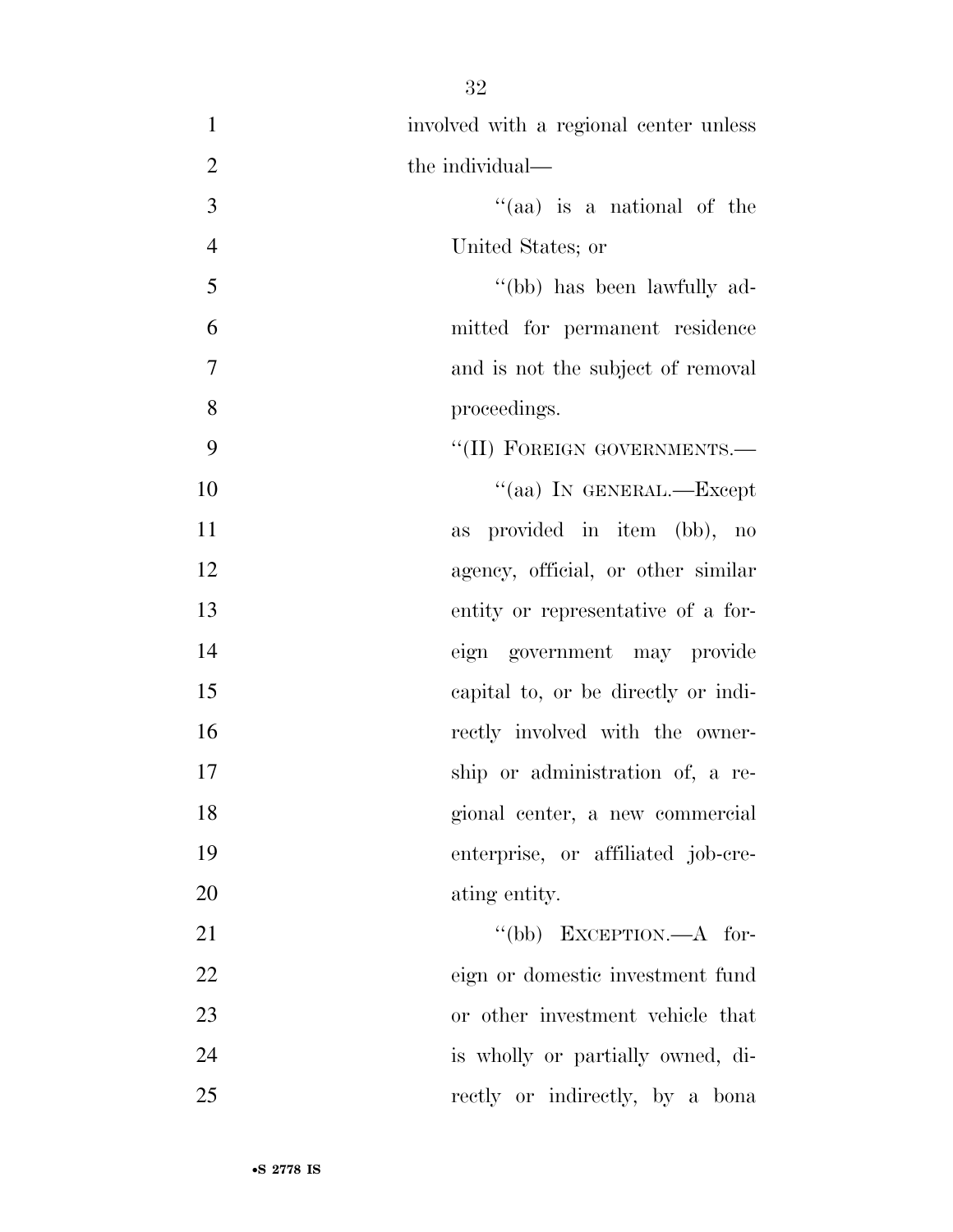| $\mathbf{1}$   | involved with a regional center unless |
|----------------|----------------------------------------|
| $\overline{2}$ | the individual—                        |
| 3              | "(aa) is a national of the             |
| $\overline{4}$ | United States; or                      |
| 5              | "(bb) has been lawfully ad-            |
| 6              | mitted for permanent residence         |
| $\overline{7}$ | and is not the subject of removal      |
| 8              | proceedings.                           |
| 9              | "(II) FOREIGN GOVERNMENTS.-            |
| 10             | "(aa) IN GENERAL.—Except               |
| 11             | provided in item (bb), no<br>as        |
| 12             | agency, official, or other similar     |
| 13             | entity or representative of a for-     |
| 14             | eign government may provide            |
| 15             | capital to, or be directly or indi-    |
| 16             | rectly involved with the owner-        |
| 17             | ship or administration of, a re-       |
| 18             | gional center, a new commercial        |
| 19             | enterprise, or affiliated job-cre-     |
| 20             | ating entity.                          |
| 21             | "(bb) EXCEPTION.— $A$ for-             |
| 22             | eign or domestic investment fund       |
| 23             | or other investment vehicle that       |
| 24             | is wholly or partially owned, di-      |
| 25             | rectly or indirectly, by a bona        |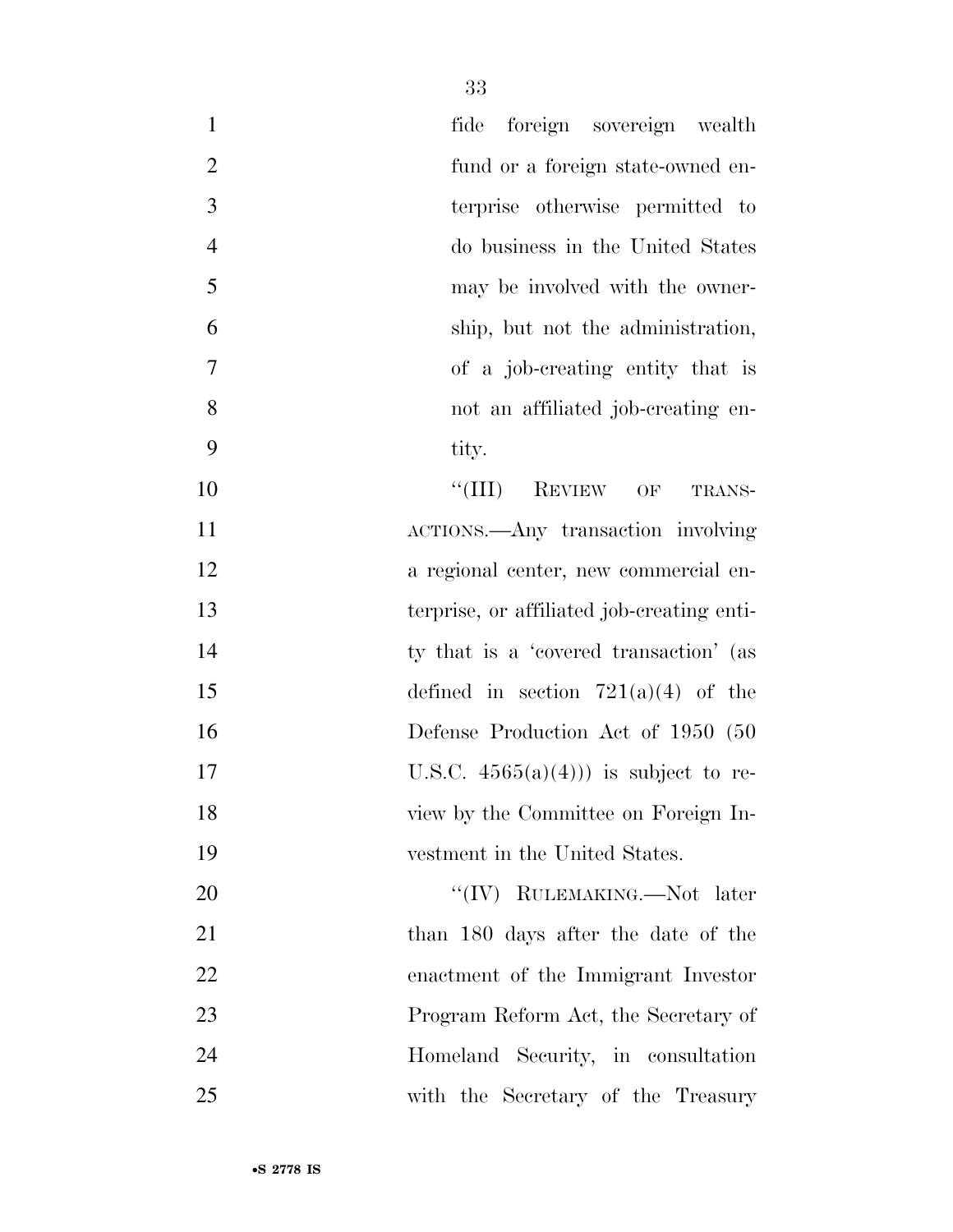| $\mathbf{1}$   | foreign sovereign wealth<br>fide           |
|----------------|--------------------------------------------|
| $\overline{2}$ | fund or a foreign state-owned en-          |
| 3              | terprise otherwise permitted to            |
| $\overline{4}$ | do business in the United States           |
| 5              | may be involved with the owner-            |
| 6              | ship, but not the administration,          |
| 7              | of a job-creating entity that is           |
| 8              | not an affiliated job-creating en-         |
| 9              | tity.                                      |
| 10             | $``(III)$ REVIEW OF<br>TRANS-              |
| 11             | ACTIONS.—Any transaction involving         |
| 12             | a regional center, new commercial en-      |
| 13             | terprise, or affiliated job-creating enti- |
| 14             | ty that is a 'covered transaction' (as     |
| 15             | defined in section $721(a)(4)$ of the      |
| 16             | Defense Production Act of 1950 (50         |
| 17             | U.S.C. $4565(a)(4))$ is subject to re-     |
| 18             | view by the Committee on Foreign In-       |
| 19             | vestment in the United States.             |
| 20             | "(IV) RULEMAKING.—Not later                |
| 21             | than 180 days after the date of the        |
| 22             | enactment of the Immigrant Investor        |
| 23             | Program Reform Act, the Secretary of       |
| 24             | Homeland Security, in consultation         |
| 25             | with the Secretary of the Treasury         |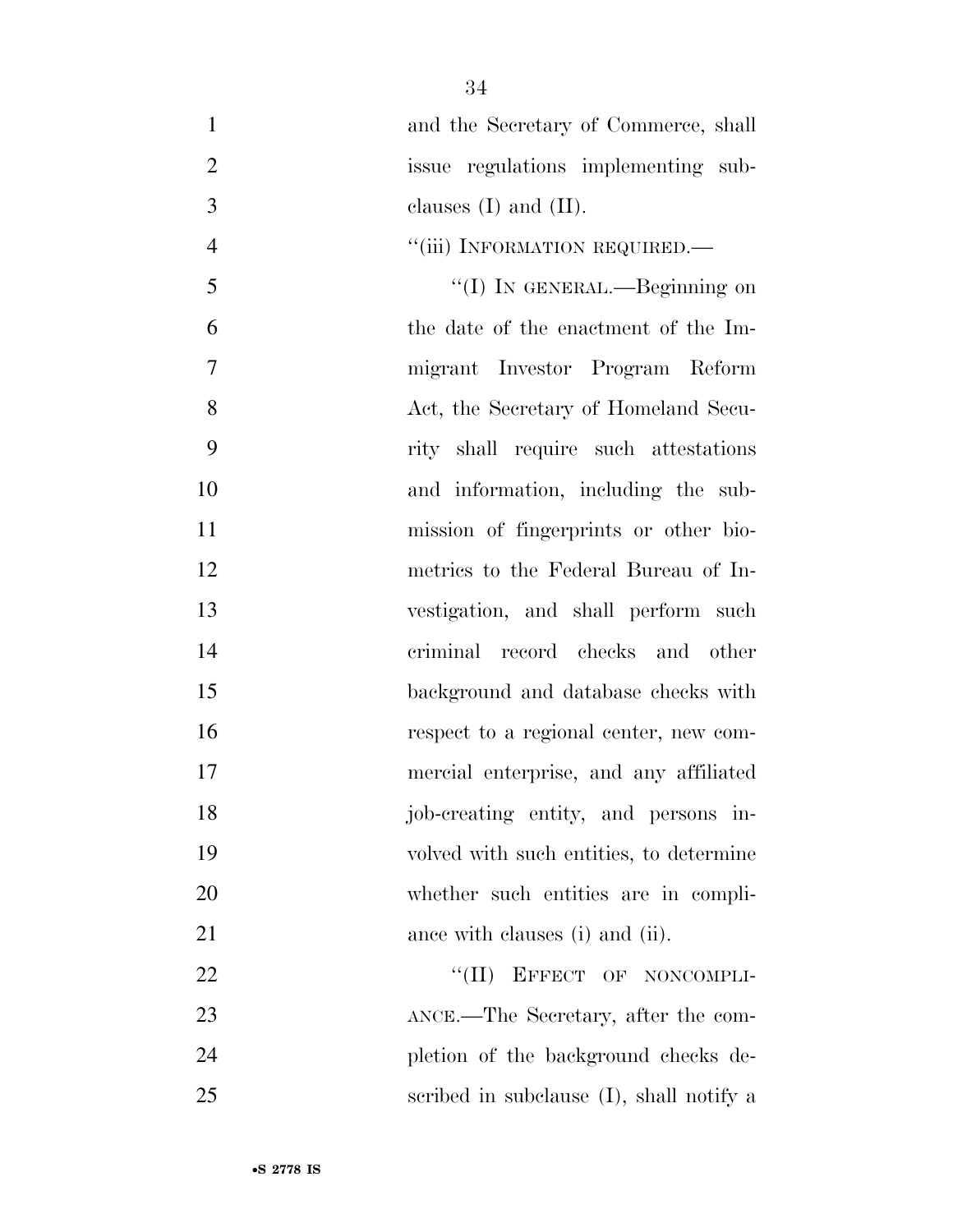and the Secretary of Commerce, shall issue regulations implementing sub- clauses (I) and (II).  $"$ (iii) INFORMATION REQUIRED.— ''(I) IN GENERAL.—Beginning on the date of the enactment of the Im- migrant Investor Program Reform 8 Act, the Secretary of Homeland Secu- rity shall require such attestations and information, including the sub- mission of fingerprints or other bio- metrics to the Federal Bureau of In- vestigation, and shall perform such criminal record checks and other background and database checks with respect to a regional center, new com- mercial enterprise, and any affiliated job-creating entity, and persons in- volved with such entities, to determine whether such entities are in compli-21 ance with clauses (i) and (ii). 22 "(II) EFFECT OF NONCOMPLI-

23 ANCE.—The Secretary, after the com- pletion of the background checks de-scribed in subclause (I), shall notify a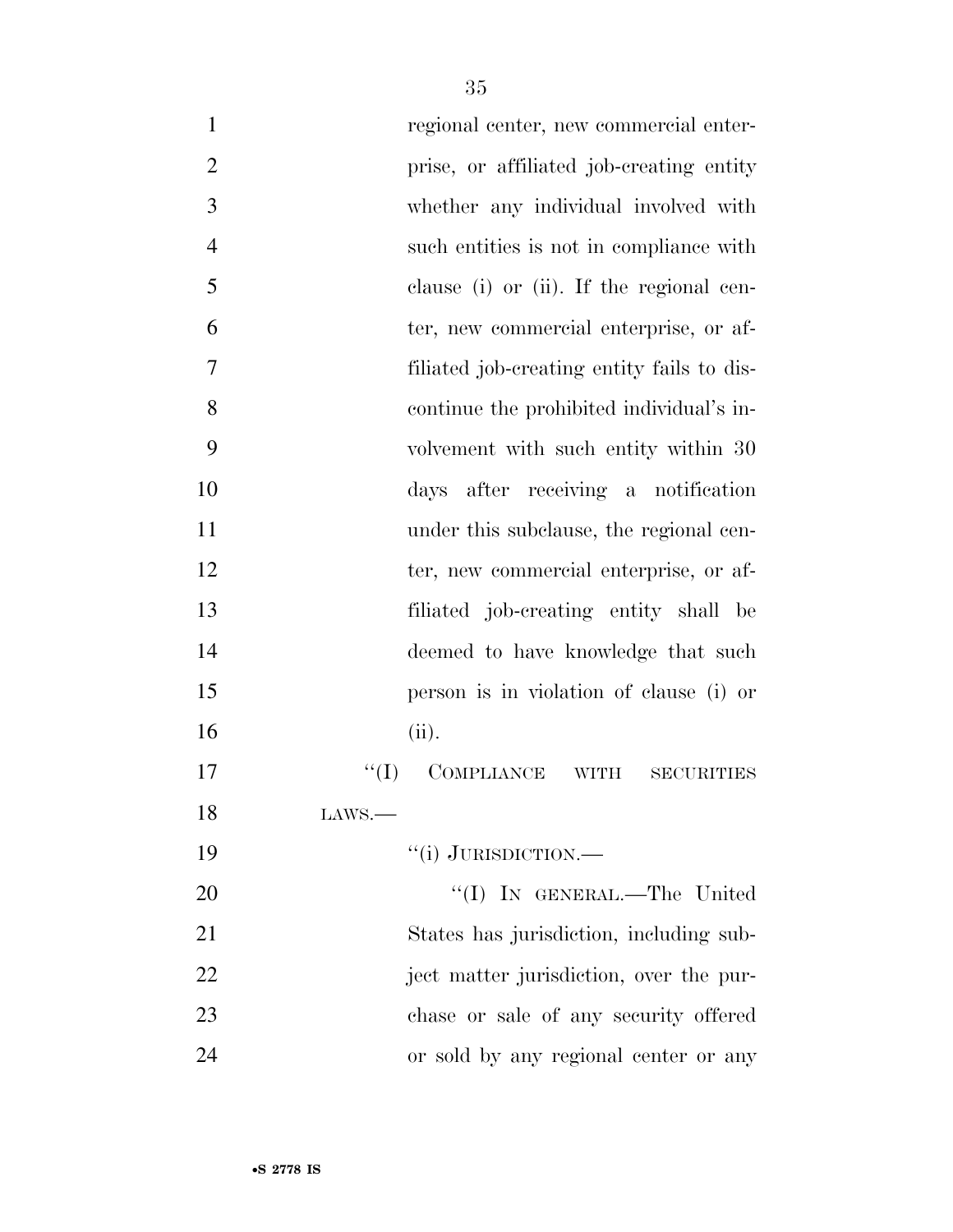| $\mathbf{1}$   | regional center, new commercial enter-        |
|----------------|-----------------------------------------------|
| $\overline{2}$ | prise, or affiliated job-creating entity      |
| 3              | whether any individual involved with          |
| $\overline{4}$ | such entities is not in compliance with       |
| 5              | clause (i) or (ii). If the regional cen-      |
| 6              | ter, new commercial enterprise, or af-        |
| 7              | filiated job-creating entity fails to dis-    |
| 8              | continue the prohibited individual's in-      |
| 9              | volvement with such entity within 30          |
| 10             | days after receiving a notification           |
| 11             | under this subclause, the regional cen-       |
| 12             | ter, new commercial enterprise, or af-        |
| 13             | filiated job-creating entity shall be         |
| 14             | deemed to have knowledge that such            |
| 15             | person is in violation of clause (i) or       |
| 16             | (ii).                                         |
| 17             | ``(I)<br>COMPLIANCE WITH<br><b>SECURITIES</b> |
| 18             | $\text{LANS.}$                                |
| 19             | "(i) JURISDICTION.—                           |
| 20             | "(I) IN GENERAL.—The United                   |
| 21             | States has jurisdiction, including sub-       |
| 22             | ject matter jurisdiction, over the pur-       |
| 23             | chase or sale of any security offered         |
| 24             | or sold by any regional center or any         |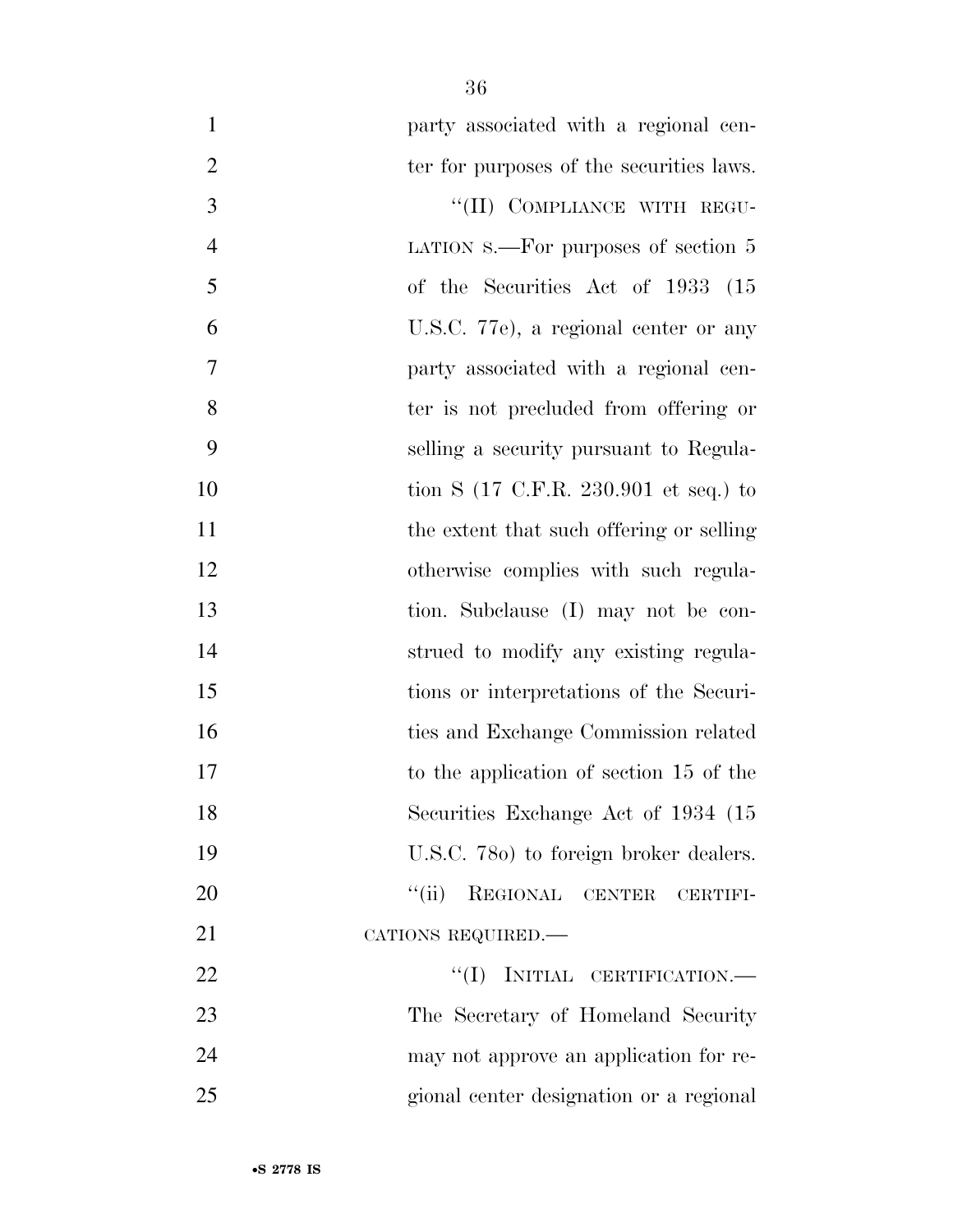| $\mathbf{1}$     | party associated with a regional cen-                    |
|------------------|----------------------------------------------------------|
| $\overline{2}$   | ter for purposes of the securities laws.                 |
| 3                | "(II) COMPLIANCE WITH REGU-                              |
| $\overline{4}$   | LATION $s$ . For purposes of section 5                   |
| 5                | of the Securities Act of 1933 (15                        |
| 6                | U.S.C. 77e), a regional center or any                    |
| $\boldsymbol{7}$ | party associated with a regional cen-                    |
| 8                | ter is not precluded from offering or                    |
| 9                | selling a security pursuant to Regula-                   |
| 10               | tion S $(17 \text{ C.F.R. } 230.901 \text{ et seq.})$ to |
| 11               | the extent that such offering or selling                 |
| 12               | otherwise complies with such regula-                     |
| 13               | tion. Subclause (I) may not be con-                      |
| 14               | strued to modify any existing regula-                    |
| 15               | tions or interpretations of the Securi-                  |
| 16               | ties and Exchange Commission related                     |
| 17               | to the application of section 15 of the                  |
| 18               | Securities Exchange Act of 1934 (15                      |
| 19               | U.S.C. 780) to foreign broker dealers.                   |
| 20               | $\lq(\mathrm{ii})$<br>REGIONAL CENTER<br>CERTIFI-        |
| 21               | CATIONS REQUIRED.-                                       |
| 22               | "(I) INITIAL CERTIFICATION.—                             |
| 23               | The Secretary of Homeland Security                       |
| 24               | may not approve an application for re-                   |
| 25               | gional center designation or a regional                  |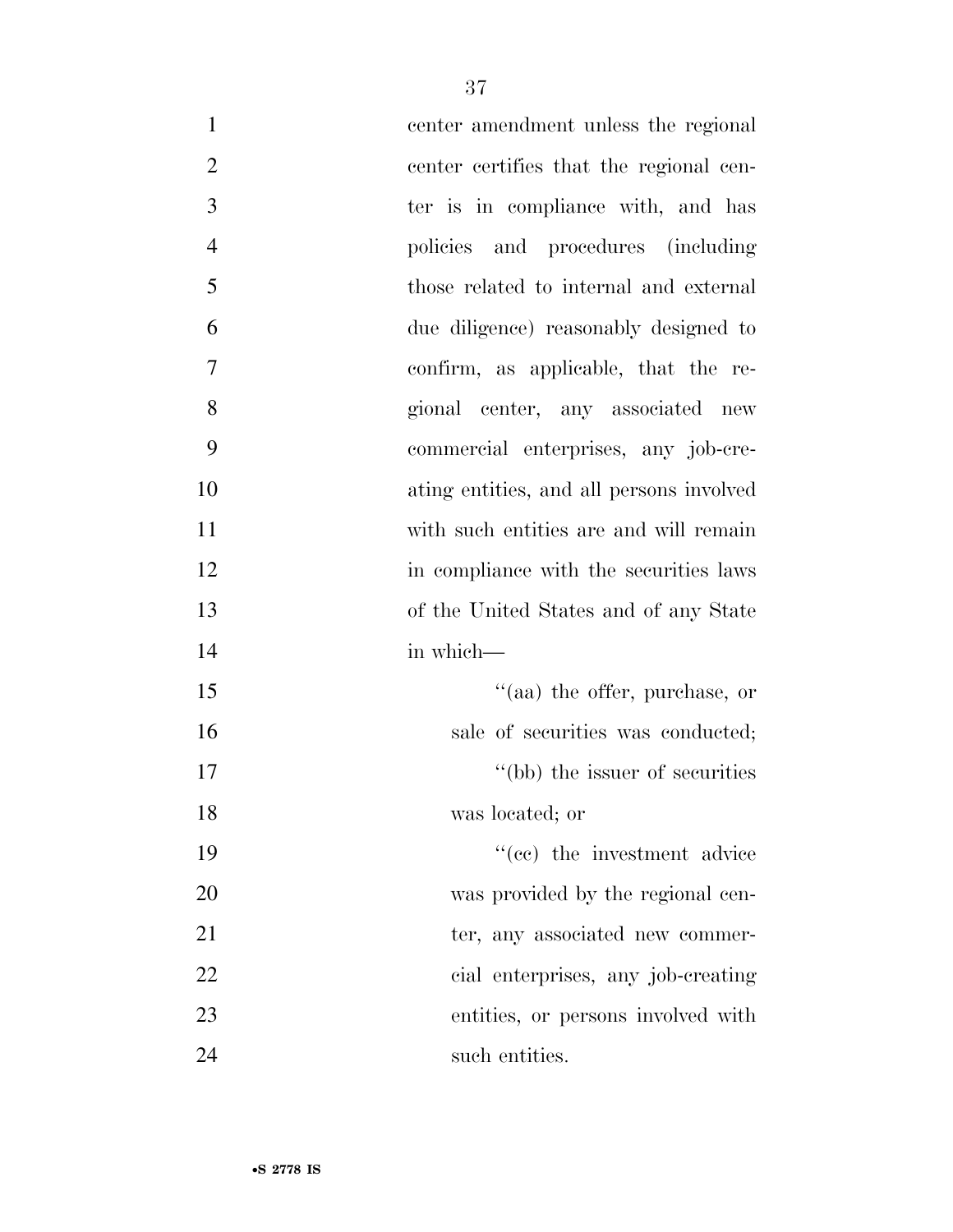| $\mathbf{1}$   | center amendment unless the regional     |
|----------------|------------------------------------------|
| $\overline{2}$ | center certifies that the regional cen-  |
| 3              | ter is in compliance with, and has       |
| $\overline{4}$ | policies and procedures (including       |
| 5              | those related to internal and external   |
| 6              | due diligence) reasonably designed to    |
| 7              | confirm, as applicable, that the re-     |
| 8              | gional center, any associated new        |
| 9              | commercial enterprises, any job-cre-     |
| 10             | ating entities, and all persons involved |
| 11             | with such entities are and will remain   |
| 12             | in compliance with the securities laws   |
| 13             | of the United States and of any State    |
| 14             | in which-                                |
| 15             | "(aa) the offer, purchase, or            |
| 16             | sale of securities was conducted;        |
| 17             | "(bb) the issuer of securities           |
| 18             | was located; or                          |
| 19             | "(cc) the investment advice              |
| 20             | was provided by the regional cen-        |
| 21             | ter, any associated new commer-          |
| 22             | cial enterprises, any job-creating       |
| 23             | entities, or persons involved with       |
| 24             | such entities.                           |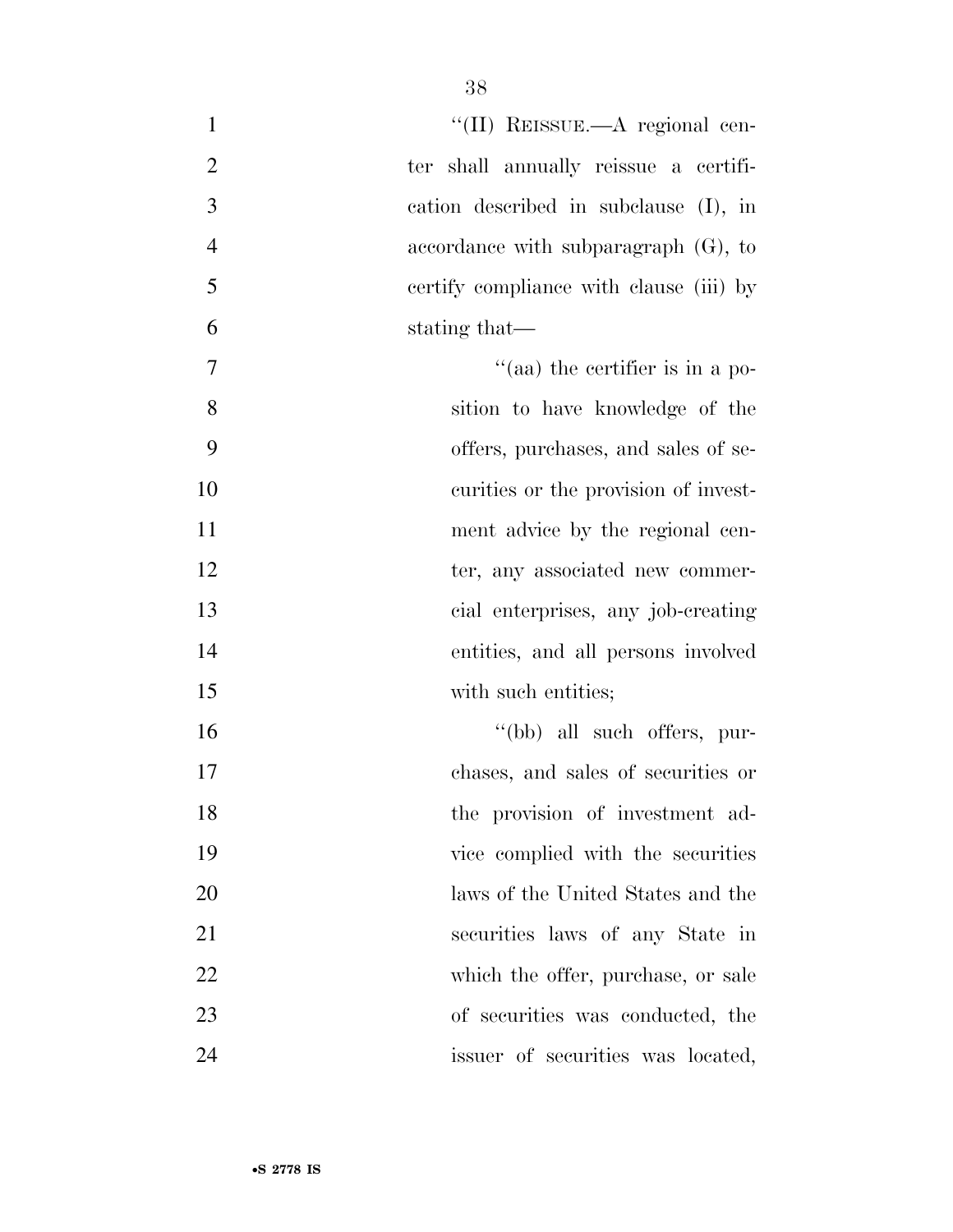| $\mathbf{1}$   | "(II) REISSUE.—A regional cen-          |
|----------------|-----------------------------------------|
| $\overline{2}$ | ter shall annually reissue a certifi-   |
| 3              | cation described in subclause (I), in   |
| $\overline{4}$ | accordance with subparagraph $(G)$ , to |
| 5              | certify compliance with clause (iii) by |
| 6              | stating that—                           |
| 7              | "(aa) the certifier is in a po-         |
| 8              | sition to have knowledge of the         |
| 9              | offers, purchases, and sales of se-     |
| 10             | curities or the provision of invest-    |
| 11             | ment advice by the regional cen-        |
| 12             | ter, any associated new commer-         |
| 13             | cial enterprises, any job-creating      |
| 14             | entities, and all persons involved      |
| 15             | with such entities;                     |
| 16             | "(bb) all such offers, pur-             |
| 17             | chases, and sales of securities or      |
| 18             | the provision of investment ad-         |
| 19             | vice complied with the securities       |
| 20             | laws of the United States and the       |
| 21             | securities laws of any State in         |
| 22             | which the offer, purchase, or sale      |
| 23             | of securities was conducted, the        |
| 24             | issuer of securities was located,       |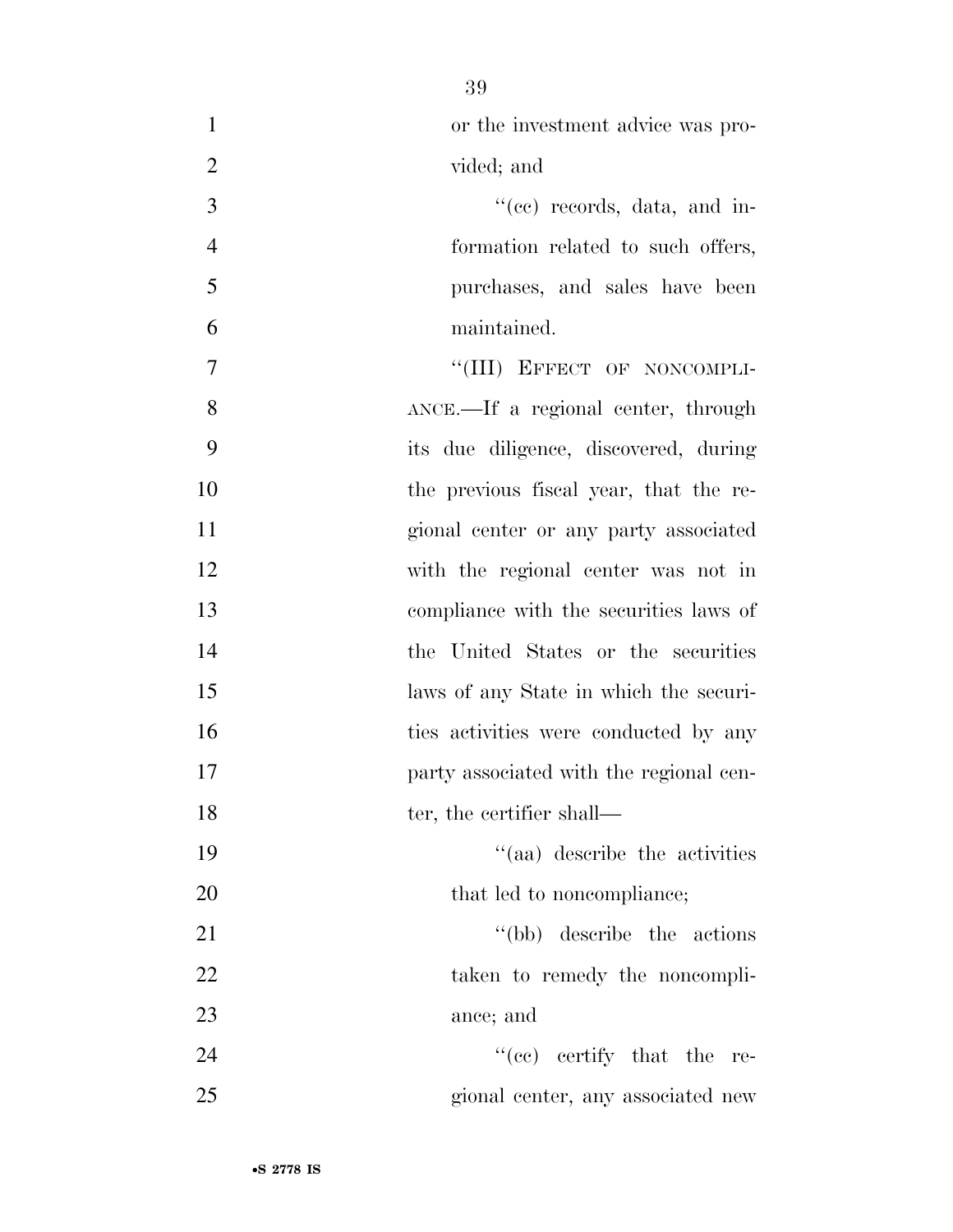| $\mathbf{1}$   | or the investment advice was pro-       |
|----------------|-----------------------------------------|
| $\overline{2}$ | vided; and                              |
| 3              | $``(ee)$ records, data, and in-         |
| $\overline{4}$ | formation related to such offers,       |
| 5              | purchases, and sales have been          |
| 6              | maintained.                             |
| 7              | "(III) EFFECT OF NONCOMPLI-             |
| 8              | ANCE.—If a regional center, through     |
| 9              | its due diligence, discovered, during   |
| 10             | the previous fiscal year, that the re-  |
| 11             | gional center or any party associated   |
| 12             | with the regional center was not in     |
| 13             | compliance with the securities laws of  |
| 14             | the United States or the securities     |
| 15             | laws of any State in which the securi-  |
| 16             | ties activities were conducted by any   |
| 17             | party associated with the regional cen- |
| 18             | ter, the certifier shall—               |
| 19             | "(aa) describe the activities           |
| 20             | that led to noncompliance;              |
| 21             | "(bb) describe the actions"             |
| 22             | taken to remedy the noncompli-          |
| 23             | ance; and                               |
| 24             | $\lq\lq$ (ce) certify that the re-      |
| 25             | gional center, any associated new       |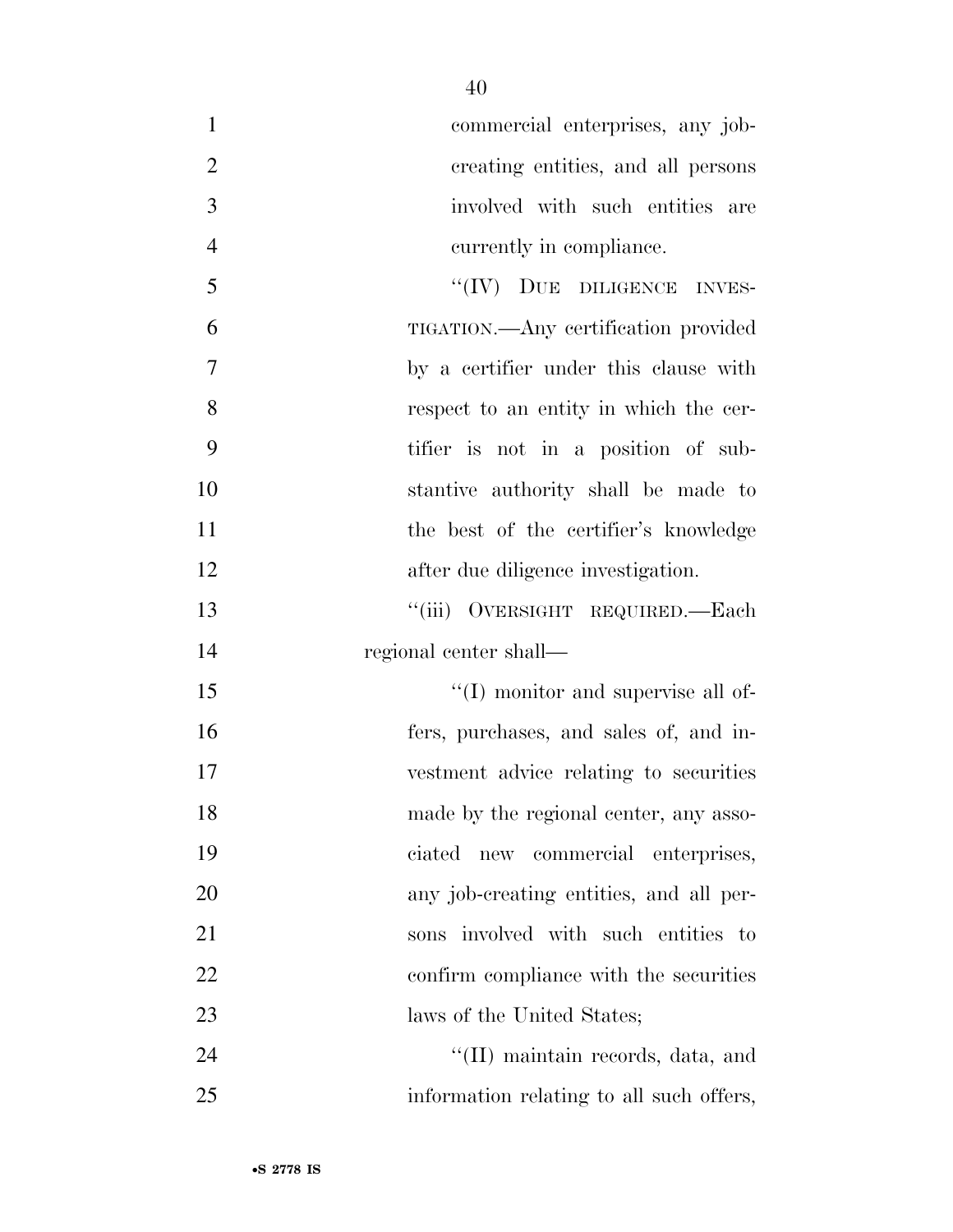| $\mathbf{1}$   | commercial enterprises, any job-         |
|----------------|------------------------------------------|
| $\overline{2}$ | creating entities, and all persons       |
| $\mathfrak{Z}$ | involved with such entities are          |
| $\overline{4}$ | currently in compliance.                 |
| 5              | "(IV) DUE DILIGENCE INVES-               |
| 6              | TIGATION.—Any certification provided     |
| $\tau$         | by a certifier under this clause with    |
| 8              | respect to an entity in which the cer-   |
| 9              | tifier is not in a position of sub-      |
| 10             | stantive authority shall be made to      |
| 11             | the best of the certifier's knowledge    |
| 12             | after due diligence investigation.       |
| 13             | "(iii) OVERSIGHT REQUIRED.—Each          |
| 14             | regional center shall—                   |
| 15             | "(I) monitor and supervise all of-       |
| 16             | fers, purchases, and sales of, and in-   |
| 17             | vestment advice relating to securities   |
| 18             | made by the regional center, any asso-   |
| 19             | ciated new commercial enterprises,       |
| 20             | any job-creating entities, and all per-  |
| 21             | sons involved with such entities to      |
| 22             | confirm compliance with the securities   |
| 23             | laws of the United States;               |
| 24             | "(II) maintain records, data, and        |
| 25             | information relating to all such offers, |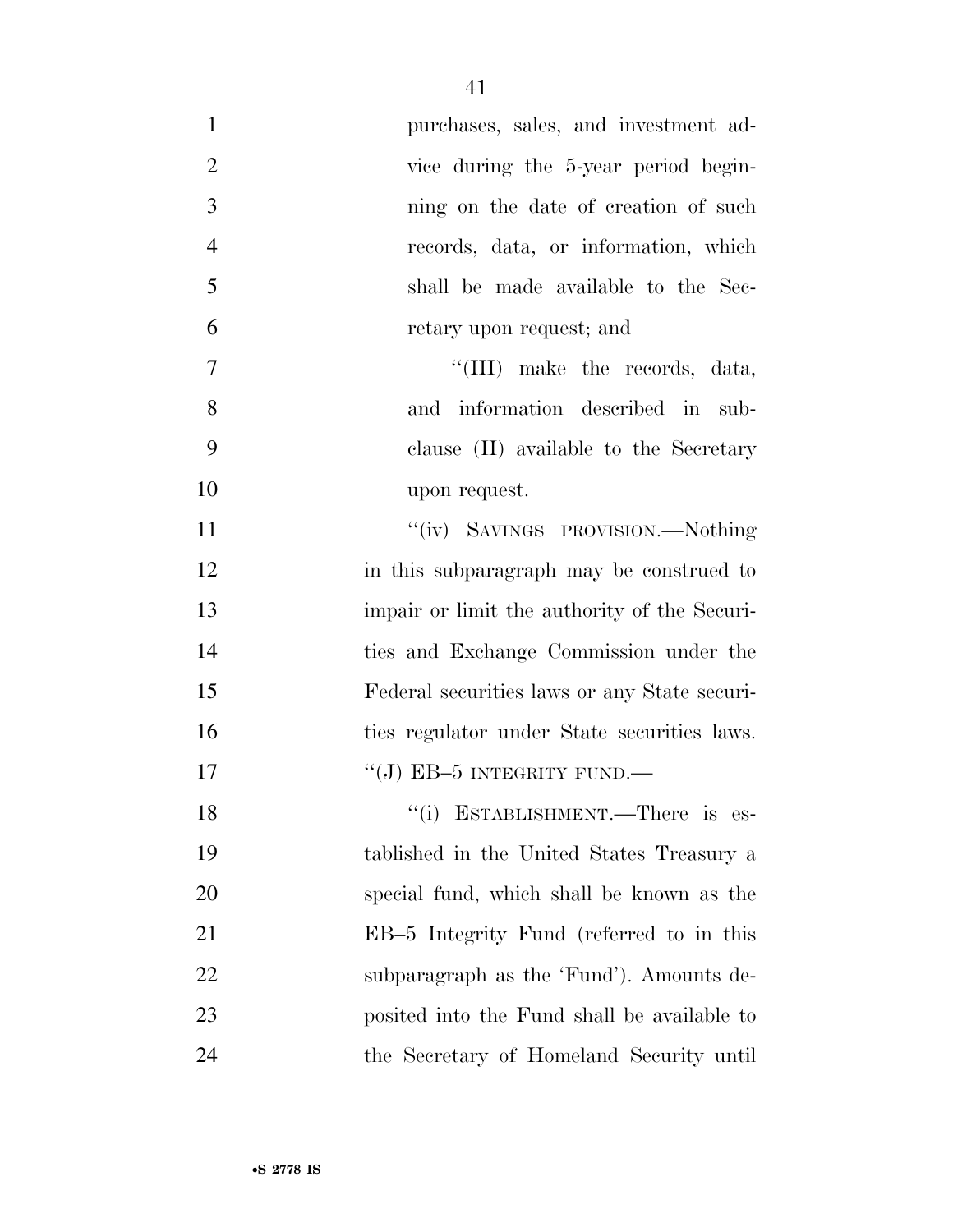| $\mathbf{1}$     | purchases, sales, and investment ad-            |
|------------------|-------------------------------------------------|
| $\overline{2}$   | vice during the 5-year period begin-            |
| 3                | ning on the date of creation of such            |
| $\overline{4}$   | records, data, or information, which            |
| 5                | shall be made available to the Sec-             |
| 6                | retary upon request; and                        |
| $\boldsymbol{7}$ | "(III) make the records, data,                  |
| 8                | and information described in sub-               |
| 9                | clause (II) available to the Secretary          |
| 10               | upon request.                                   |
| 11               | "(iv) SAVINGS PROVISION.—Nothing                |
| 12               | in this subparagraph may be construed to        |
| 13               | impair or limit the authority of the Securi-    |
| 14               | ties and Exchange Commission under the          |
| 15               | Federal securities laws or any State securi-    |
| 16               | ties regulator under State securities laws.     |
| 17               | "(J) EB-5 INTEGRITY FUND.—                      |
| 18               | "(i) ESTABLISHMENT.—There is<br>$\mathrm{es}$ - |
| 19               | tablished in the United States Treasury a       |
| 20               | special fund, which shall be known as the       |
| 21               | EB-5 Integrity Fund (referred to in this        |
| 22               | subparagraph as the 'Fund'). Amounts de-        |
| 23               | posited into the Fund shall be available to     |
| 24               | the Secretary of Homeland Security until        |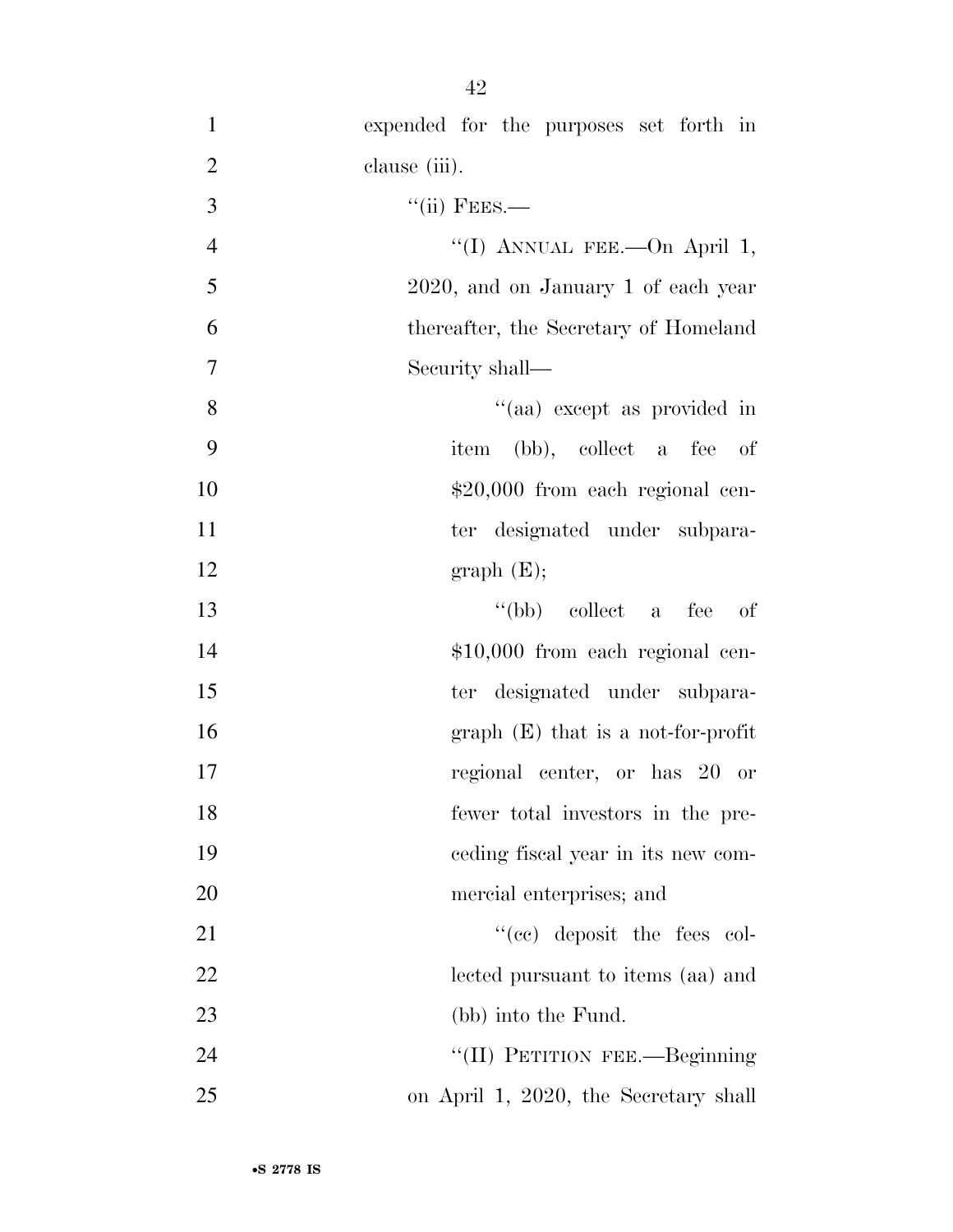expended for the purposes set forth in clause (iii). ''(ii) FEES.— 4 "(I) ANNUAL FEE.—On April 1, 2020, and on January 1 of each year thereafter, the Secretary of Homeland Security shall—  $"$ (aa) except as provided in item (bb), collect a fee of  $$20,000$  from each regional cen-11 ter designated under subpara-12 graph  $(E);$ 13 ''(bb) collect a fee of  $$10,000$  from each regional cen- ter designated under subpara- graph (E) that is a not-for-profit regional center, or has 20 or fewer total investors in the pre- ceding fiscal year in its new com- mercial enterprises; and 21 ''(cc) deposit the fees col- lected pursuant to items (aa) and 23 (bb) into the Fund.

24 ''(II) PETITION FEE.—Beginning 25 on April 1, 2020, the Secretary shall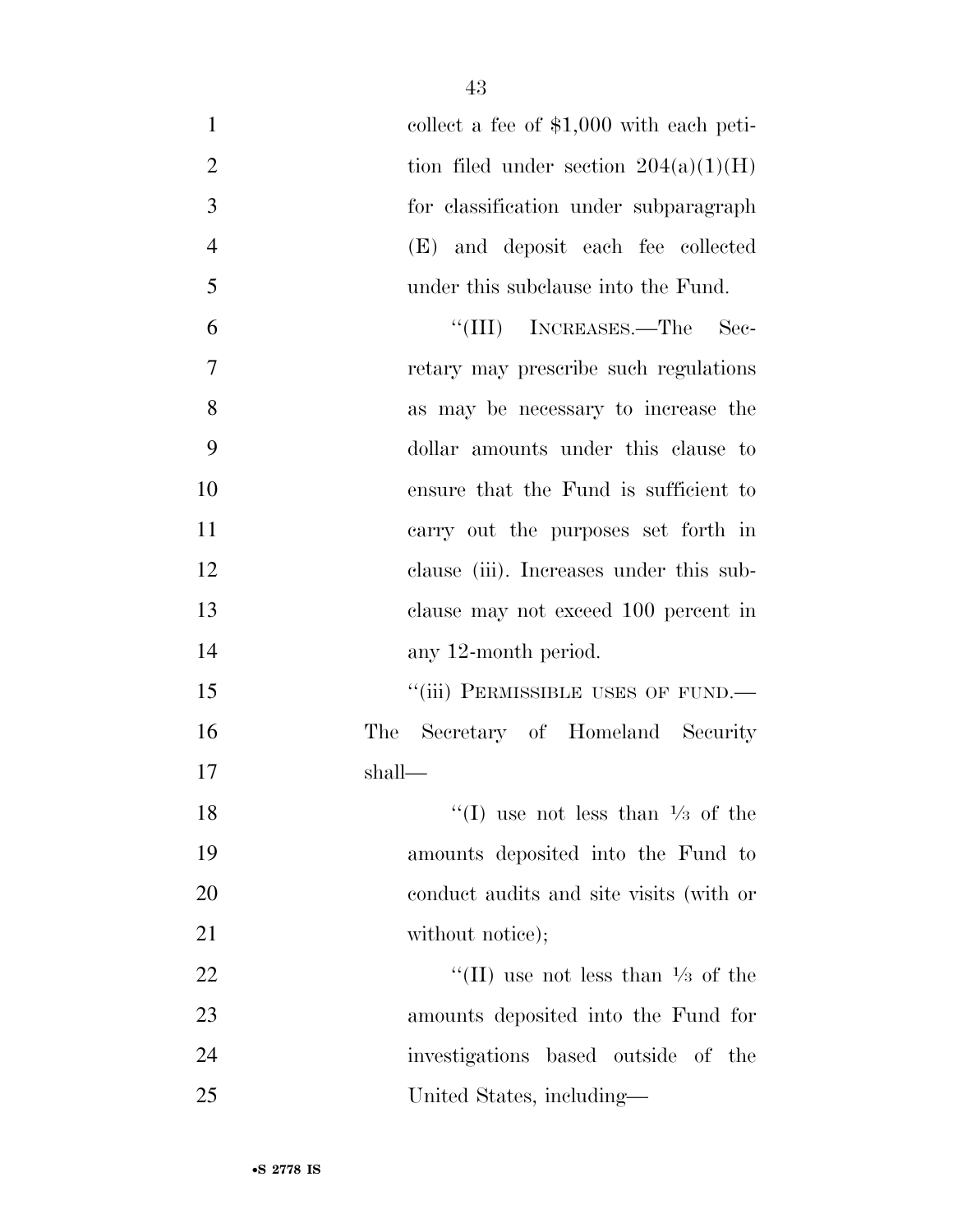| $\mathbf{1}$   | collect a fee of $$1,000$ with each peti-    |
|----------------|----------------------------------------------|
| $\overline{2}$ | tion filed under section $204(a)(1)(H)$      |
| 3              | for classification under subparagraph        |
| $\overline{4}$ | (E) and deposit each fee collected           |
| 5              | under this subclause into the Fund.          |
| 6              | "(III) INCREASES.—The Sec-                   |
| 7              | retary may prescribe such regulations        |
| 8              | as may be necessary to increase the          |
| 9              | dollar amounts under this clause to          |
| 10             | ensure that the Fund is sufficient to        |
| 11             | carry out the purposes set forth in          |
| 12             | clause (iii). Increases under this sub-      |
| 13             | clause may not exceed 100 percent in         |
| 14             | any 12-month period.                         |
| 15             | "(iii) PERMISSIBLE USES OF FUND.—            |
| 16             | Secretary of Homeland Security<br>The        |
| 17             | shall—                                       |
| 18             | "(I) use not less than $\frac{1}{3}$ of the  |
| 19             | amounts deposited into the Fund to           |
| 20             | conduct audits and site visits (with or      |
| 21             | without notice);                             |
| 22             | "(II) use not less than $\frac{1}{3}$ of the |
| 23             | amounts deposited into the Fund for          |
| 24             | investigations based outside of the          |
| 25             | United States, including—                    |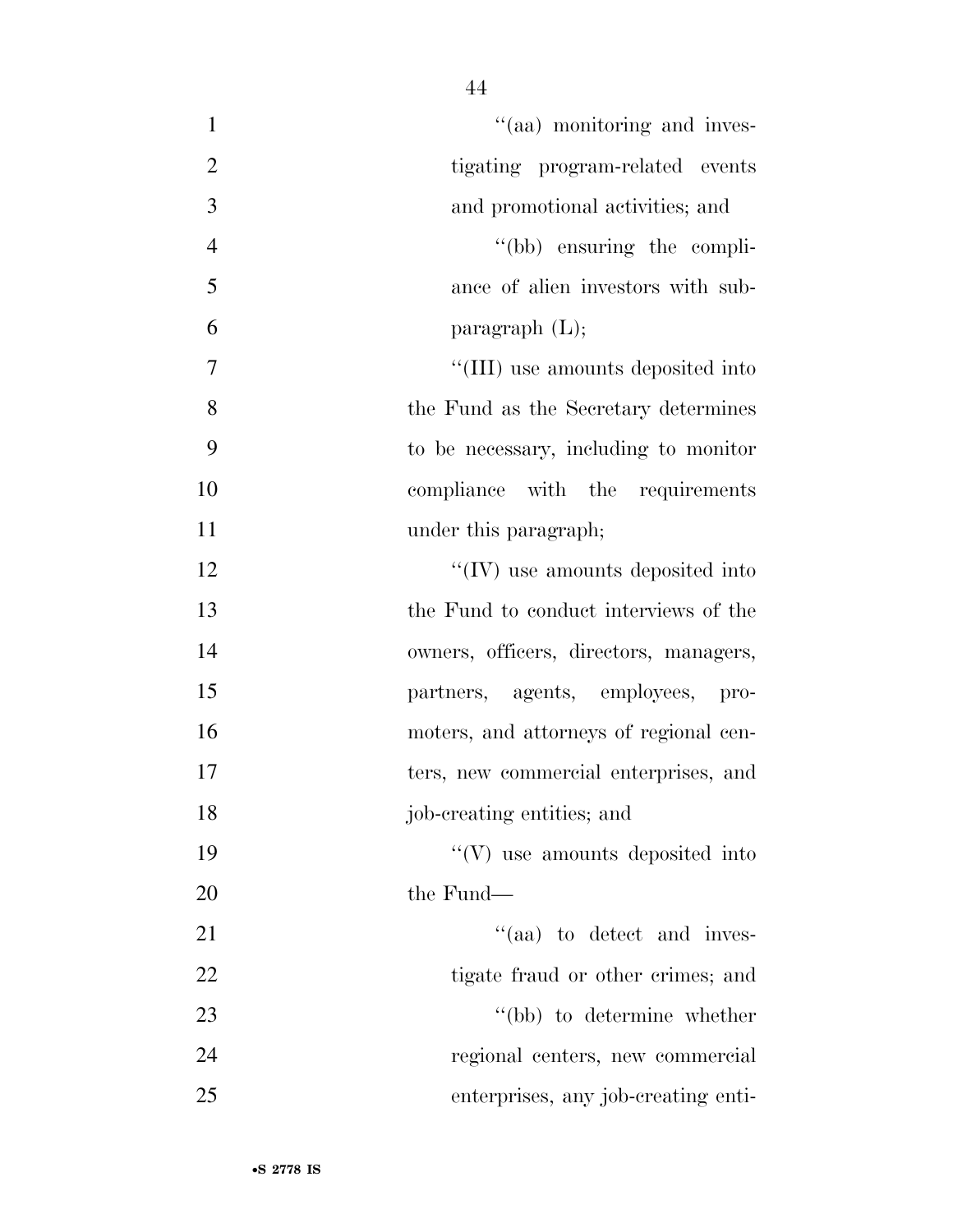| "(aa) monitoring and inves-<br>$\mathbf{1}$       |  |
|---------------------------------------------------|--|
| $\overline{2}$<br>tigating program-related events |  |
| $\overline{3}$<br>and promotional activities; and |  |
| $\overline{4}$<br>"(bb) ensuring the compli-      |  |
| 5<br>ance of alien investors with sub-            |  |
| 6<br>paragraph $(L)$ ;                            |  |
| "(III) use amounts deposited into<br>7            |  |
| 8<br>the Fund as the Secretary determines         |  |
| 9<br>to be necessary, including to monitor        |  |
| 10<br>compliance with the requirements            |  |
| 11<br>under this paragraph;                       |  |
| $\lq\lq$ (IV) use amounts deposited into<br>12    |  |
| 13<br>the Fund to conduct interviews of the       |  |
| 14<br>owners, officers, directors, managers,      |  |
| 15<br>partners, agents, employees, pro-           |  |
| 16<br>moters, and attorneys of regional cen-      |  |
| 17<br>ters, new commercial enterprises, and       |  |
| job-creating entities; and<br>18                  |  |
| $\lq\lq(V)$ use amounts deposited into<br>19      |  |
| 20<br>the Fund—                                   |  |
| "(aa) to detect and inves-<br>21                  |  |
| 22<br>tigate fraud or other crimes; and           |  |
| 23<br>"(bb) to determine whether                  |  |
| 24<br>regional centers, new commercial            |  |
| 25<br>enterprises, any job-creating enti-         |  |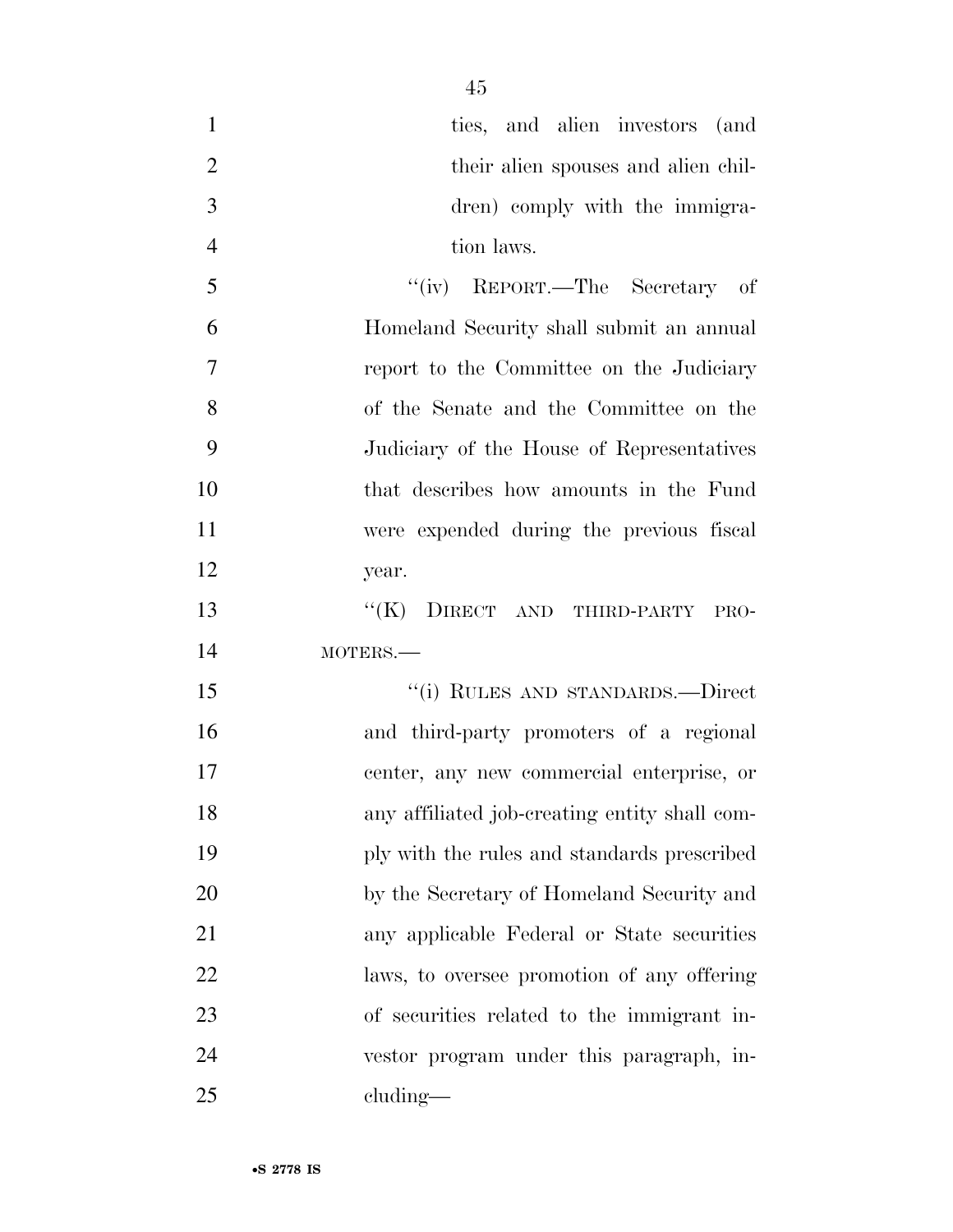| $\mathbf{1}$   | ties, and alien investors (and                |
|----------------|-----------------------------------------------|
| $\overline{2}$ | their alien spouses and alien chil-           |
| 3              | dren) comply with the immigra-                |
| $\overline{4}$ | tion laws.                                    |
| 5              | "(iv) REPORT.—The Secretary of                |
| 6              | Homeland Security shall submit an annual      |
| 7              | report to the Committee on the Judiciary      |
| 8              | of the Senate and the Committee on the        |
| 9              | Judiciary of the House of Representatives     |
| 10             | that describes how amounts in the Fund        |
| 11             | were expended during the previous fiscal      |
| 12             | year.                                         |
| 13             | "(K) DIRECT AND THIRD-PARTY PRO-              |
| 14             | MOTERS.-                                      |
| 15             | "(i) RULES AND STANDARDS.—Direct              |
| 16             | and third-party promoters of a regional       |
| 17             | center, any new commercial enterprise, or     |
| 18             | any affiliated job-creating entity shall com- |
| 19             | ply with the rules and standards prescribed   |
| 20             | by the Secretary of Homeland Security and     |
| 21             | any applicable Federal or State securities    |
| 22             | laws, to oversee promotion of any offering    |
| 23             | of securities related to the immigrant in-    |
| 24             | vestor program under this paragraph, in-      |
| 25             | cluding—                                      |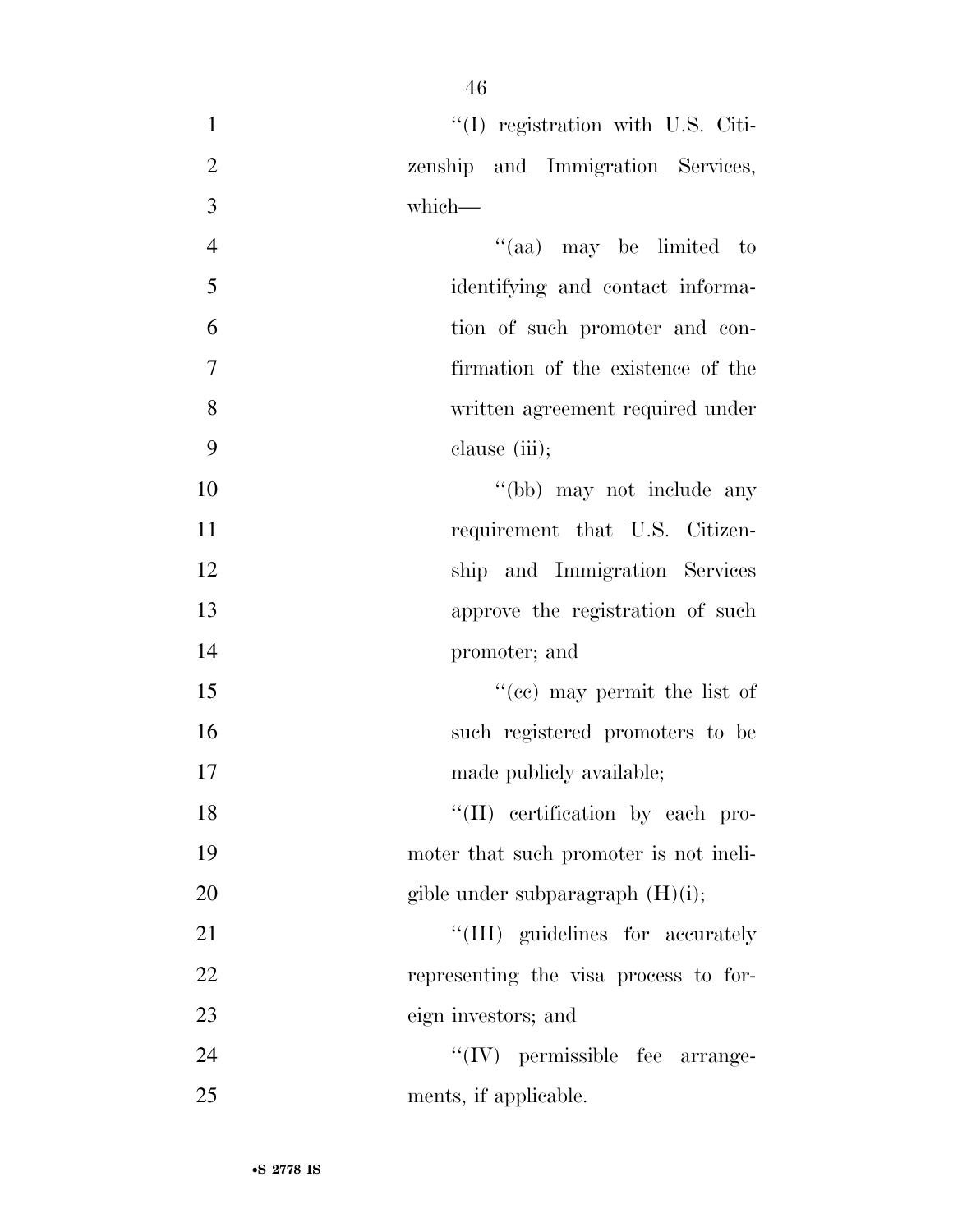| $\mathbf{1}$   | $\lq(1)$ registration with U.S. Citi-  |
|----------------|----------------------------------------|
| $\overline{2}$ | zenship and Immigration Services,      |
| 3              | which-                                 |
| $\overline{4}$ | "(aa) may be limited to                |
| 5              | identifying and contact informa-       |
| 6              | tion of such promoter and con-         |
| $\overline{7}$ | firmation of the existence of the      |
| 8              | written agreement required under       |
| 9              | clause (iii);                          |
| 10             | "(bb) may not include any              |
| 11             | requirement that U.S. Citizen-         |
| 12             | ship and Immigration Services          |
| 13             | approve the registration of such       |
| 14             | promoter; and                          |
| 15             | "(cc) may permit the list of           |
| 16             | such registered promoters to be        |
| 17             | made publicly available;               |
| 18             | "(II) certification by each pro-       |
| 19             | moter that such promoter is not ineli- |
| 20             | gible under subparagraph $(H)(i)$ ;    |
| 21             | "(III) guidelines for accurately       |
| 22             | representing the visa process to for-  |
| 23             | eign investors; and                    |
| 24             | $\lq\lq$ (IV) permissible fee arrange- |
| 25             | ments, if applicable.                  |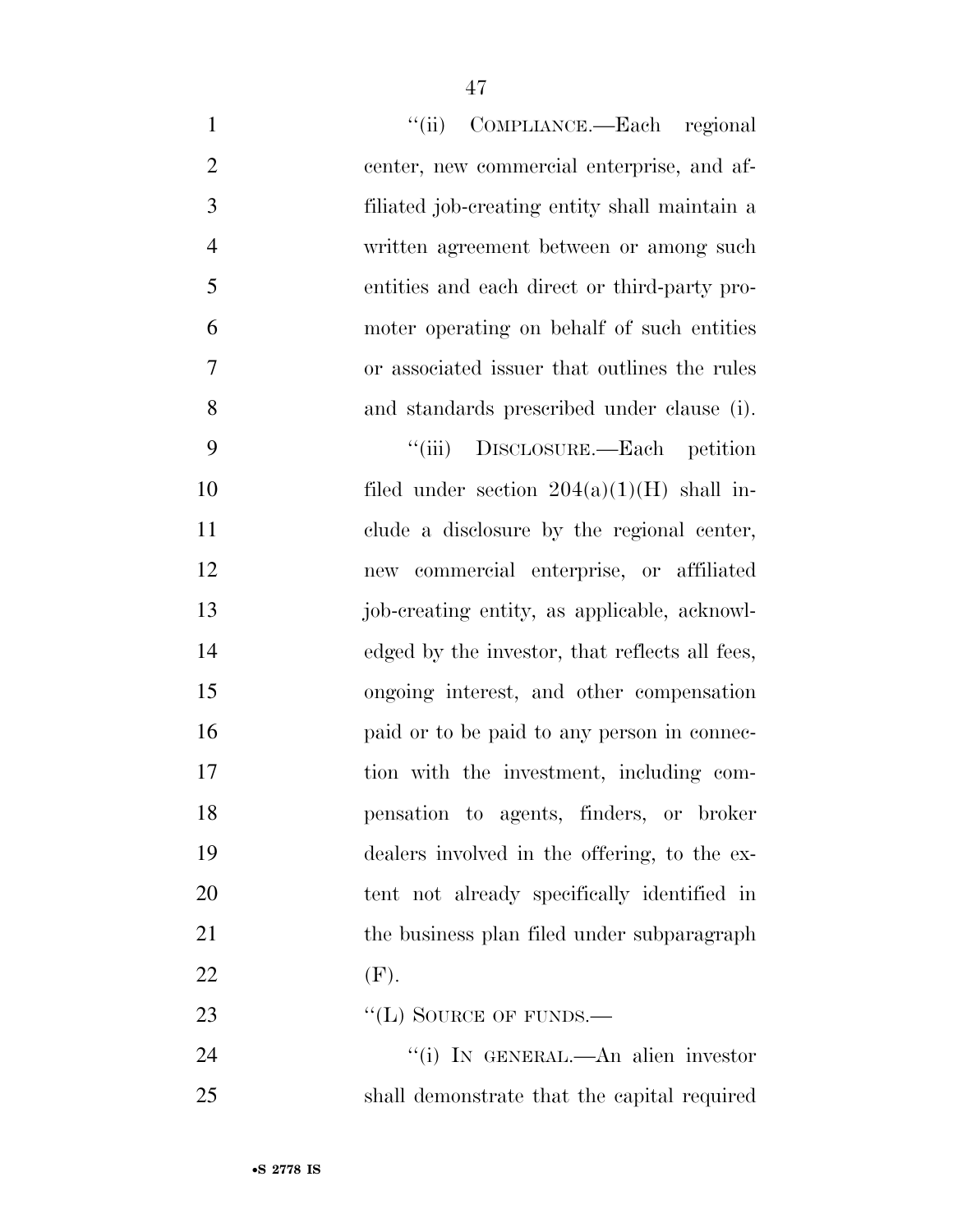| $\mathbf{1}$   | "(ii) COMPLIANCE.—Each regional                |
|----------------|------------------------------------------------|
| $\overline{2}$ | center, new commercial enterprise, and af-     |
| 3              | filiated job-creating entity shall maintain a  |
| $\overline{4}$ | written agreement between or among such        |
| 5              | entities and each direct or third-party pro-   |
| 6              | moter operating on behalf of such entities     |
| 7              | or associated issuer that outlines the rules   |
| 8              | and standards prescribed under clause (i).     |
| 9              | ``(iii)<br>DISCLOSURE.—Each petition           |
| 10             | filed under section $204(a)(1)(H)$ shall in-   |
| 11             | clude a disclosure by the regional center,     |
| 12             | new commercial enterprise, or affiliated       |
| 13             | job-creating entity, as applicable, acknowl-   |
| 14             | edged by the investor, that reflects all fees, |
| 15             | ongoing interest, and other compensation       |
| 16             | paid or to be paid to any person in connec-    |
| 17             | tion with the investment, including com-       |
| 18             | pensation to agents, finders, or broker        |
| 19             | dealers involved in the offering, to the ex-   |
| 20             | tent not already specifically identified in    |
| 21             | the business plan filed under subparagraph     |
| 22             | (F).                                           |
| 23             | "(L) SOURCE OF FUNDS.—                         |
| 24             | "(i) IN GENERAL.—An alien investor             |
| 25             | shall demonstrate that the capital required    |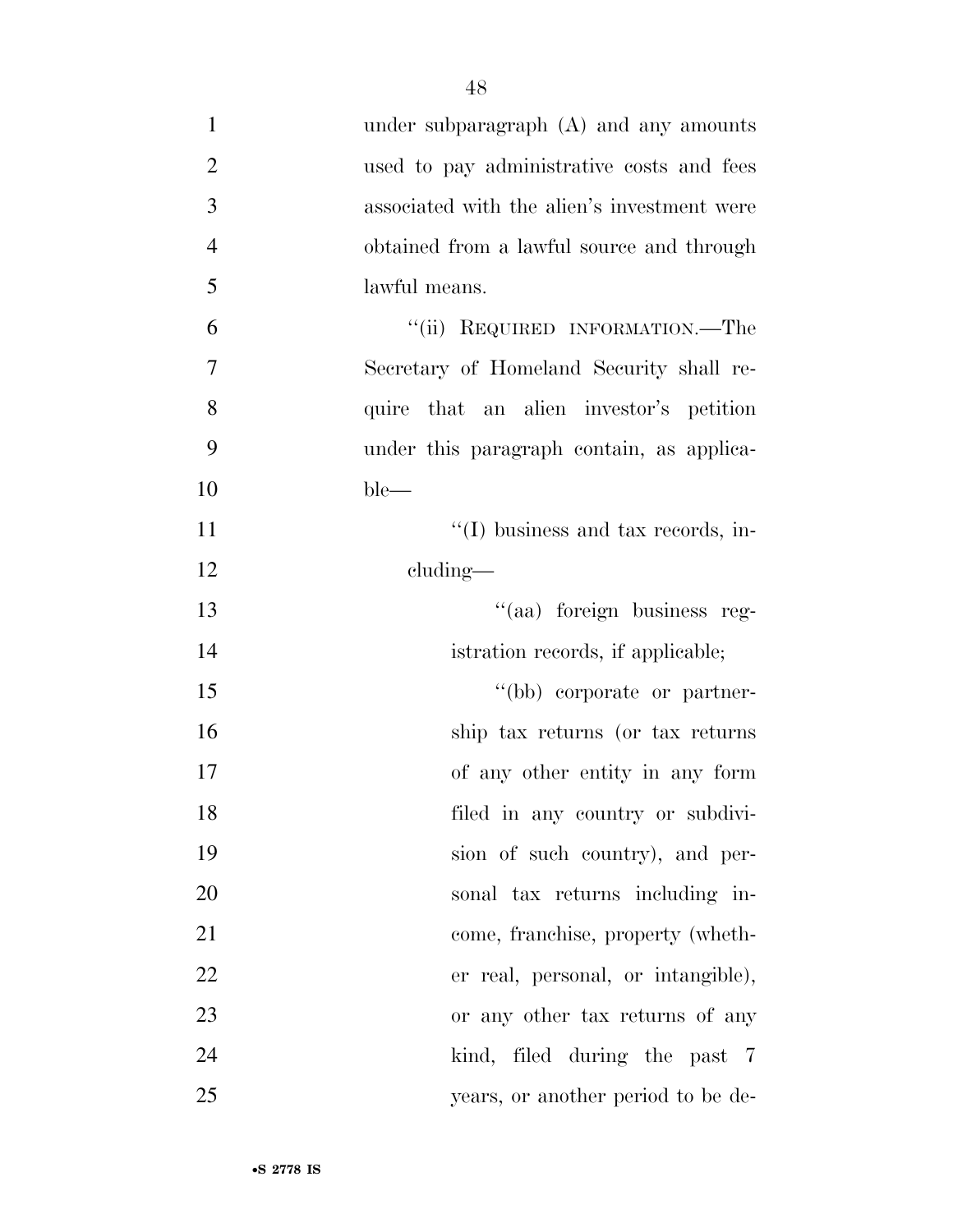| $\mathbf{1}$   | under subparagraph (A) and any amounts      |
|----------------|---------------------------------------------|
| $\overline{2}$ | used to pay administrative costs and fees   |
| 3              | associated with the alien's investment were |
| $\overline{4}$ | obtained from a lawful source and through   |
| 5              | lawful means.                               |
| 6              | "(ii) REQUIRED INFORMATION.—The             |
| $\tau$         | Secretary of Homeland Security shall re-    |
| 8              | quire that an alien investor's petition     |
| 9              | under this paragraph contain, as applica-   |
| 10             | $ble-$                                      |
| 11             | $\lq\lq$ (I) business and tax records, in-  |
| 12             | $cluding$ —                                 |
| 13             | "(aa) foreign business reg-                 |
| 14             | istration records, if applicable;           |
| 15             | "(bb) corporate or partner-                 |
| 16             | ship tax returns (or tax returns            |
| 17             | of any other entity in any form             |
| 18             | filed in any country or subdivi-            |
| 19             | sion of such country), and per-             |
| 20             | sonal tax returns including in-             |
| 21             | come, franchise, property (wheth-           |
| 22             | er real, personal, or intangible),          |
| 23             | or any other tax returns of any             |
| 24             | kind, filed during the past 7               |
| 25             | years, or another period to be de-          |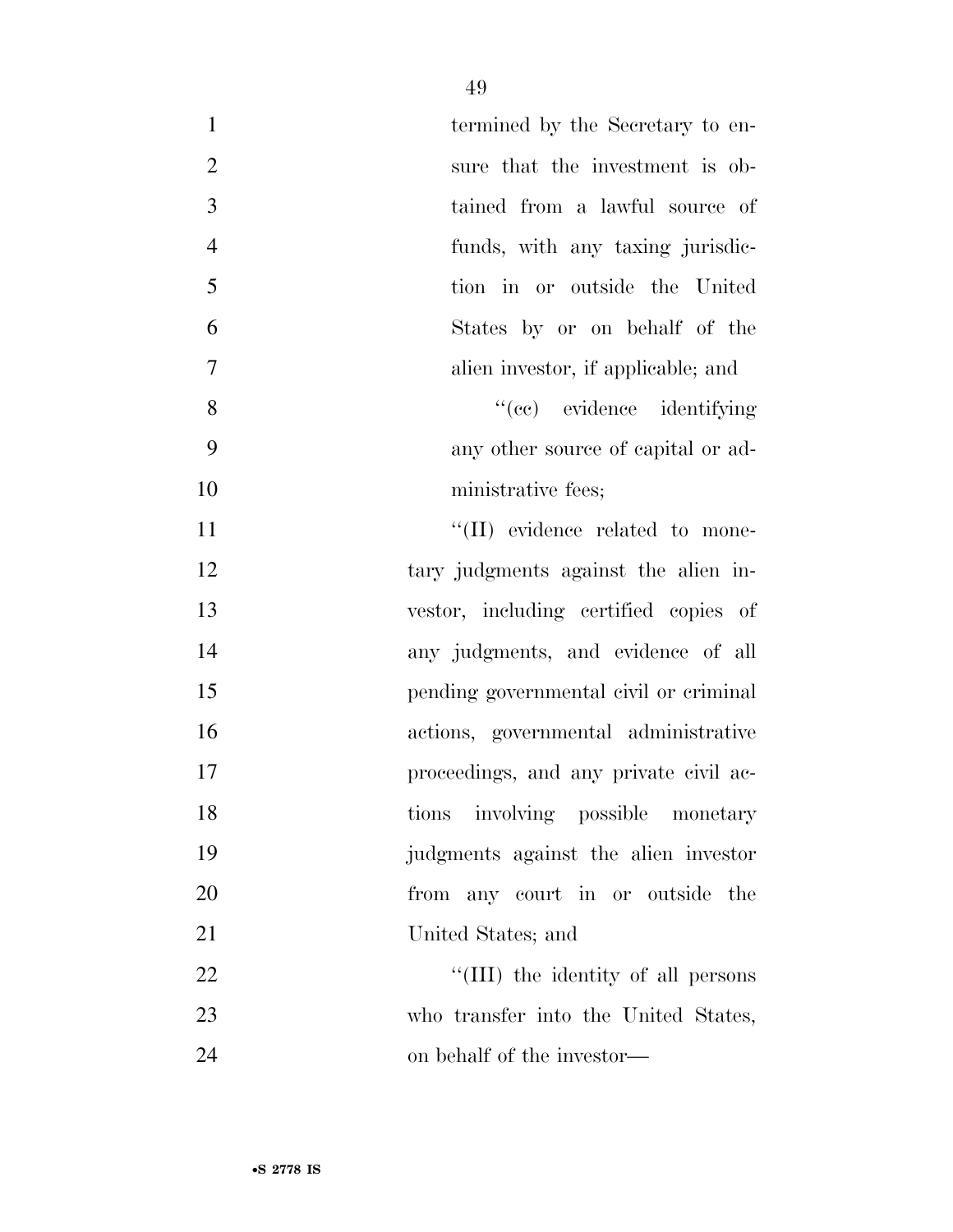| $\mathbf{1}$   | termined by the Secretary to en-        |
|----------------|-----------------------------------------|
| $\overline{2}$ | sure that the investment is ob-         |
| 3              | tained from a lawful source of          |
| $\overline{4}$ | funds, with any taxing jurisdic-        |
| 5              | tion in or outside the United           |
| 6              | States by or on behalf of the           |
| 7              | alien investor, if applicable; and      |
| 8              | "(cc) evidence identifying              |
| 9              | any other source of capital or ad-      |
| 10             | ministrative fees;                      |
| 11             | $\lq\lq$ (II) evidence related to mone- |
| 12             | tary judgments against the alien in-    |
| 13             | vestor, including certified copies of   |
| 14             | any judgments, and evidence of all      |
| 15             | pending governmental civil or criminal  |
| 16             | actions, governmental administrative    |
| 17             | proceedings, and any private civil ac-  |
| 18             | tions involving possible monetary       |
| 19             | judgments against the alien investor    |
| 20             | from any court in or outside the        |
| 21             | United States; and                      |
| 22             | "(III) the identity of all persons      |
| 23             | who transfer into the United States,    |
| 24             | on behalf of the investor—              |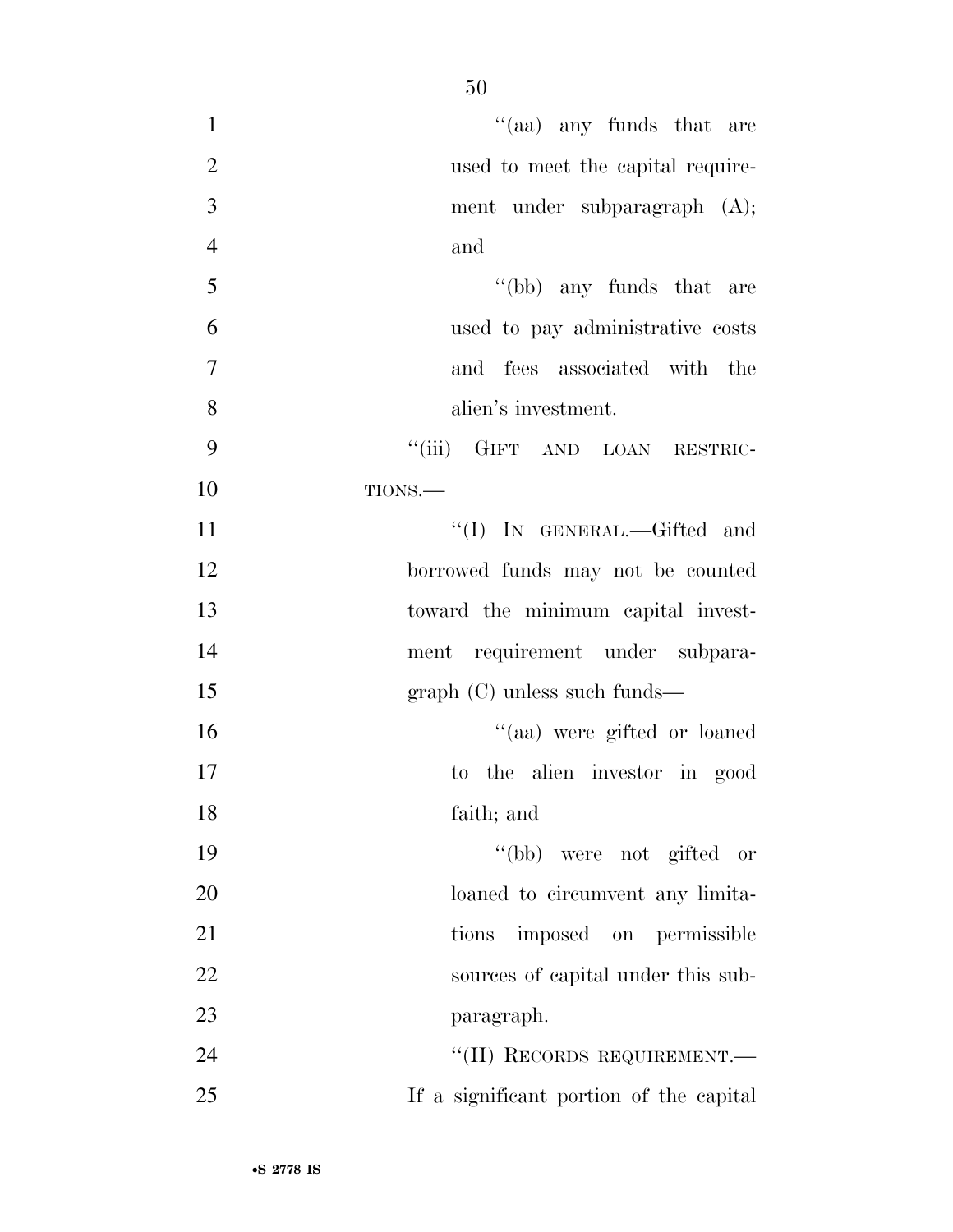| $\mathbf{1}$   | $\lq\lq$ (aa) any funds that are        |
|----------------|-----------------------------------------|
| $\overline{2}$ | used to meet the capital require-       |
| 3              | ment under subparagraph $(A)$ ;         |
| $\overline{4}$ | and                                     |
| 5              | "(bb) any funds that are                |
| 6              | used to pay administrative costs        |
| 7              | and fees associated with the            |
| 8              | alien's investment.                     |
| 9              | "(iii) GIFT AND LOAN RESTRIC-           |
| 10             | TIONS.-                                 |
| 11             | "(I) IN GENERAL.—Gifted and             |
| 12             | borrowed funds may not be counted       |
| 13             | toward the minimum capital invest-      |
| 14             | ment requirement under subpara-         |
| 15             | $graph (C)$ unless such funds—          |
| 16             | "(aa) were gifted or loaned             |
| 17             | to the alien investor in good           |
| 18             | faith; and                              |
| 19             | "(bb) were not gifted or                |
| 20             | loaned to circumvent any limita-        |
| 21             | imposed on permissible<br>tions         |
| 22             | sources of capital under this sub-      |
| 23             | paragraph.                              |
| 24             | "(II) RECORDS REQUIREMENT.-             |
| 25             | If a significant portion of the capital |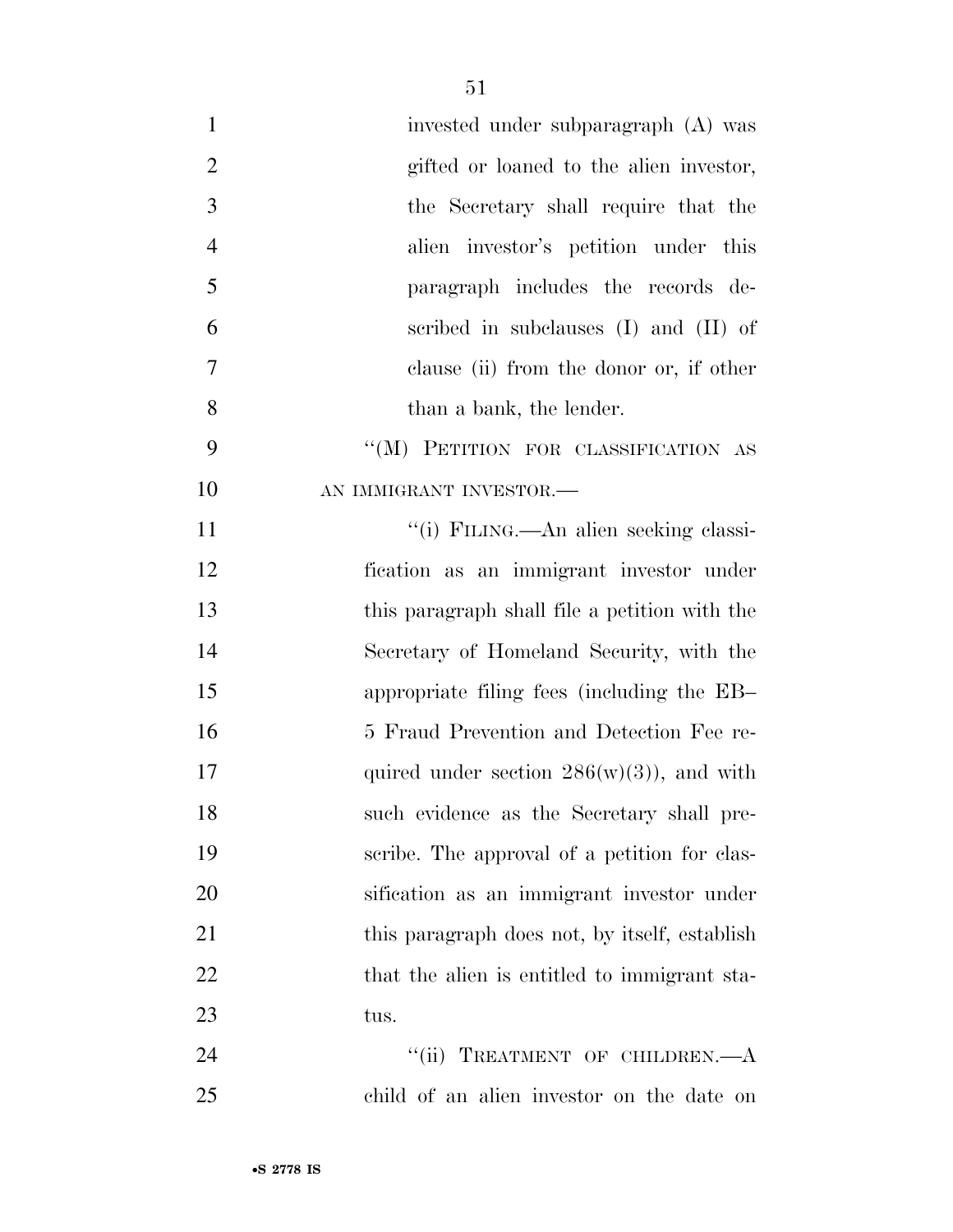| $\mathbf{1}$   | invested under subparagraph (A) was           |
|----------------|-----------------------------------------------|
| $\overline{2}$ | gifted or loaned to the alien investor,       |
| $\mathfrak{Z}$ | the Secretary shall require that the          |
| $\overline{4}$ | alien investor's petition under this          |
| 5              | paragraph includes the records de-            |
| 6              | scribed in subclauses $(I)$ and $(II)$ of     |
| $\tau$         | clause (ii) from the donor or, if other       |
| 8              | than a bank, the lender.                      |
| 9              | "(M) PETITION FOR CLASSIFICATION AS           |
| 10             | AN IMMIGRANT INVESTOR.-                       |
| 11             | "(i) FILING.—An alien seeking classi-         |
| 12             | fication as an immigrant investor under       |
| 13             | this paragraph shall file a petition with the |
| 14             | Secretary of Homeland Security, with the      |
| 15             | appropriate filing fees (including the EB-    |
| 16             | 5 Fraud Prevention and Detection Fee re-      |
| 17             | quired under section $286(w)(3)$ , and with   |
| 18             | such evidence as the Secretary shall pre-     |
| 19             | scribe. The approval of a petition for clas-  |
| 20             | sification as an immigrant investor under     |
| 21             | this paragraph does not, by itself, establish |
| 22             | that the alien is entitled to immigrant sta-  |
| 23             | tus.                                          |
| 24             | TREATMENT OF CHILDREN.- A<br>``(ii)           |
| 25             | child of an alien investor on the date on     |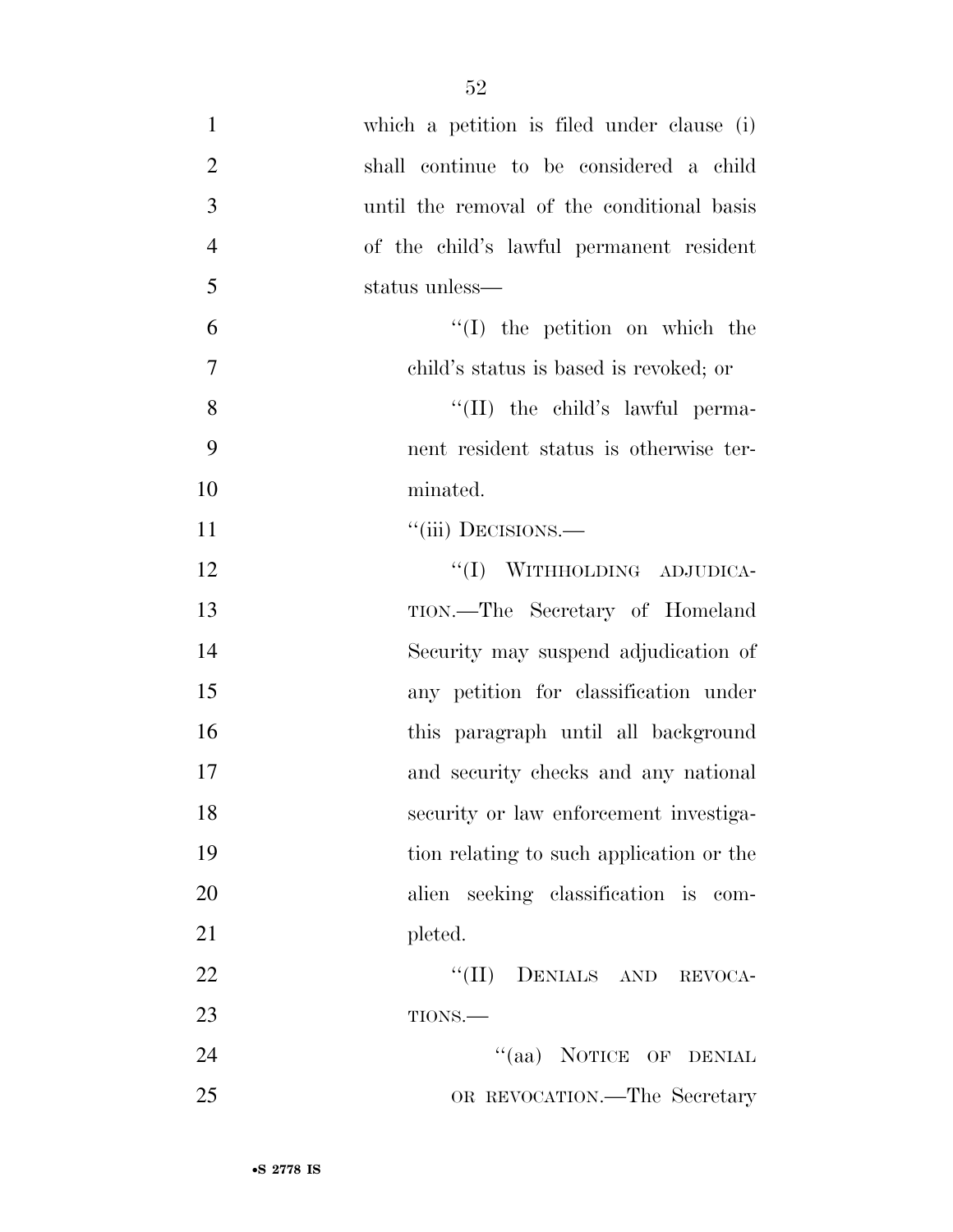| $\mathbf{1}$   | which a petition is filed under clause (i) |
|----------------|--------------------------------------------|
| $\overline{2}$ | shall continue to be considered a child    |
| 3              | until the removal of the conditional basis |
| $\overline{4}$ | of the child's lawful permanent resident   |
| 5              | status unless—                             |
| 6              | $\lq\lq$ the petition on which the         |
| $\overline{7}$ | child's status is based is revoked; or     |
| 8              | $\lq\lq$ (II) the child's lawful perma-    |
| 9              | nent resident status is otherwise ter-     |
| 10             | minated.                                   |
| 11             | "(iii) DECISIONS.-                         |
| 12             | "(I) WITHHOLDING ADJUDICA-                 |
| 13             | TION.—The Secretary of Homeland            |
| 14             | Security may suspend adjudication of       |
| 15             | any petition for classification under      |
| 16             | this paragraph until all background        |
| 17             | and security checks and any national       |
| 18             | security or law enforcement investiga-     |
| 19             | tion relating to such application or the   |
| 20             | alien seeking classification is com-       |
| 21             | pleted.                                    |
| 22             | "(II) DENIALS AND REVOCA-                  |
| 23             | TIONS.-                                    |
| 24             | "(aa) NOTICE OF DENIAL                     |
| 25             | OR REVOCATION.—The Secretary               |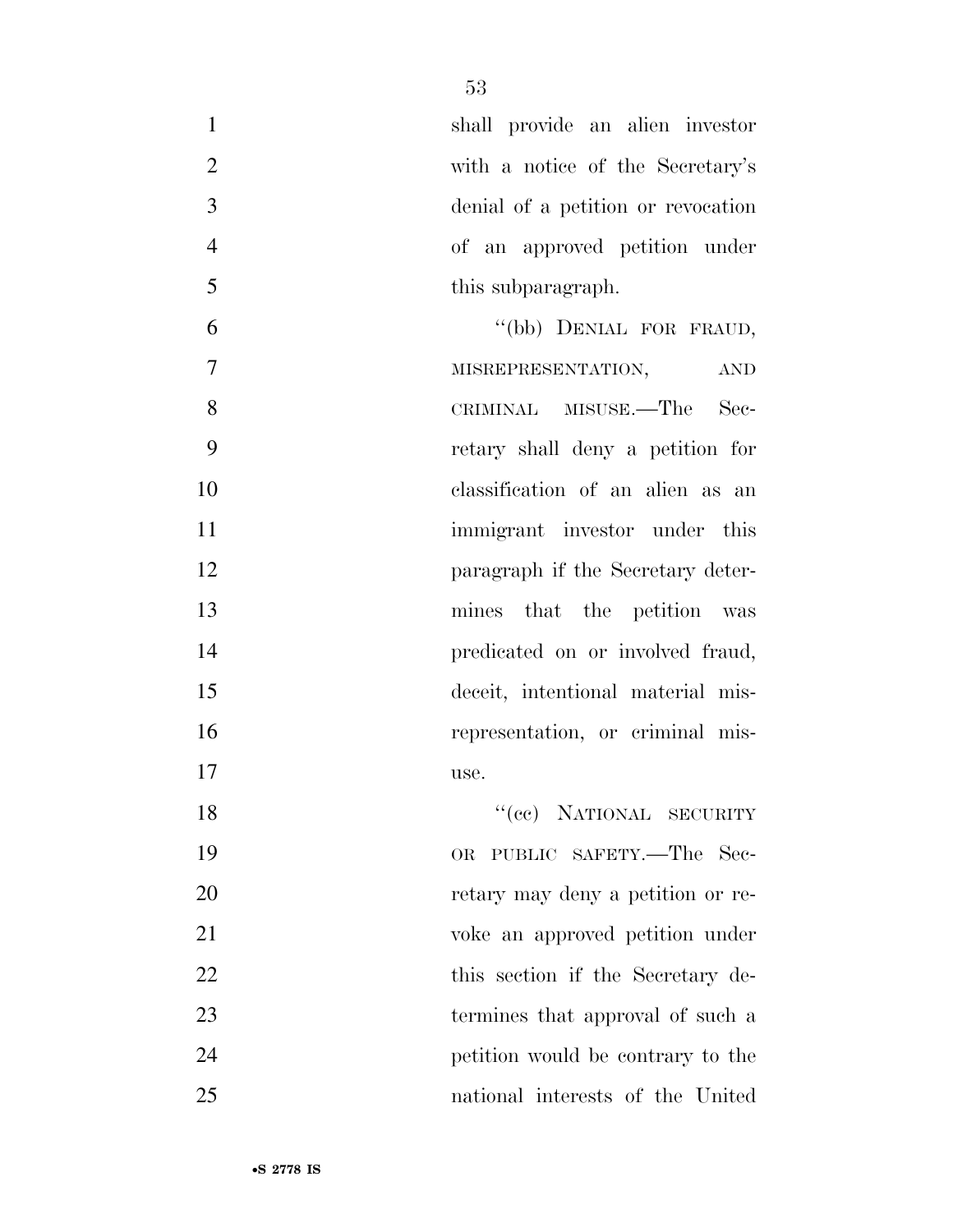|    | shall provide an alien investor    |
|----|------------------------------------|
| 2  | with a notice of the Secretary's   |
| 3  | denial of a petition or revocation |
|    | of an approved petition under      |
| -5 | this subparagraph.                 |
|    | (1, 1, 1)                          |

6 "(bb) DENIAL FOR FRAUD, MISREPRESENTATION, AND CRIMINAL MISUSE.—The Sec- retary shall deny a petition for classification of an alien as an 11 immigrant investor under this **paragraph** if the Secretary deter- mines that the petition was **predicated on or involved fraud,**  deceit, intentional material mis-16 representation, or criminal mis-use.

18 "(cc) NATIONAL SECURITY OR PUBLIC SAFETY.—The Sec- retary may deny a petition or re- voke an approved petition under 22 this section if the Secretary de- termines that approval of such a petition would be contrary to the national interests of the United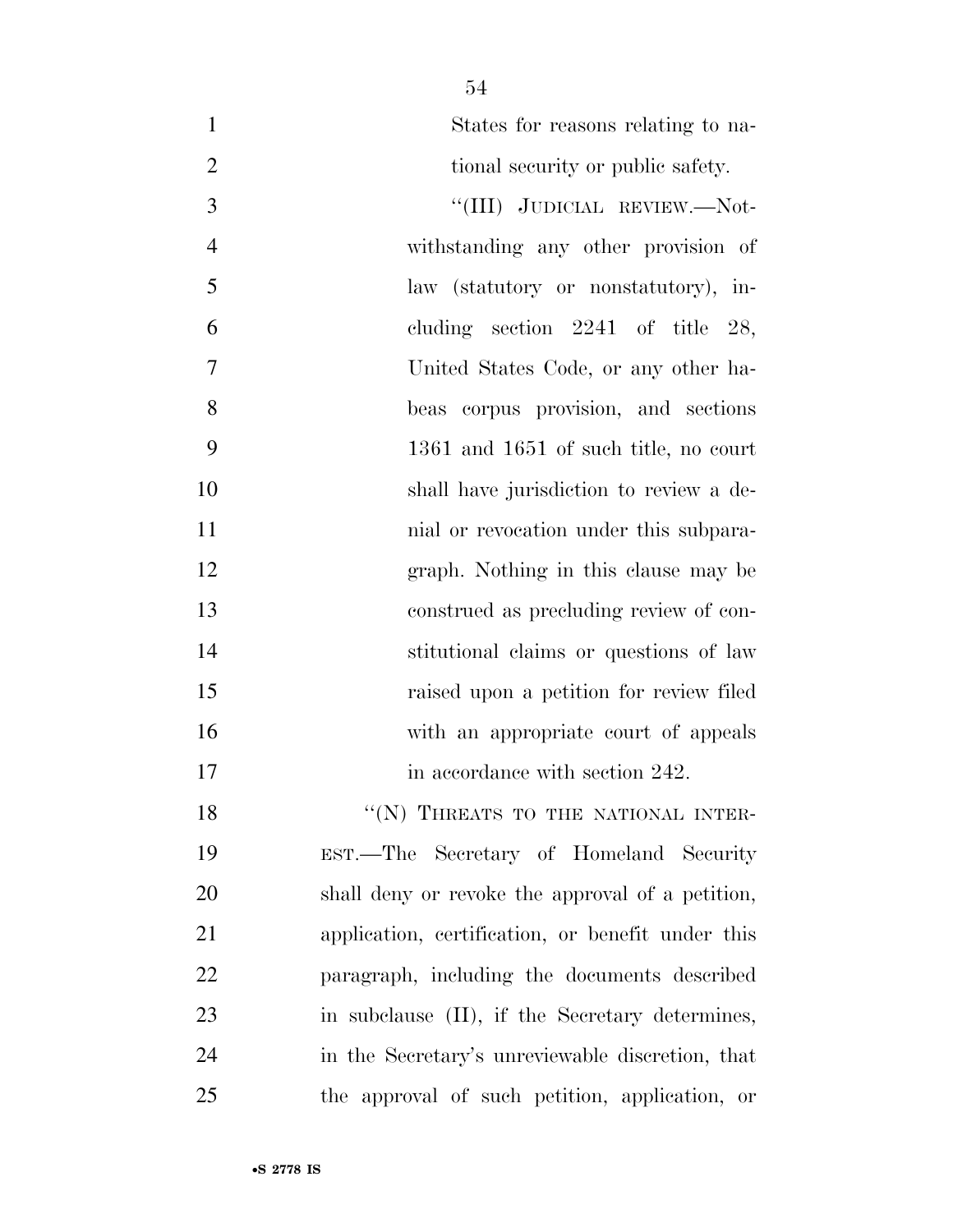| $\mathbf{1}$     | States for reasons relating to na-                |
|------------------|---------------------------------------------------|
| $\overline{2}$   | tional security or public safety.                 |
| 3                | "(III) JUDICIAL REVIEW.—Not-                      |
| $\overline{4}$   | withstanding any other provision of               |
| 5                | law (statutory or nonstatutory), in-              |
| 6                | cluding section $2241$ of title 28,               |
| $\boldsymbol{7}$ | United States Code, or any other ha-              |
| 8                | beas corpus provision, and sections               |
| 9                | 1361 and 1651 of such title, no court             |
| 10               | shall have jurisdiction to review a de-           |
| 11               | mial or revocation under this subpara-            |
| 12               | graph. Nothing in this clause may be              |
| 13               | construed as precluding review of con-            |
| 14               | stitutional claims or questions of law            |
| 15               | raised upon a petition for review filed           |
| 16               | with an appropriate court of appeals              |
| 17               | in accordance with section 242.                   |
| 18               | "(N) THREATS TO THE NATIONAL INTER-               |
| 19               | EST.—The Secretary of Homeland Security           |
| 20               | shall deny or revoke the approval of a petition,  |
| 21               | application, certification, or benefit under this |
| 22               | paragraph, including the documents described      |
| 23               | in subclause (II), if the Secretary determines,   |
| 24               | in the Secretary's unreviewable discretion, that  |
| 25               | the approval of such petition, application, or    |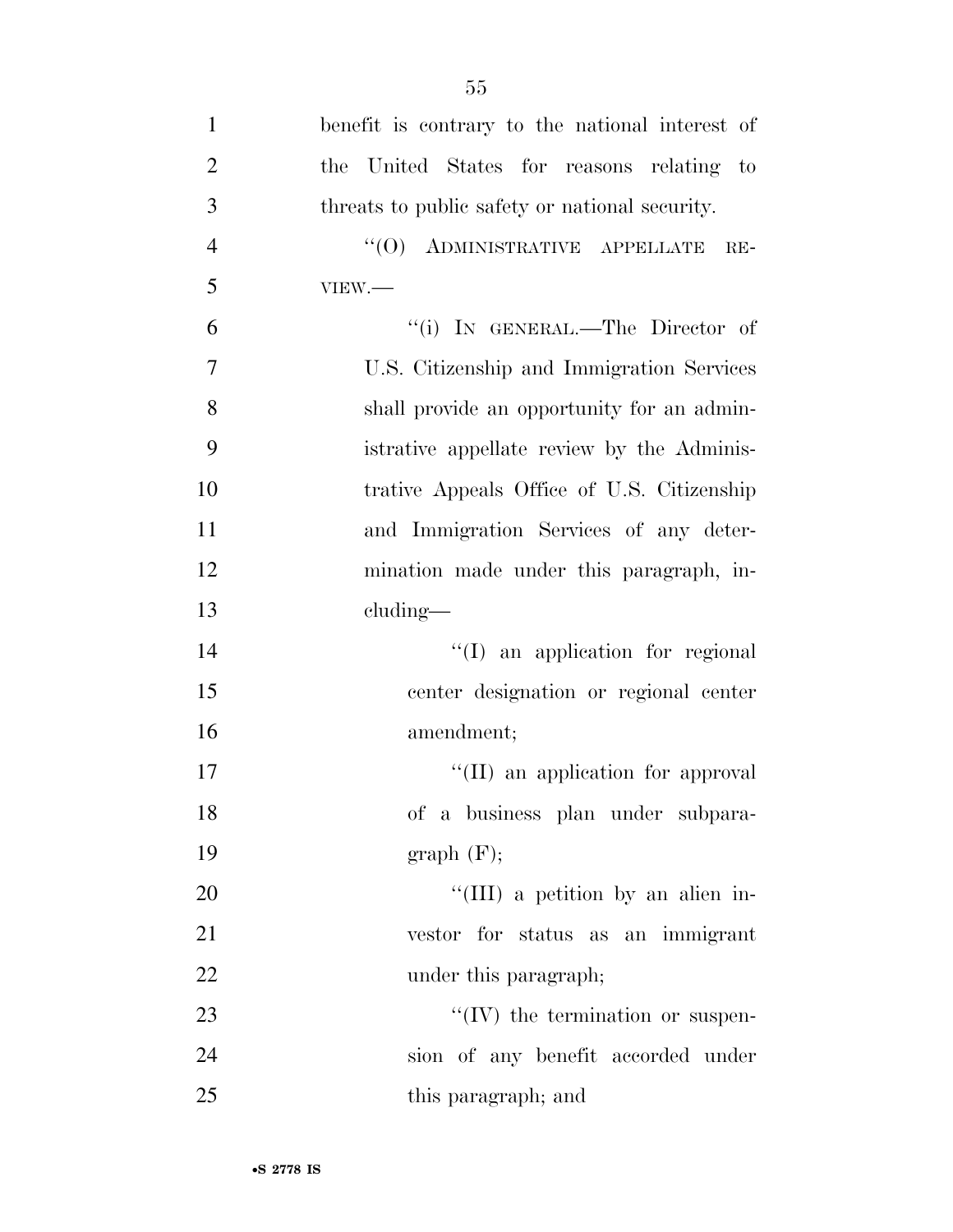| $\mathbf{1}$   | benefit is contrary to the national interest of |
|----------------|-------------------------------------------------|
| $\overline{2}$ | the United States for reasons relating to       |
| 3              | threats to public safety or national security.  |
| $\overline{4}$ | $``(0)$ ADMINISTRATIVE APPELLATE RE-            |
| 5              | VIEW.                                           |
| 6              | "(i) IN GENERAL.—The Director of                |
| $\overline{7}$ | U.S. Citizenship and Immigration Services       |
| 8              | shall provide an opportunity for an admin-      |
| 9              | istrative appellate review by the Adminis-      |
| 10             | trative Appeals Office of U.S. Citizenship      |
| 11             | and Immigration Services of any deter-          |
| 12             | mination made under this paragraph, in-         |
| 13             | cluding—                                        |
| 14             | "(I) an application for regional                |
| 15             | center designation or regional center           |
| 16             | amendment;                                      |
| 17             | "(II) an application for approval               |
| 18             | of a business plan under subpara-               |
| 19             | graph(F);                                       |
| 20             | "(III) a petition by an alien in-               |
| 21             | vestor for status as an immigrant               |
| 22             | under this paragraph;                           |
| 23             | $\lq\lq (IV)$ the termination or suspen-        |
| 24             | sion of any benefit accorded under              |
| 25             | this paragraph; and                             |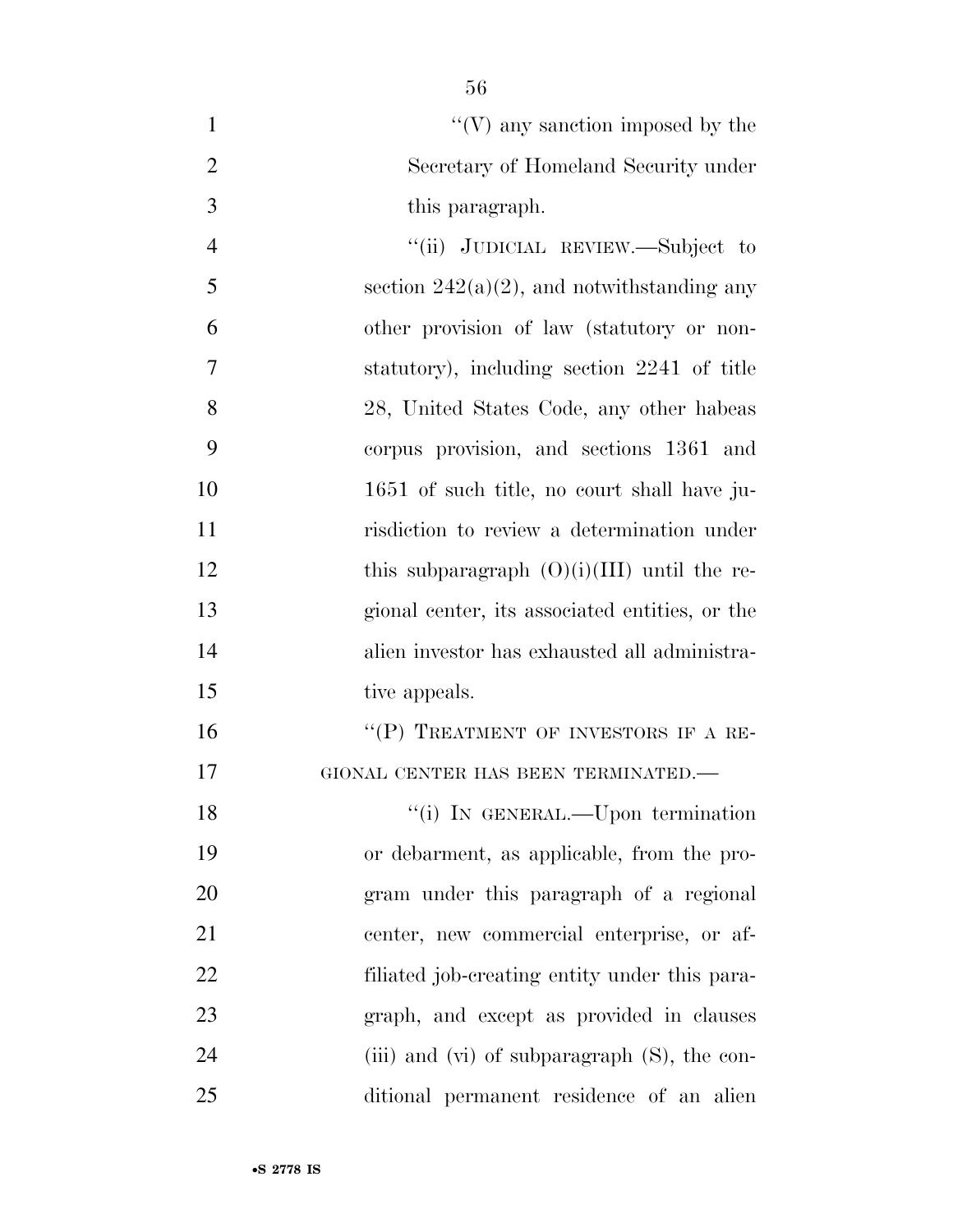- $\mathcal{C}(V)$  any sanction imposed by the Secretary of Homeland Security under this paragraph. ''(ii) JUDICIAL REVIEW.—Subject to 5 section  $242(a)(2)$ , and notwithstanding any other provision of law (statutory or non- statutory), including section 2241 of title 28, United States Code, any other habeas
- corpus provision, and sections 1361 and 1651 of such title, no court shall have ju- risdiction to review a determination under 12 this subparagraph  $(O)(i)(III)$  until the re- gional center, its associated entities, or the alien investor has exhausted all administra-15 tive appeals.

16 "(P) TREATMENT OF INVESTORS IF A RE-GIONAL CENTER HAS BEEN TERMINATED.—

18 "(i) In GENERAL.—Upon termination or debarment, as applicable, from the pro- gram under this paragraph of a regional center, new commercial enterprise, or af- filiated job-creating entity under this para- graph, and except as provided in clauses 24 (iii) and (vi) of subparagraph (S), the con-ditional permanent residence of an alien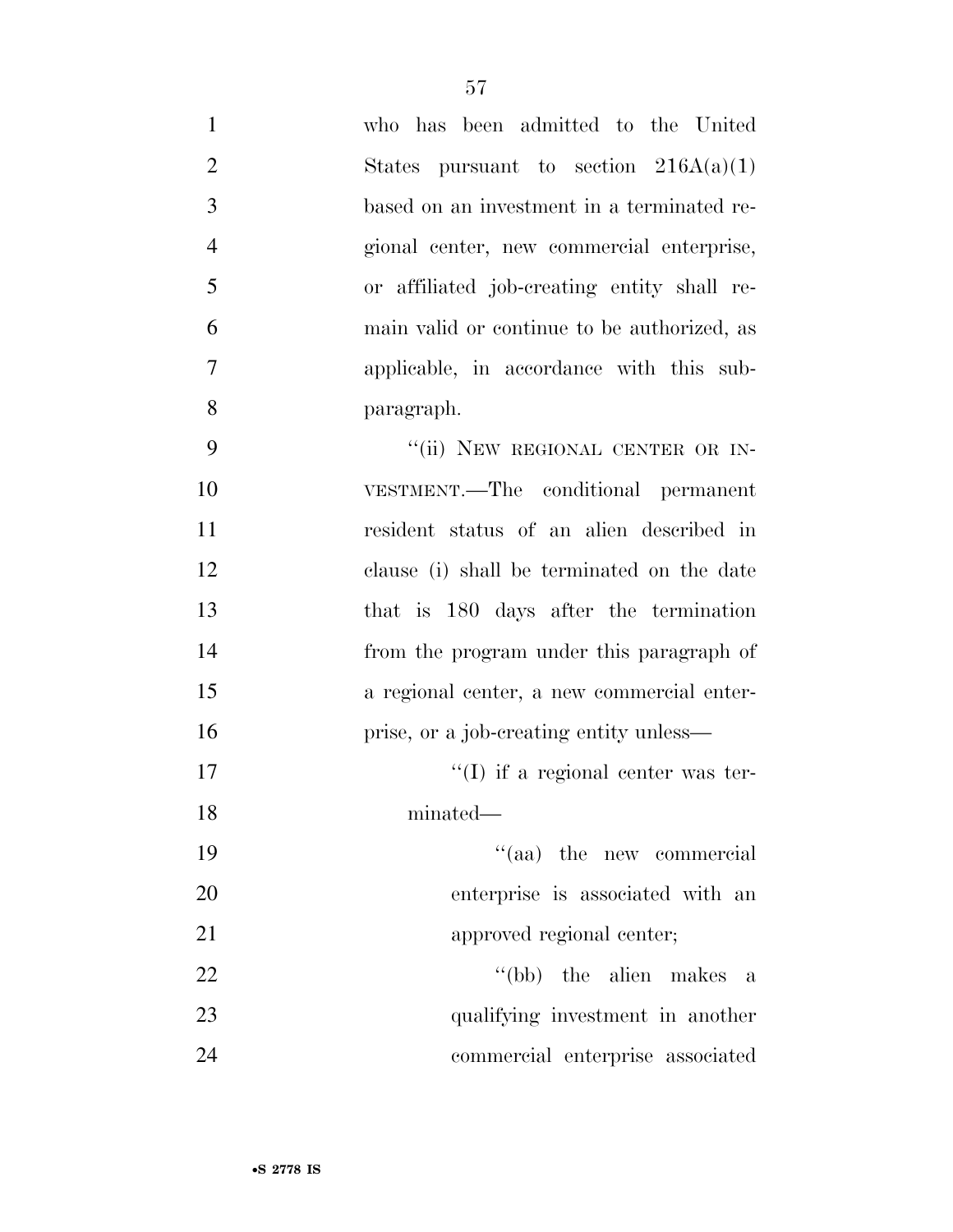| $\mathbf{1}$   | who has been admitted to the United         |
|----------------|---------------------------------------------|
| $\overline{2}$ | States pursuant to section $216A(a)(1)$     |
| 3              | based on an investment in a terminated re-  |
| $\overline{4}$ | gional center, new commercial enterprise,   |
| 5              | or affiliated job-creating entity shall re- |
| 6              | main valid or continue to be authorized, as |
| $\overline{7}$ | applicable, in accordance with this sub-    |
| 8              | paragraph.                                  |
| 9              | "(ii) NEW REGIONAL CENTER OR IN-            |
| 10             | VESTMENT.—The conditional permanent         |
| 11             | resident status of an alien described in    |
| 12             | clause (i) shall be terminated on the date  |
| 13             | that is 180 days after the termination      |
| 14             | from the program under this paragraph of    |
| 15             | a regional center, a new commercial enter-  |
| 16             | prise, or a job-creating entity unless—     |
| 17             | "(I) if a regional center was ter-          |
| 18             | minated—                                    |
| 19             | "(aa) the new commercial                    |
| 20             | enterprise is associated with an            |
| 21             | approved regional center;                   |
| 22             | $\lq\lq(bb)$ the alien makes a              |
| 23             | qualifying investment in another            |
| 24             | commercial enterprise associated            |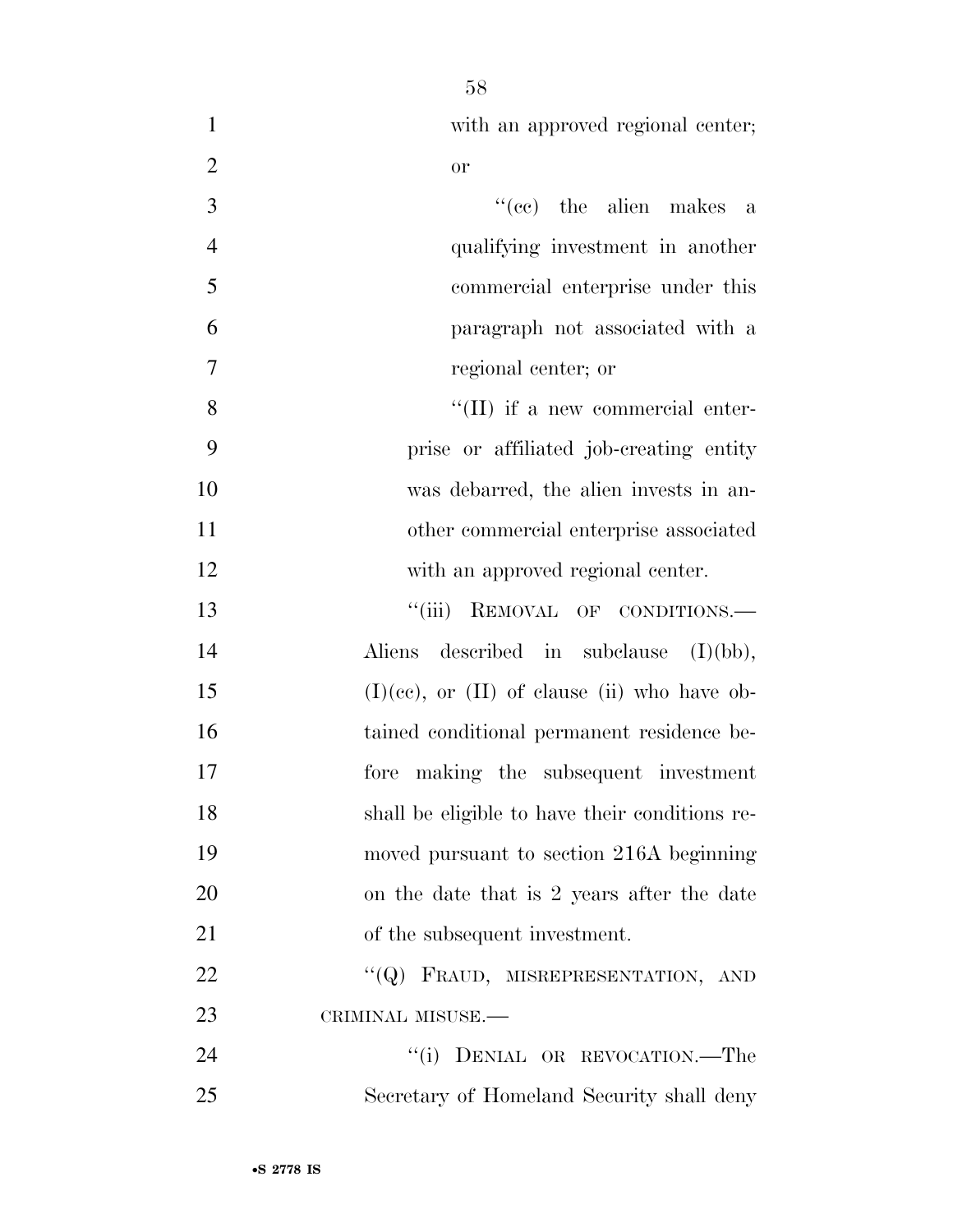| $\mathbf{1}$   | with an approved regional center;                   |
|----------------|-----------------------------------------------------|
| $\overline{2}$ | <b>or</b>                                           |
| 3              | $f'(ce)$ the alien makes a                          |
| $\overline{4}$ | qualifying investment in another                    |
| 5              | commercial enterprise under this                    |
| 6              | paragraph not associated with a                     |
| 7              | regional center; or                                 |
| $8\,$          | "(II) if a new commercial enter-                    |
| 9              | prise or affiliated job-creating entity             |
| 10             | was debarred, the alien invests in an-              |
| 11             | other commercial enterprise associated              |
| 12             | with an approved regional center.                   |
| 13             | "(iii) REMOVAL OF CONDITIONS.-                      |
| 14             | described in subclause<br>Aliens<br>(I)(bb),        |
| 15             | $(I)(ce)$ , or $(II)$ of clause $(ii)$ who have ob- |
| 16             | tained conditional permanent residence be-          |
| 17             | fore making the subsequent investment               |
| 18             | shall be eligible to have their conditions re-      |
| 19             | moved pursuant to section 216A beginning            |
| 20             | on the date that is 2 years after the date          |
| 21             | of the subsequent investment.                       |
| 22             | "(Q) FRAUD, MISREPRESENTATION, AND                  |
| 23             | CRIMINAL MISUSE.-                                   |
| 24             | ``(i)<br>DENIAL OR REVOCATION.-The                  |
| 25             | Secretary of Homeland Security shall deny           |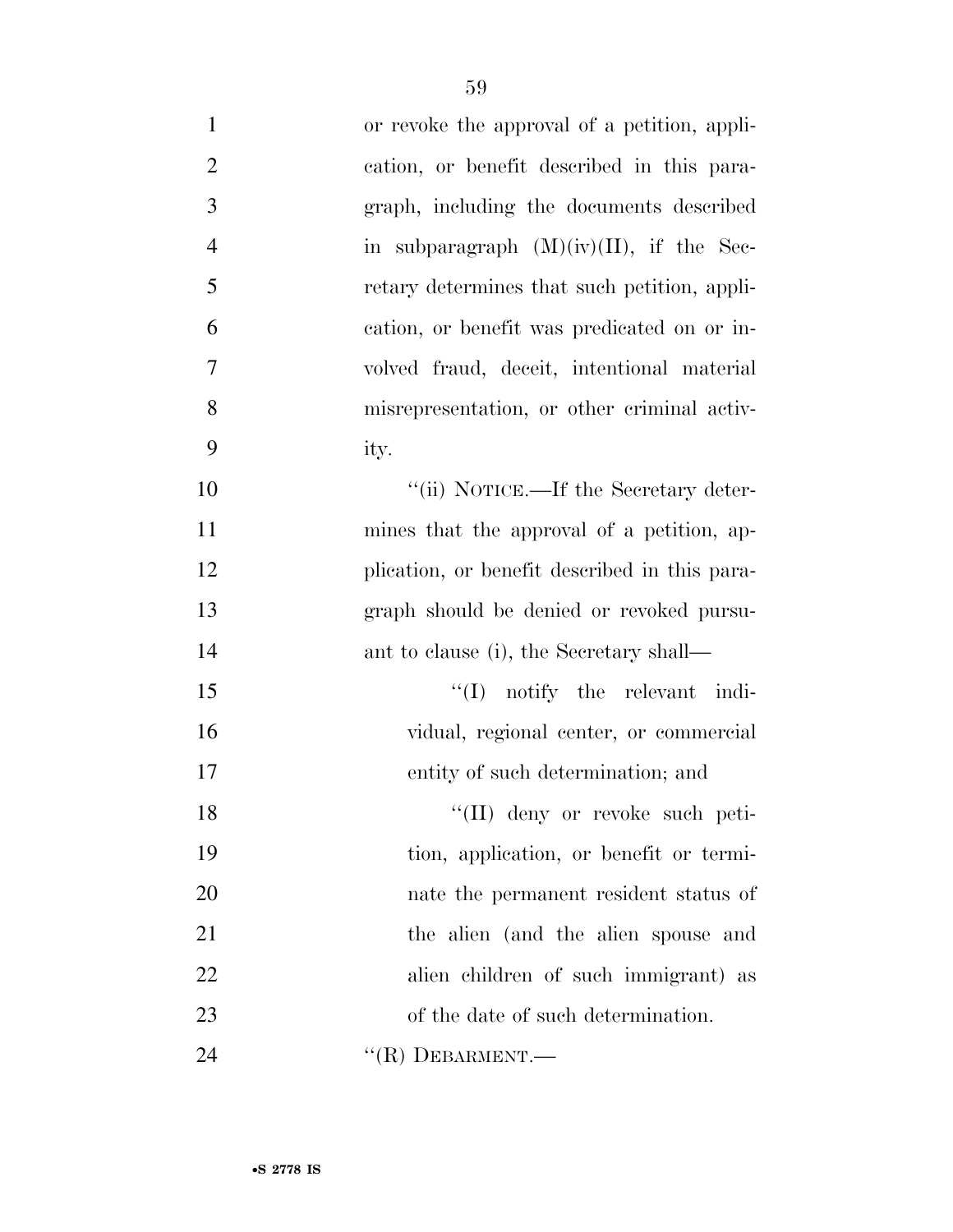| $\mathbf{1}$   | or revoke the approval of a petition, appli-  |
|----------------|-----------------------------------------------|
| $\overline{2}$ | cation, or benefit described in this para-    |
| 3              | graph, including the documents described      |
| $\overline{4}$ | in subparagraph $(M)(iv)(II)$ , if the Sec-   |
| 5              | retary determines that such petition, appli-  |
| 6              | cation, or benefit was predicated on or in-   |
| 7              | volved fraud, deceit, intentional material    |
| 8              | misrepresentation, or other criminal activ-   |
| 9              | ity.                                          |
| 10             | "(ii) NOTICE.—If the Secretary deter-         |
| 11             | mines that the approval of a petition, ap-    |
| 12             | plication, or benefit described in this para- |
| 13             | graph should be denied or revoked pursu-      |
| 14             | ant to clause (i), the Secretary shall—       |
| 15             | $\lq\lq$ notify the relevant indi-            |
| 16             | vidual, regional center, or commercial        |
| 17             | entity of such determination; and             |
| 18             | "(II) deny or revoke such peti-               |
| 19             | tion, application, or benefit or termi-       |
| 20             | nate the permanent resident status of         |
| 21             | the alien (and the alien spouse and           |
| 22             | alien children of such immigrant) as          |
| 23             | of the date of such determination.            |
| 24             | " $(R)$ DEBARMENT.—                           |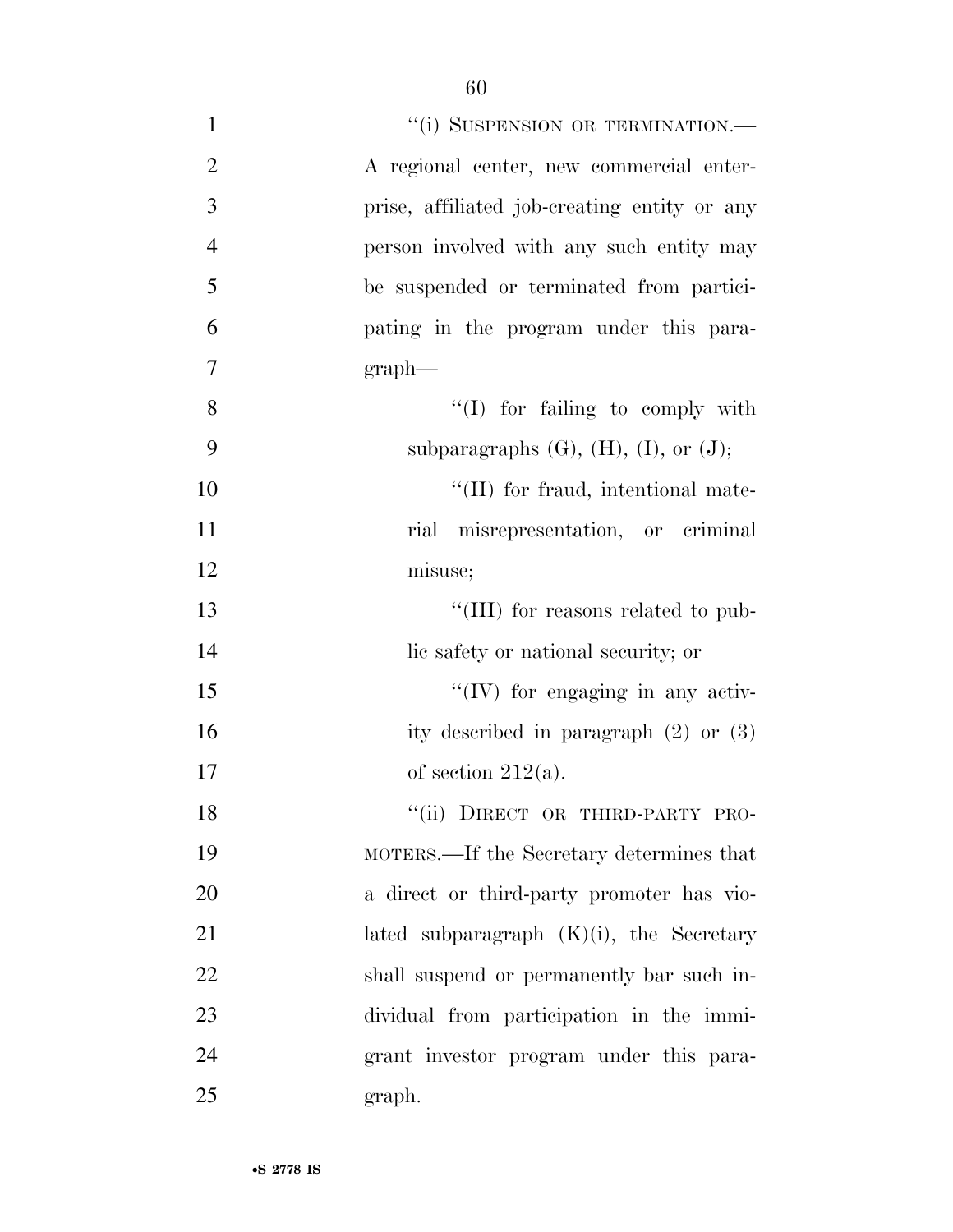| $\mathbf{1}$   | "(i) SUSPENSION OR TERMINATION.-                 |
|----------------|--------------------------------------------------|
| $\overline{2}$ | A regional center, new commercial enter-         |
| $\mathfrak{Z}$ | prise, affiliated job-creating entity or any     |
| $\overline{4}$ | person involved with any such entity may         |
| 5              | be suspended or terminated from partici-         |
| 6              | pating in the program under this para-           |
| $\tau$         | $graph$ —                                        |
| 8              | $\lq\lq$ (I) for failing to comply with          |
| 9              | subparagraphs $(G)$ , $(H)$ , $(I)$ , or $(J)$ ; |
| 10             | "(II) for fraud, intentional mate-               |
| 11             | rial misrepresentation, or criminal              |
| 12             | misuse;                                          |
| 13             | "(III) for reasons related to pub-               |
| 14             | lic safety or national security; or              |
| 15             | $\lq\lq$ (IV) for engaging in any activ-         |
| 16             | ity described in paragraph $(2)$ or $(3)$        |
| 17             | of section $212(a)$ .                            |
| 18             | "(ii) DIRECT OR THIRD-PARTY PRO-                 |
| 19             | MOTERS.—If the Secretary determines that         |
| 20             | a direct or third-party promoter has vio-        |
| 21             | lated subparagraph $(K)(i)$ , the Secretary      |
| 22             | shall suspend or permanently bar such in-        |
| 23             | dividual from participation in the immi-         |
| 24             | grant investor program under this para-          |
| 25             | graph.                                           |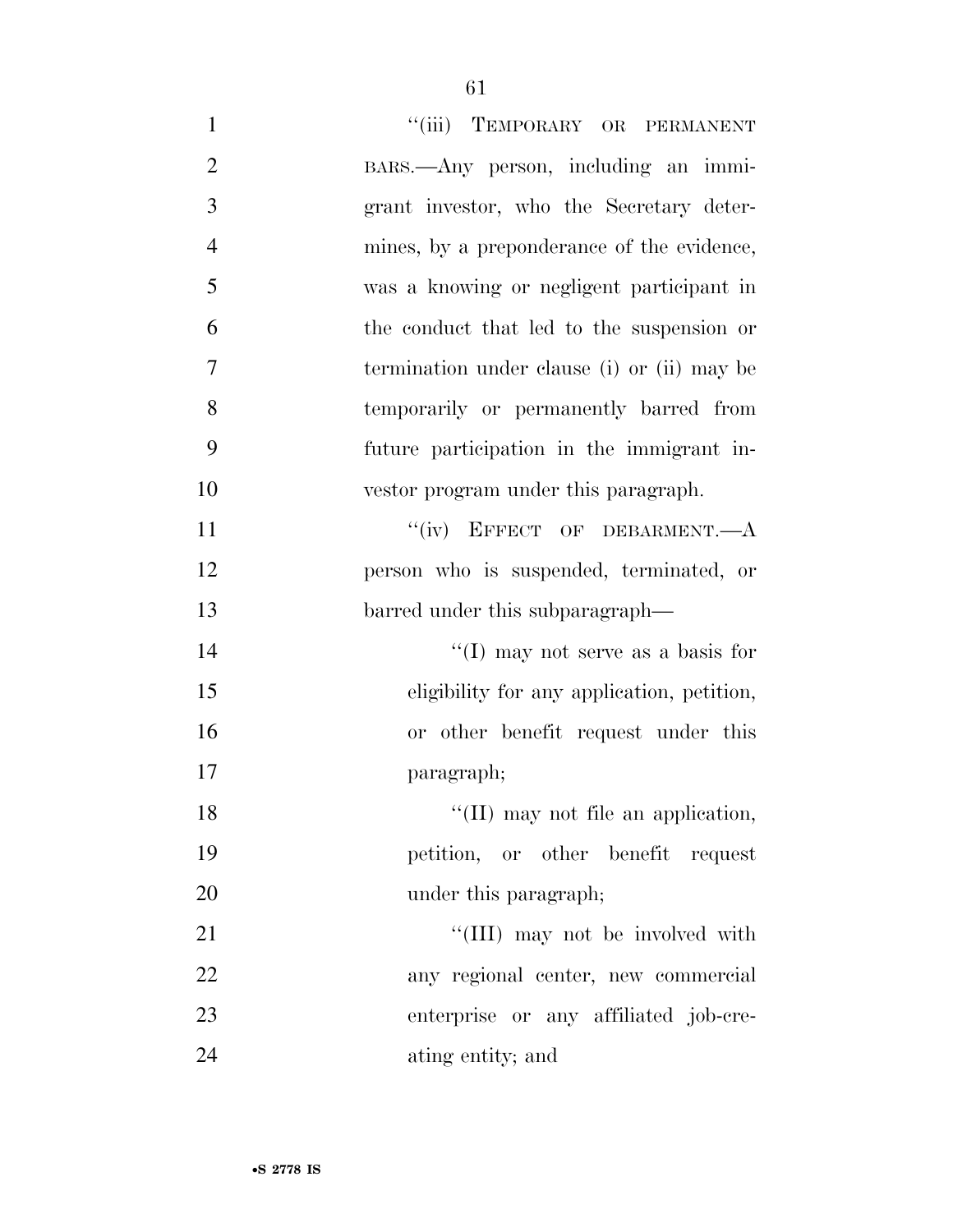| $\mathbf{1}$   | "(iii) TEMPORARY OR PERMANENT               |
|----------------|---------------------------------------------|
| $\overline{2}$ | BARS.—Any person, including an immi-        |
| 3              | grant investor, who the Secretary deter-    |
| $\overline{4}$ | mines, by a preponderance of the evidence,  |
| 5              | was a knowing or negligent participant in   |
| 6              | the conduct that led to the suspension or   |
| 7              | termination under clause (i) or (ii) may be |
| 8              | temporarily or permanently barred from      |
| 9              | future participation in the immigrant in-   |
| 10             | vestor program under this paragraph.        |
| 11             | "(iv) EFFECT OF DEBARMENT.-- A              |
| 12             | person who is suspended, terminated, or     |
| 13             | barred under this subparagraph—             |
| 14             | "(I) may not serve as a basis for           |
| 15             | eligibility for any application, petition,  |
| 16             | or other benefit request under this         |
| 17             | paragraph;                                  |
| 18             | "(II) may not file an application,          |
| 19             | petition, or other benefit request          |
| 20             | under this paragraph;                       |
| 21             | "(III) may not be involved with             |
|                |                                             |
| 22             | any regional center, new commercial         |
| 23             | enterprise or any affiliated job-cre-       |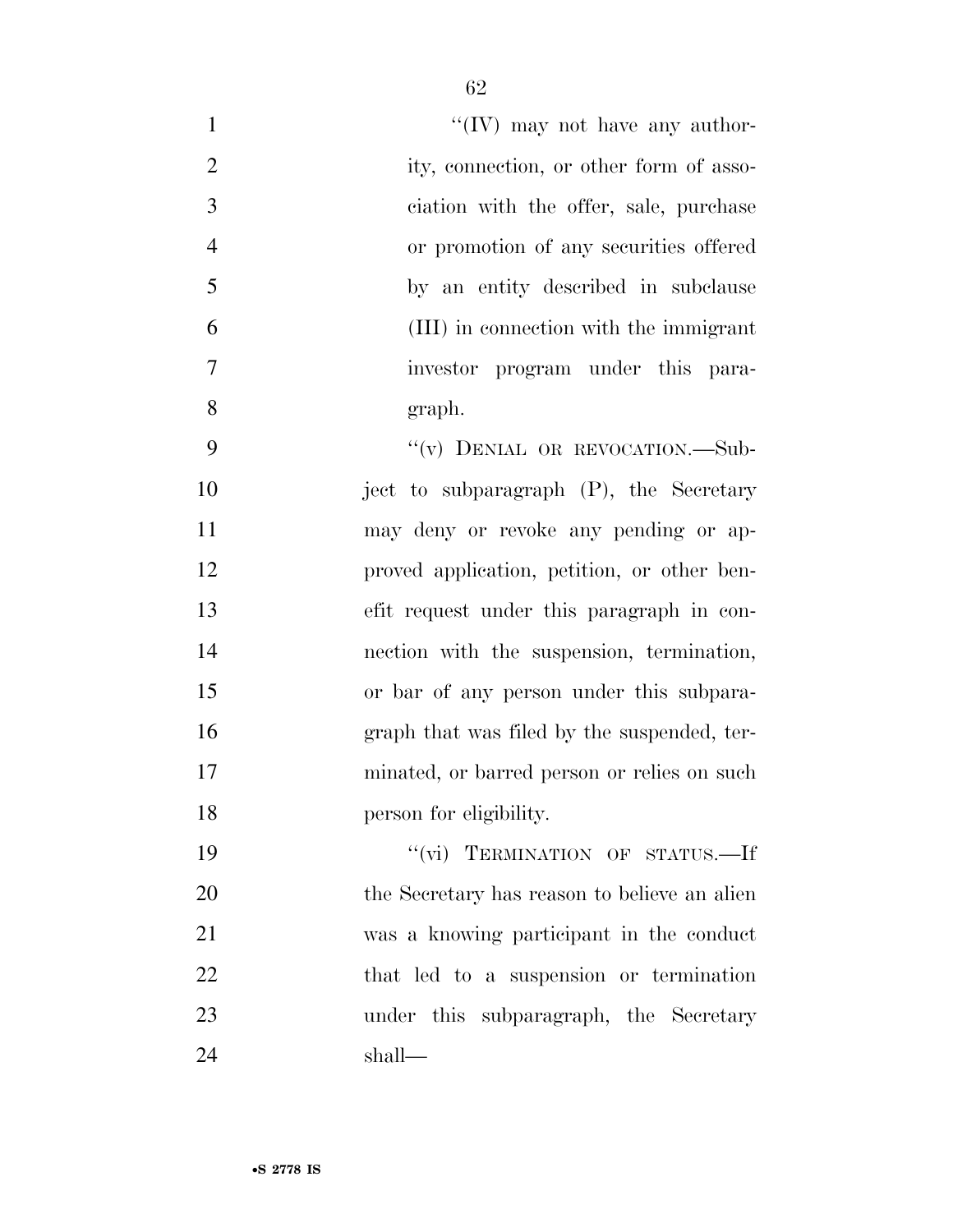| $\mathbf{1}$   | "(IV) may not have any author-               |
|----------------|----------------------------------------------|
| $\overline{2}$ | ity, connection, or other form of asso-      |
| 3              | ciation with the offer, sale, purchase       |
| $\overline{4}$ | or promotion of any securities offered       |
| 5              | by an entity described in subclause          |
| 6              | (III) in connection with the immigrant       |
| 7              | investor program under this para-            |
| 8              | graph.                                       |
| 9              | "(v) DENIAL OR REVOCATION.-Sub-              |
| 10             | ject to subparagraph (P), the Secretary      |
| 11             | may deny or revoke any pending or ap-        |
| 12             | proved application, petition, or other ben-  |
| 13             | efit request under this paragraph in con-    |
| 14             | nection with the suspension, termination,    |
| 15             | or bar of any person under this subpara-     |
| 16             | graph that was filed by the suspended, ter-  |
| 17             | minated, or barred person or relies on such  |
| 18             | person for eligibility.                      |
| 19             | "(vi) TERMINATION OF STATUS.-If              |
| 20             | the Secretary has reason to believe an alien |
| 21             | was a knowing participant in the conduct     |
| 22             | that led to a suspension or termination      |
| 23             | under this subparagraph, the Secretary       |
| 24             | shall-                                       |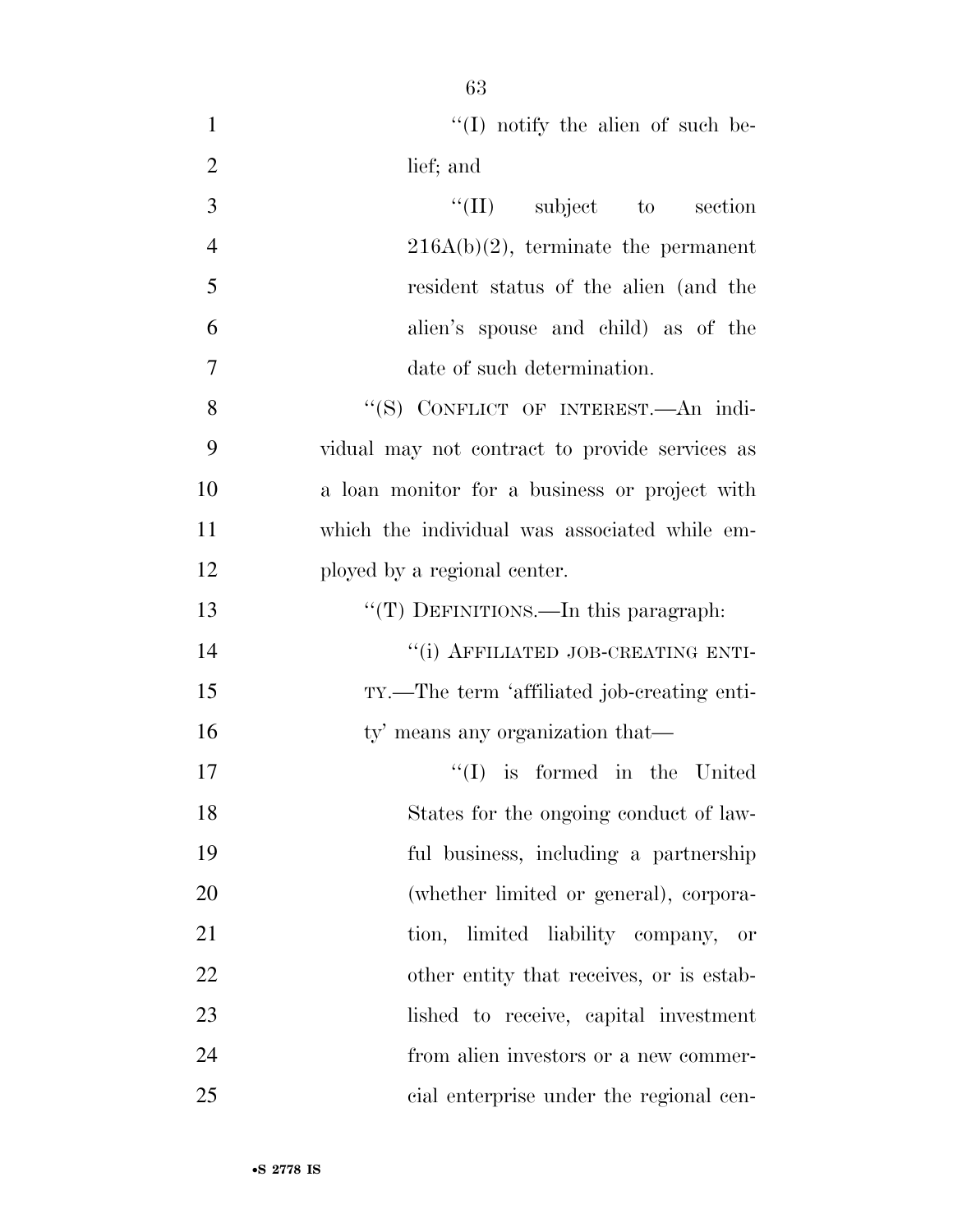| $\mathbf{1}$   | $\lq\lq$ (I) notify the alien of such be-      |
|----------------|------------------------------------------------|
| $\overline{2}$ | lief; and                                      |
| 3              | $\lq\lq$ (II) subject to section               |
| $\overline{4}$ | $216A(b)(2)$ , terminate the permanent         |
| 5              | resident status of the alien (and the          |
| 6              | alien's spouse and child) as of the            |
| $\tau$         | date of such determination.                    |
| 8              | "(S) CONFLICT OF INTEREST. An indi-            |
| 9              | vidual may not contract to provide services as |
| 10             | a loan monitor for a business or project with  |
| 11             | which the individual was associated while em-  |
| 12             | ployed by a regional center.                   |
| 13             | "(T) DEFINITIONS.—In this paragraph:           |
| 14             | "(i) AFFILIATED JOB-CREATING ENTI-             |
| 15             | TY.—The term 'affiliated job-creating enti-    |
| 16             | ty' means any organization that—               |
| 17             | $\lq\lq$ is formed in the United               |
| 18             | States for the ongoing conduct of law-         |
| 19             | ful business, including a partnership          |
| 20             | (whether limited or general), corpora-         |
| 21             | tion, limited liability company, or            |
| 22             | other entity that receives, or is estab-       |
| 23             | lished to receive, capital investment          |
| 24             | from alien investors or a new commer-          |
| 25             | cial enterprise under the regional cen-        |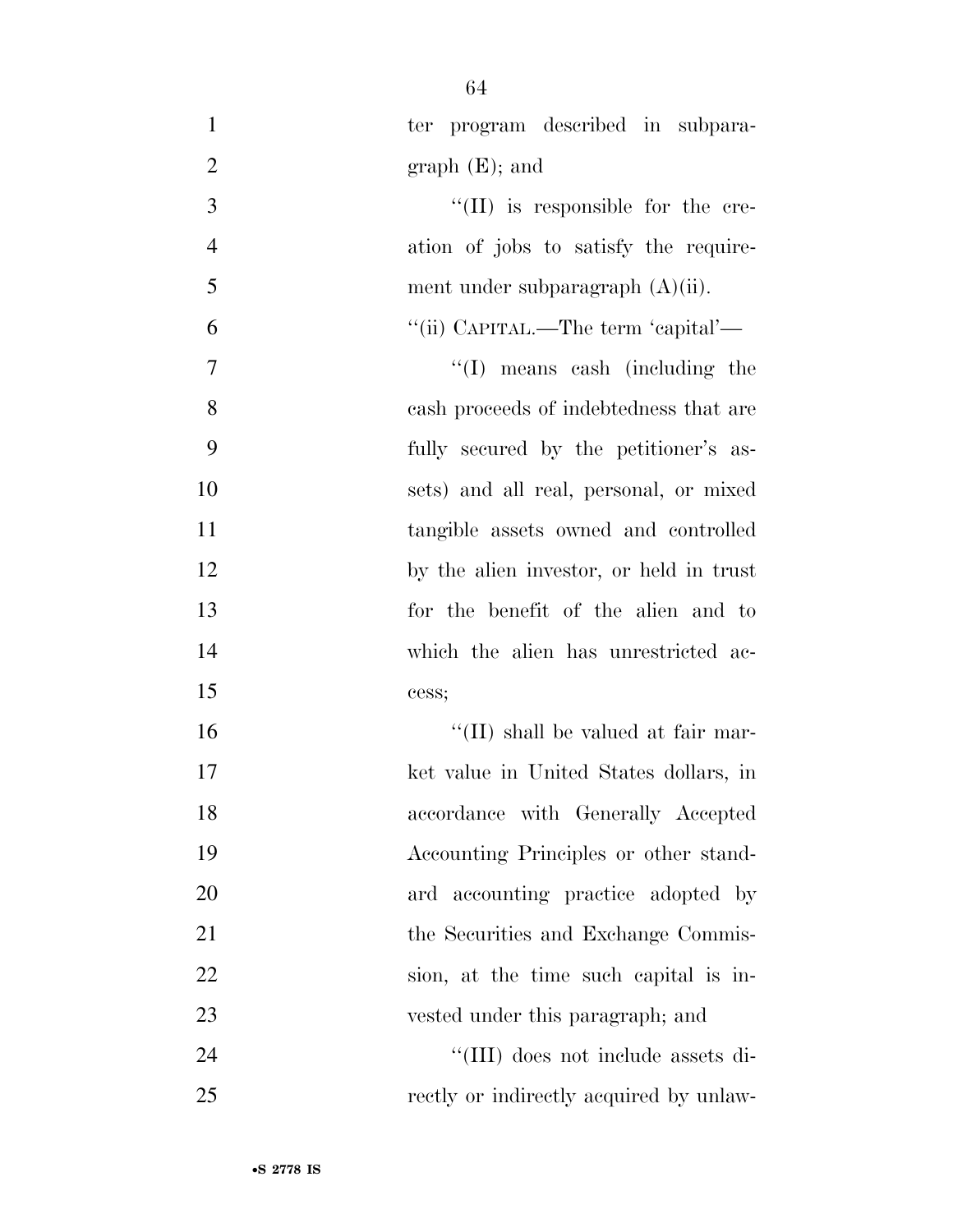| $\mathbf{1}$   | ter program described in subpara-       |
|----------------|-----------------------------------------|
| $\overline{2}$ | $graph(E);$ and                         |
| 3              | "(II) is responsible for the cre-       |
| $\overline{4}$ | ation of jobs to satisfy the require-   |
| 5              | ment under subparagraph $(A)(ii)$ .     |
| 6              | "(ii) CAPITAL.—The term 'capital'—      |
| $\overline{7}$ | $\lq\lq$ (I) means cash (including the  |
| 8              | cash proceeds of indebtedness that are  |
| 9              | fully secured by the petitioner's as-   |
| 10             | sets) and all real, personal, or mixed  |
| 11             | tangible assets owned and controlled    |
| 12             | by the alien investor, or held in trust |
| 13             | for the benefit of the alien and to     |
| 14             | which the alien has unrestricted ac-    |
| 15             | cess;                                   |
| 16             | "(II) shall be valued at fair mar-      |
| 17             | ket value in United States dollars, in  |
| 18             | accordance with Generally Accepted      |
| 19             | Accounting Principles or other stand-   |
| 20             | ard accounting practice adopted by      |
| 21             | the Securities and Exchange Commis-     |
| 22             | sion, at the time such capital is in-   |
| 23             | vested under this paragraph; and        |
| 24             | "(III) does not include assets di-      |
| 25             | rectly or indirectly acquired by unlaw- |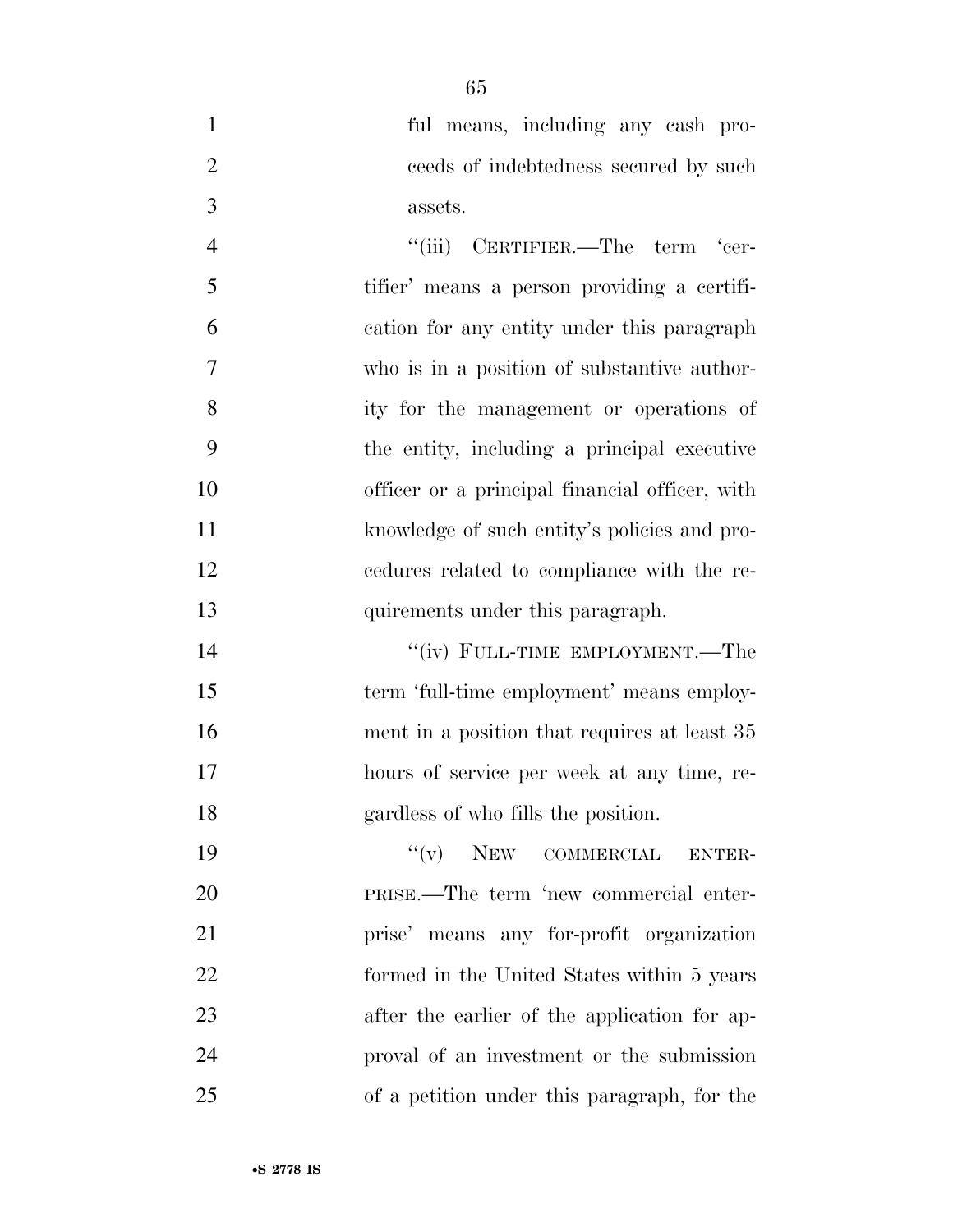ful means, including any cash pro- ceeds of indebtedness secured by such assets.

4 "(iii) CERTIFIER.—The term 'cer- tifier' means a person providing a certifi- cation for any entity under this paragraph who is in a position of substantive author- ity for the management or operations of the entity, including a principal executive officer or a principal financial officer, with knowledge of such entity's policies and pro- cedures related to compliance with the re-quirements under this paragraph.

14 ''(iv) FULL-TIME EMPLOYMENT.—The term 'full-time employment' means employ-16 ment in a position that requires at least 35 hours of service per week at any time, re-gardless of who fills the position.

 $''(v)$  NEW COMMERCIAL ENTER- PRISE.—The term 'new commercial enter- prise' means any for-profit organization formed in the United States within 5 years after the earlier of the application for ap- proval of an investment or the submission of a petition under this paragraph, for the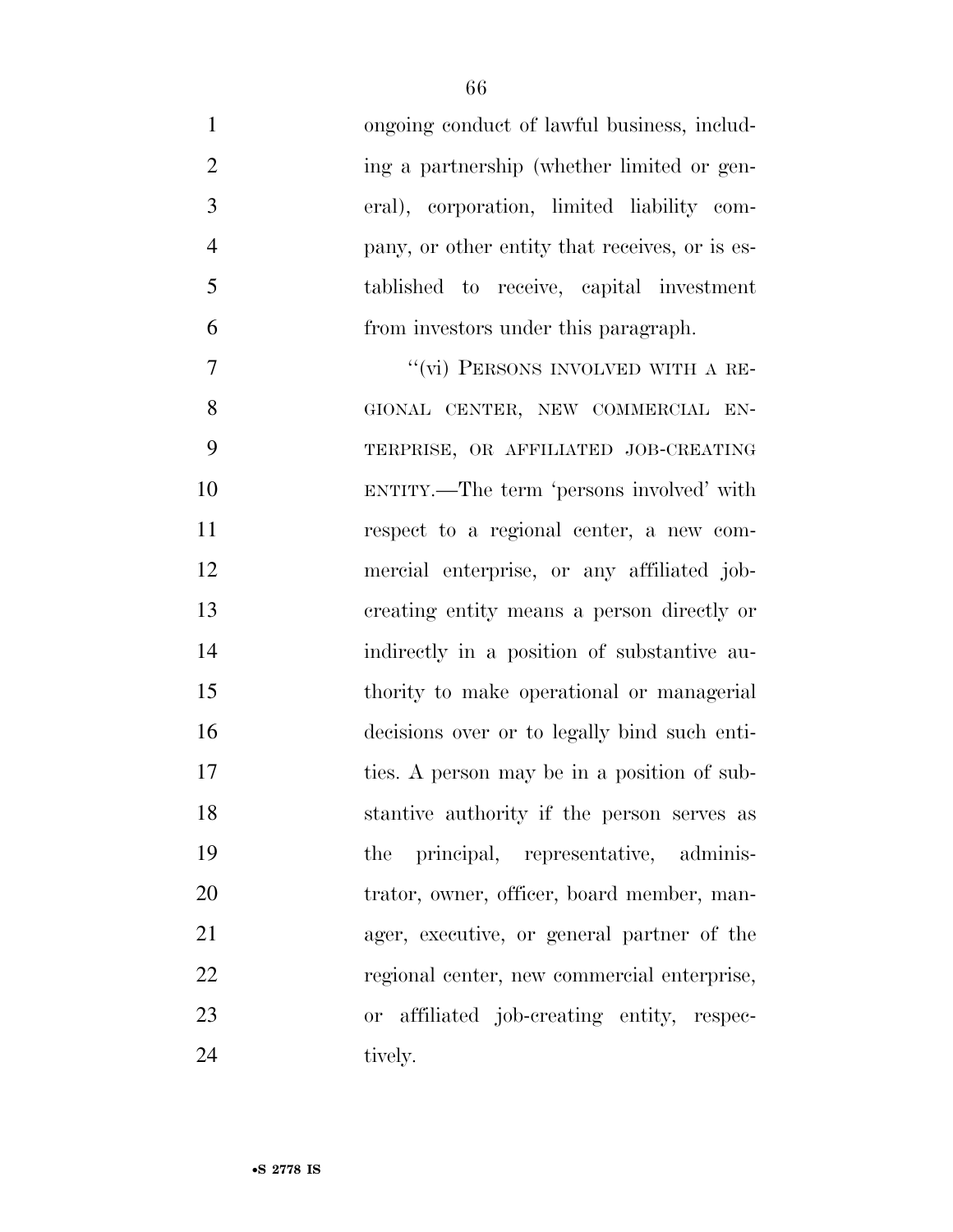| $\mathbf{1}$   | ongoing conduct of lawful business, includ-    |
|----------------|------------------------------------------------|
| $\overline{2}$ | ing a partnership (whether limited or gen-     |
| $\overline{3}$ | eral), corporation, limited liability com-     |
| $\overline{4}$ | pany, or other entity that receives, or is es- |
| 5              | tablished to receive, capital investment       |
| 6              | from investors under this paragraph.           |
| 7              | "(vi) PERSONS INVOLVED WITH A RE-              |
| 8              | GIONAL CENTER, NEW COMMERCIAL EN-              |
| 9              | TERPRISE, OR AFFILIATED JOB-CREATING           |
| 10             | ENTITY.—The term 'persons involved' with       |
| 11             | respect to a regional center, a new com-       |
| 12             | mercial enterprise, or any affiliated job-     |
| 13             | creating entity means a person directly or     |
| 14             | indirectly in a position of substantive au-    |
| 15             | thority to make operational or managerial      |
| 16             | decisions over or to legally bind such enti-   |
| 17             | ties. A person may be in a position of sub-    |
| 18             | stantive authority if the person serves as     |
| 19             | principal, representative, adminis-<br>the     |
| 20             | trator, owner, officer, board member, man-     |
| 21             | ager, executive, or general partner of the     |
| 22             | regional center, new commercial enterprise,    |
| 23             | or affiliated job-creating entity, respec-     |
| 24             | tively.                                        |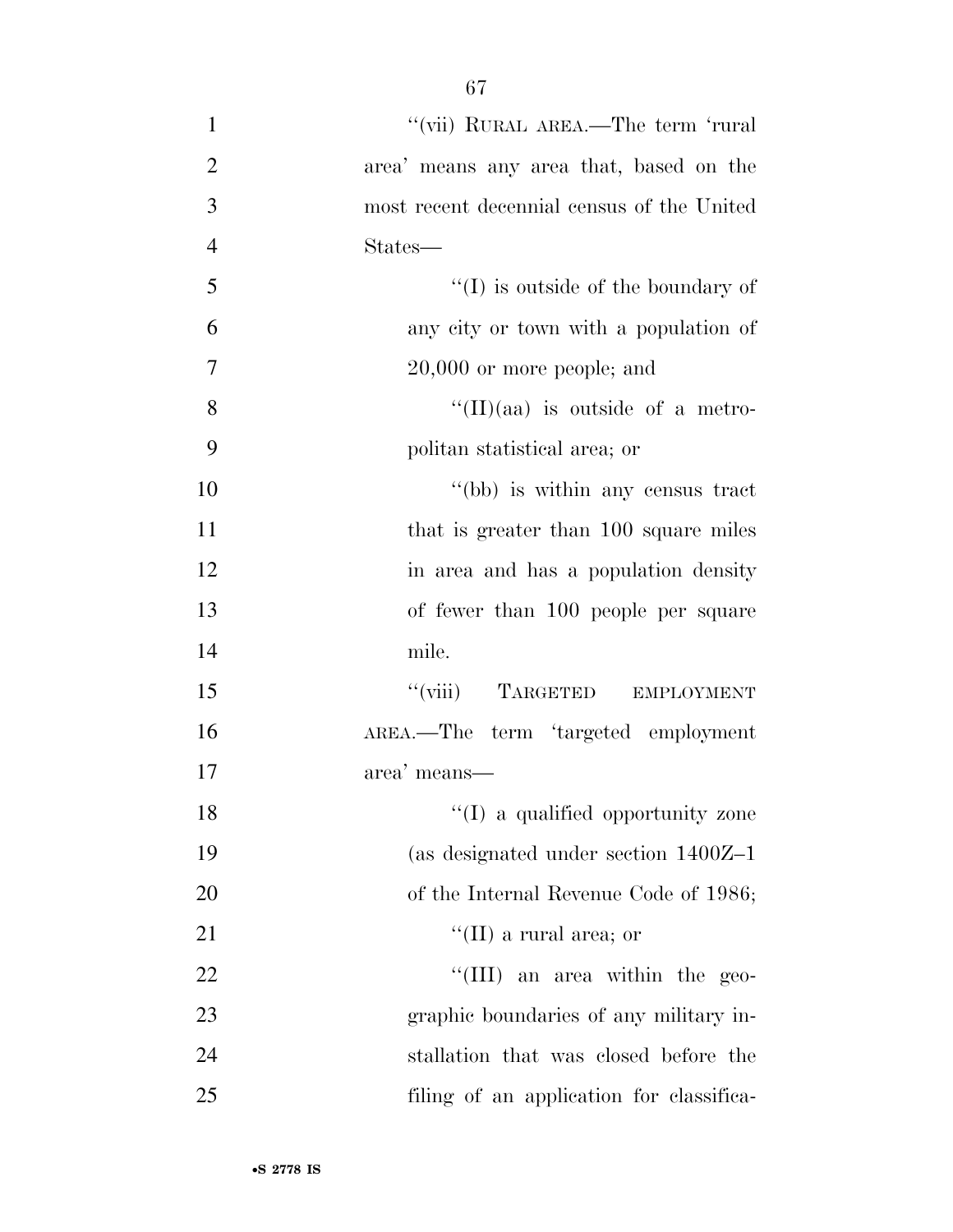| $\mathbf{1}$   | "(vii) RURAL AREA.—The term 'rural         |
|----------------|--------------------------------------------|
| $\overline{2}$ | area' means any area that, based on the    |
| 3              | most recent decennial census of the United |
| $\overline{4}$ | States—                                    |
| 5              | $\lq\lq$ (I) is outside of the boundary of |
| 6              | any city or town with a population of      |
| 7              | $20,000$ or more people; and               |
| 8              | $\lq\lq$ (II)(aa) is outside of a metro-   |
| 9              | politan statistical area; or               |
| 10             | "(bb) is within any census tract           |
| 11             | that is greater than 100 square miles      |
| 12             | in area and has a population density       |
| 13             | of fewer than 100 people per square        |
| 14             | mile.                                      |
| 15             | "(viii) TARGETED EMPLOYMENT                |
| 16             | AREA.—The term 'targeted employment        |
| 17             | area' means—                               |
| 18             | $\lq\lq$ a qualified opportunity zone      |
| 19             | (as designated under section $1400Z-1$     |
| 20             | of the Internal Revenue Code of 1986;      |
| 21             | "(II) a rural area; or                     |
| 22             | "(III) an area within the geo-             |
| 23             | graphic boundaries of any military in-     |
| 24             | stallation that was closed before the      |
| 25             | filing of an application for classifica-   |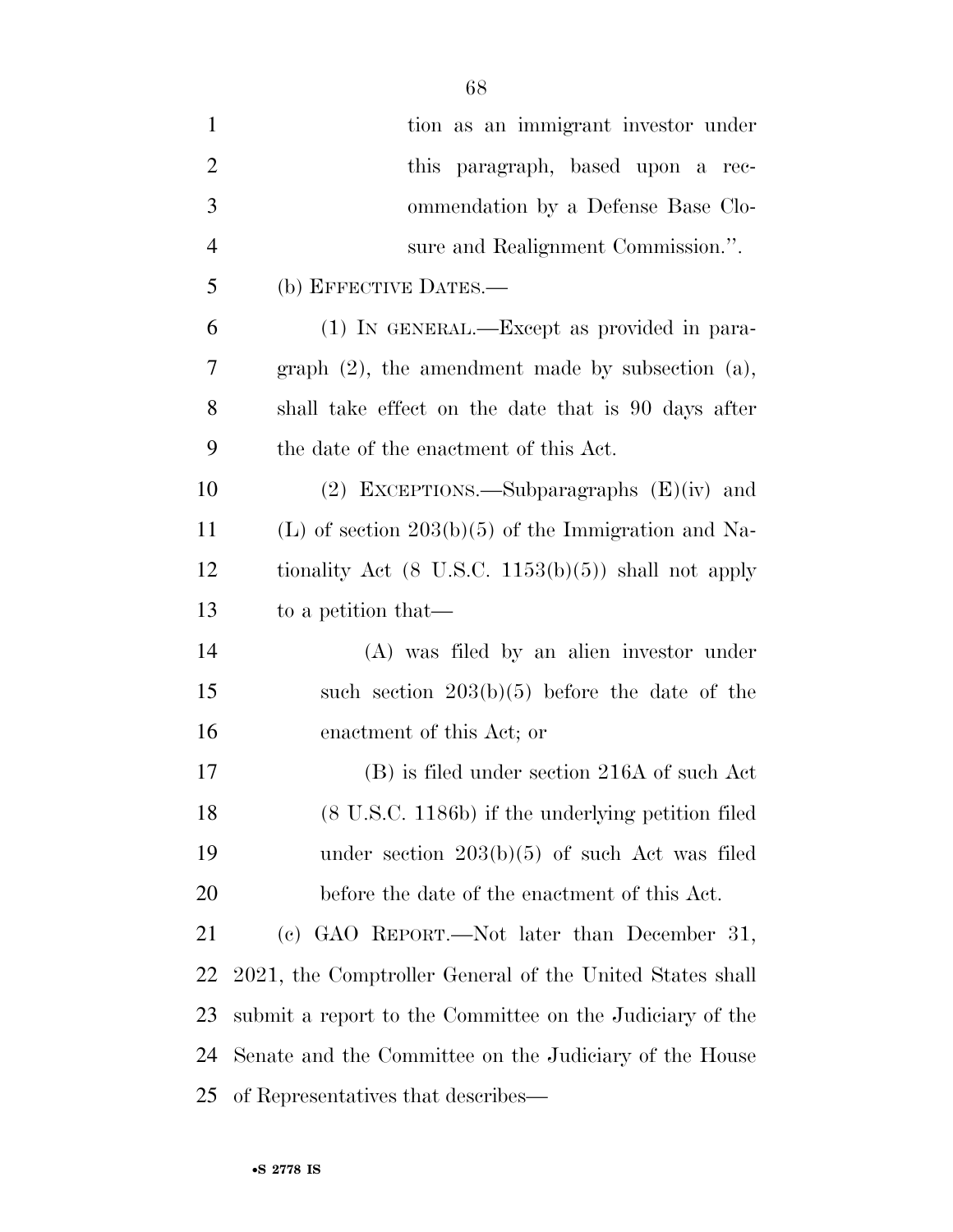| $\mathbf{1}$   | tion as an immigrant investor under                            |
|----------------|----------------------------------------------------------------|
| $\overline{2}$ | this paragraph, based upon a rec-                              |
| 3              | ommendation by a Defense Base Clo-                             |
| $\overline{4}$ | sure and Realignment Commission.".                             |
| 5              | (b) EFFECTIVE DATES.—                                          |
| 6              | (1) IN GENERAL.—Except as provided in para-                    |
| 7              | graph $(2)$ , the amendment made by subsection $(a)$ ,         |
| 8              | shall take effect on the date that is 90 days after            |
| 9              | the date of the enactment of this Act.                         |
| 10             | (2) EXCEPTIONS.—Subparagraphs $(E)(iv)$ and                    |
| 11             | (L) of section $203(b)(5)$ of the Immigration and Na-          |
| 12             | tionality Act $(8 \text{ U.S.C. } 1153(b)(5))$ shall not apply |
| 13             | to a petition that—                                            |
| 14             | (A) was filed by an alien investor under                       |
| 15             | such section $203(b)(5)$ before the date of the                |
| 16             | enactment of this Act; or                                      |
| 17             | (B) is filed under section 216A of such Act                    |
| 18             | (8 U.S.C. 1186b) if the underlying petition filed              |
| 19             | under section $203(b)(5)$ of such Act was filed                |
| 20             | before the date of the enactment of this Act.                  |
| 21             | (c) GAO REPORT.—Not later than December 31,                    |
| 22             | 2021, the Comptroller General of the United States shall       |
| 23             | submit a report to the Committee on the Judiciary of the       |
| 24             | Senate and the Committee on the Judiciary of the House         |
| 25             | of Representatives that describes—                             |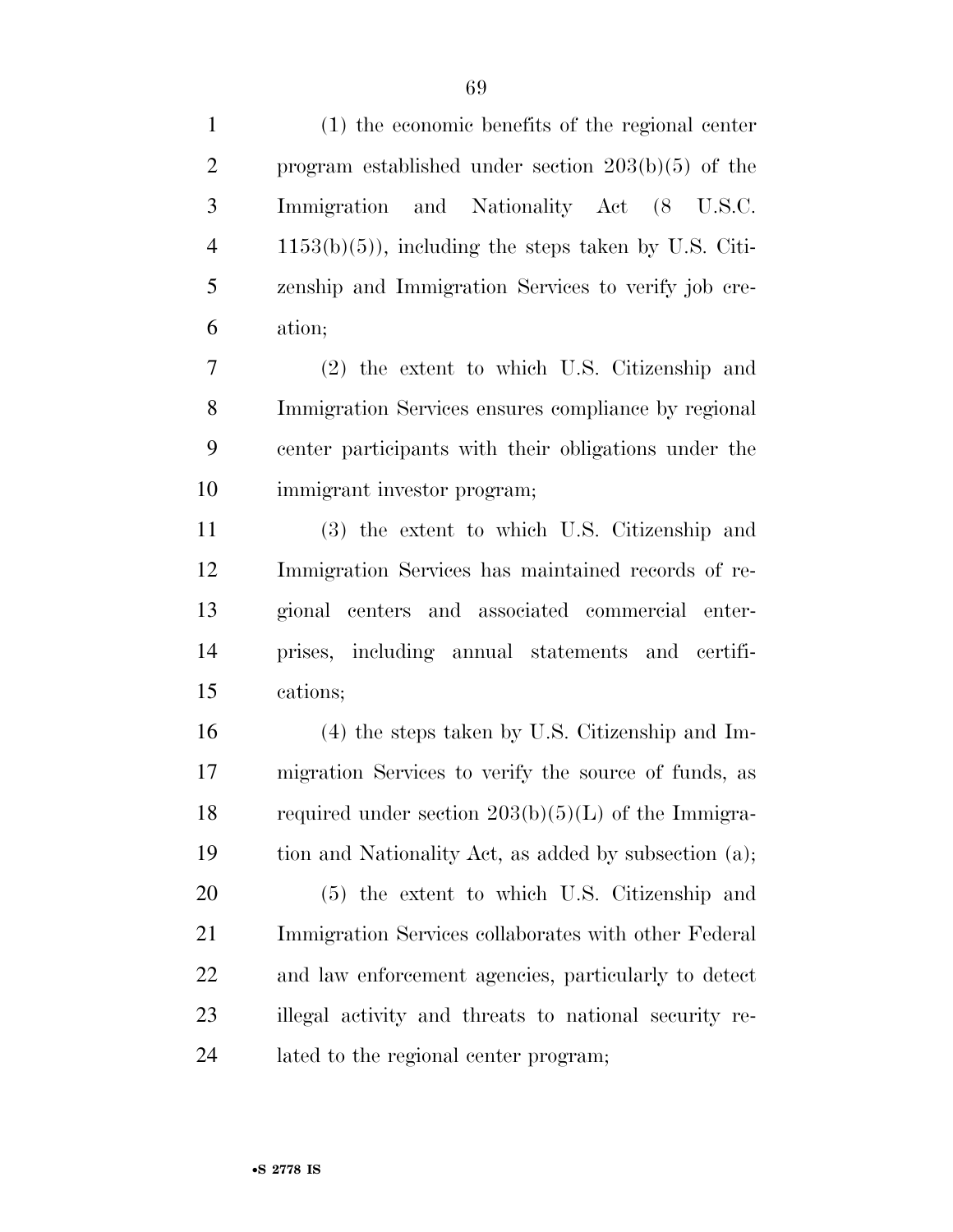(1) the economic benefits of the regional center program established under section 203(b)(5) of the Immigration and Nationality Act (8 U.S.C. 1153(b)(5)), including the steps taken by U.S. Citi- zenship and Immigration Services to verify job cre-ation;

 (2) the extent to which U.S. Citizenship and Immigration Services ensures compliance by regional center participants with their obligations under the immigrant investor program;

 (3) the extent to which U.S. Citizenship and Immigration Services has maintained records of re- gional centers and associated commercial enter- prises, including annual statements and certifi-cations;

 (4) the steps taken by U.S. Citizenship and Im- migration Services to verify the source of funds, as 18 required under section  $203(b)(5)(L)$  of the Immigra-tion and Nationality Act, as added by subsection (a);

 (5) the extent to which U.S. Citizenship and Immigration Services collaborates with other Federal and law enforcement agencies, particularly to detect illegal activity and threats to national security re-lated to the regional center program;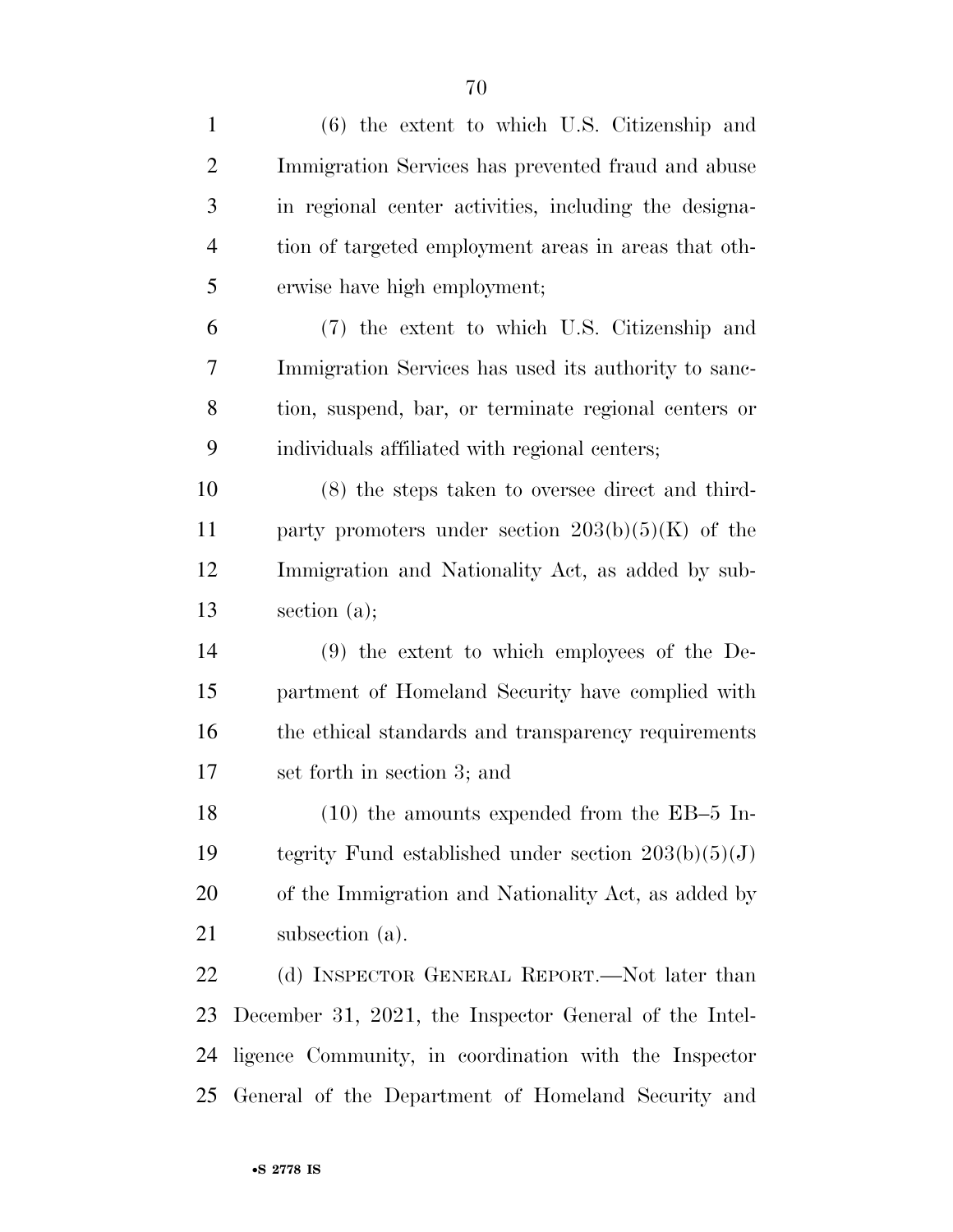| $\mathbf{1}$   | $(6)$ the extent to which U.S. Citizenship and         |
|----------------|--------------------------------------------------------|
| $\overline{2}$ | Immigration Services has prevented fraud and abuse     |
| 3              | in regional center activities, including the designa-  |
| $\overline{4}$ | tion of targeted employment areas in areas that oth-   |
| 5              | erwise have high employment;                           |
| 6              | (7) the extent to which U.S. Citizenship and           |
| 7              | Immigration Services has used its authority to sanc-   |
| 8              | tion, suspend, bar, or terminate regional centers or   |
| 9              | individuals affiliated with regional centers;          |
| 10             | (8) the steps taken to oversee direct and third-       |
| 11             | party promoters under section $203(b)(5)(K)$ of the    |
| 12             | Immigration and Nationality Act, as added by sub-      |
| 13             | section $(a)$ ;                                        |
| 14             | $(9)$ the extent to which employees of the De-         |
| 15             | partment of Homeland Security have complied with       |
| 16             | the ethical standards and transparency requirements    |
| 17             | set forth in section 3; and                            |
| 18             | $(10)$ the amounts expended from the EB-5 In-          |
| 19             | tegrity Fund established under section $203(b)(5)(J)$  |
| 20             | of the Immigration and Nationality Act, as added by    |
| 21             | subsection (a).                                        |
| 22             | (d) INSPECTOR GENERAL REPORT.—Not later than           |
| 23             | December 31, 2021, the Inspector General of the Intel- |
| 24             | ligence Community, in coordination with the Inspector  |
| 25             | General of the Department of Homeland Security and     |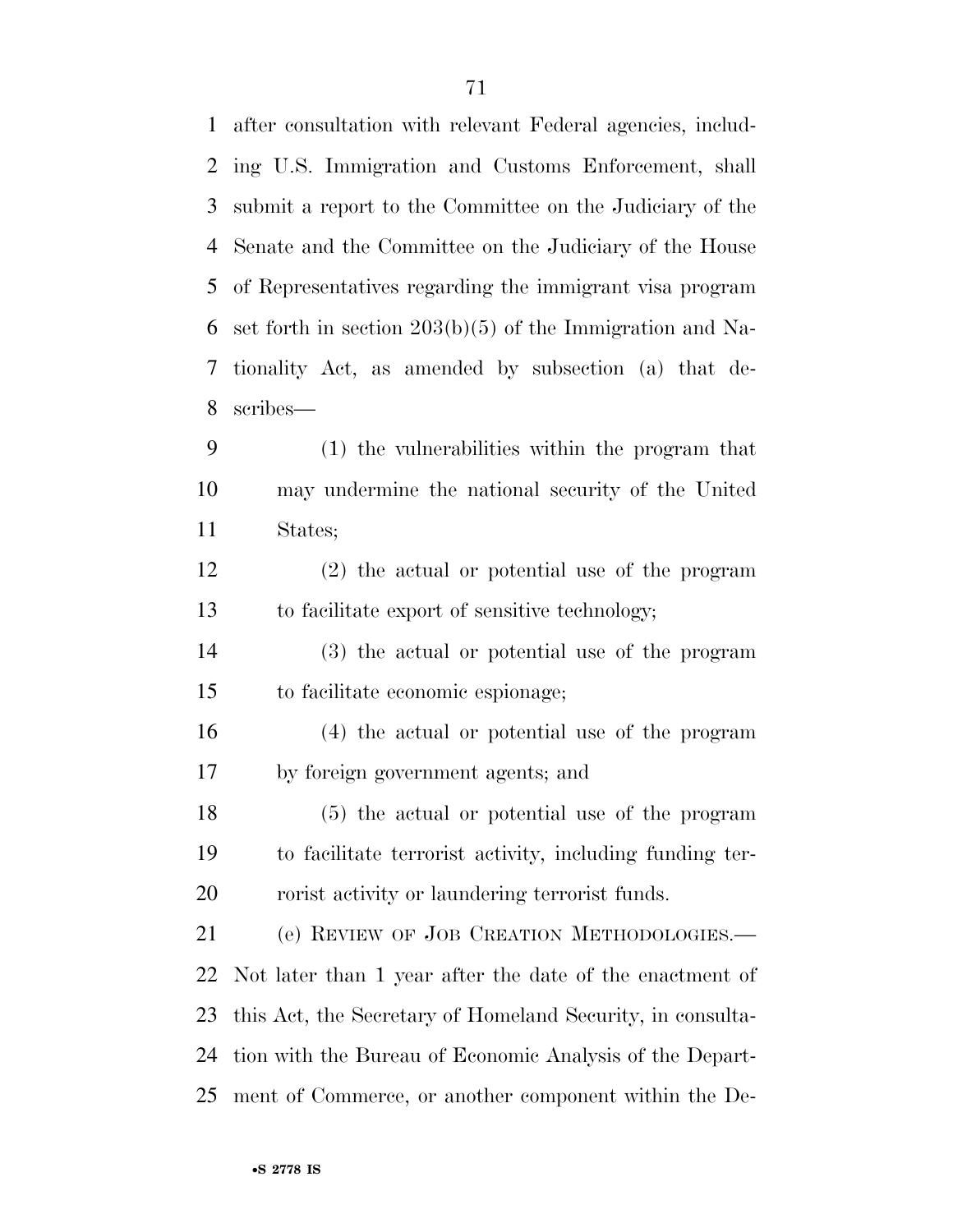| $\mathbf{1}$ | after consultation with relevant Federal agencies, includ-  |
|--------------|-------------------------------------------------------------|
| 2            | ing U.S. Immigration and Customs Enforcement, shall         |
| 3            | submit a report to the Committee on the Judiciary of the    |
| 4            | Senate and the Committee on the Judiciary of the House      |
| 5            | of Representatives regarding the immigrant visa program     |
| 6            | set forth in section $203(b)(5)$ of the Immigration and Na- |
| 7            | tionality Act, as amended by subsection (a) that de-        |
| 8            | scribes—                                                    |
| 9            | (1) the vulnerabilities within the program that             |
| 10           | may undermine the national security of the United           |
| 11           | States;                                                     |
| 12           | $(2)$ the actual or potential use of the program            |
| 13           | to facilitate export of sensitive technology;               |
| 14           | (3) the actual or potential use of the program              |
| 15           | to facilitate economic espionage;                           |
| 16           | (4) the actual or potential use of the program              |
| 17           | by foreign government agents; and                           |
| 18           | (5) the actual or potential use of the program              |
| 19           | to facilitate terrorist activity, including funding ter-    |
| 20           | rorist activity or laundering terrorist funds.              |
| 21           | (e) REVIEW OF JOB CREATION METHODOLOGIES.-                  |
| 22           | Not later than 1 year after the date of the enactment of    |
| 23           | this Act, the Secretary of Homeland Security, in consulta-  |
| 24           | tion with the Bureau of Economic Analysis of the Depart-    |
| 25           | ment of Commerce, or another component within the De-       |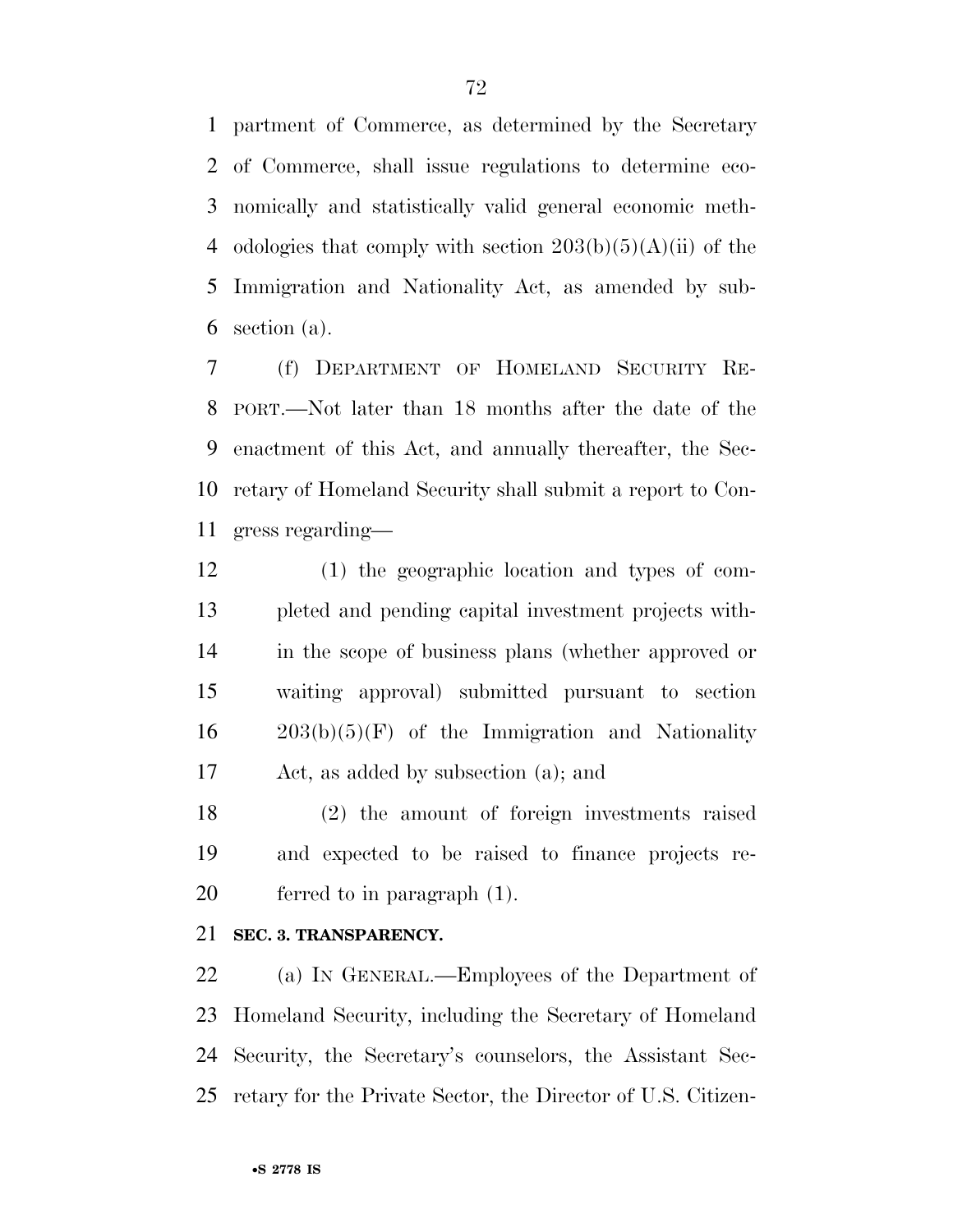partment of Commerce, as determined by the Secretary of Commerce, shall issue regulations to determine eco- nomically and statistically valid general economic meth-4 odologies that comply with section  $203(b)(5)(A)(ii)$  of the Immigration and Nationality Act, as amended by sub-section (a).

 (f) DEPARTMENT OF HOMELAND SECURITY RE- PORT.—Not later than 18 months after the date of the enactment of this Act, and annually thereafter, the Sec- retary of Homeland Security shall submit a report to Con-gress regarding—

 (1) the geographic location and types of com- pleted and pending capital investment projects with- in the scope of business plans (whether approved or waiting approval) submitted pursuant to section  $16 \qquad 203(b)(5)(F)$  of the Immigration and Nationality Act, as added by subsection (a); and

 (2) the amount of foreign investments raised and expected to be raised to finance projects re-ferred to in paragraph (1).

## **SEC. 3. TRANSPARENCY.**

 (a) IN GENERAL.—Employees of the Department of Homeland Security, including the Secretary of Homeland Security, the Secretary's counselors, the Assistant Sec-retary for the Private Sector, the Director of U.S. Citizen-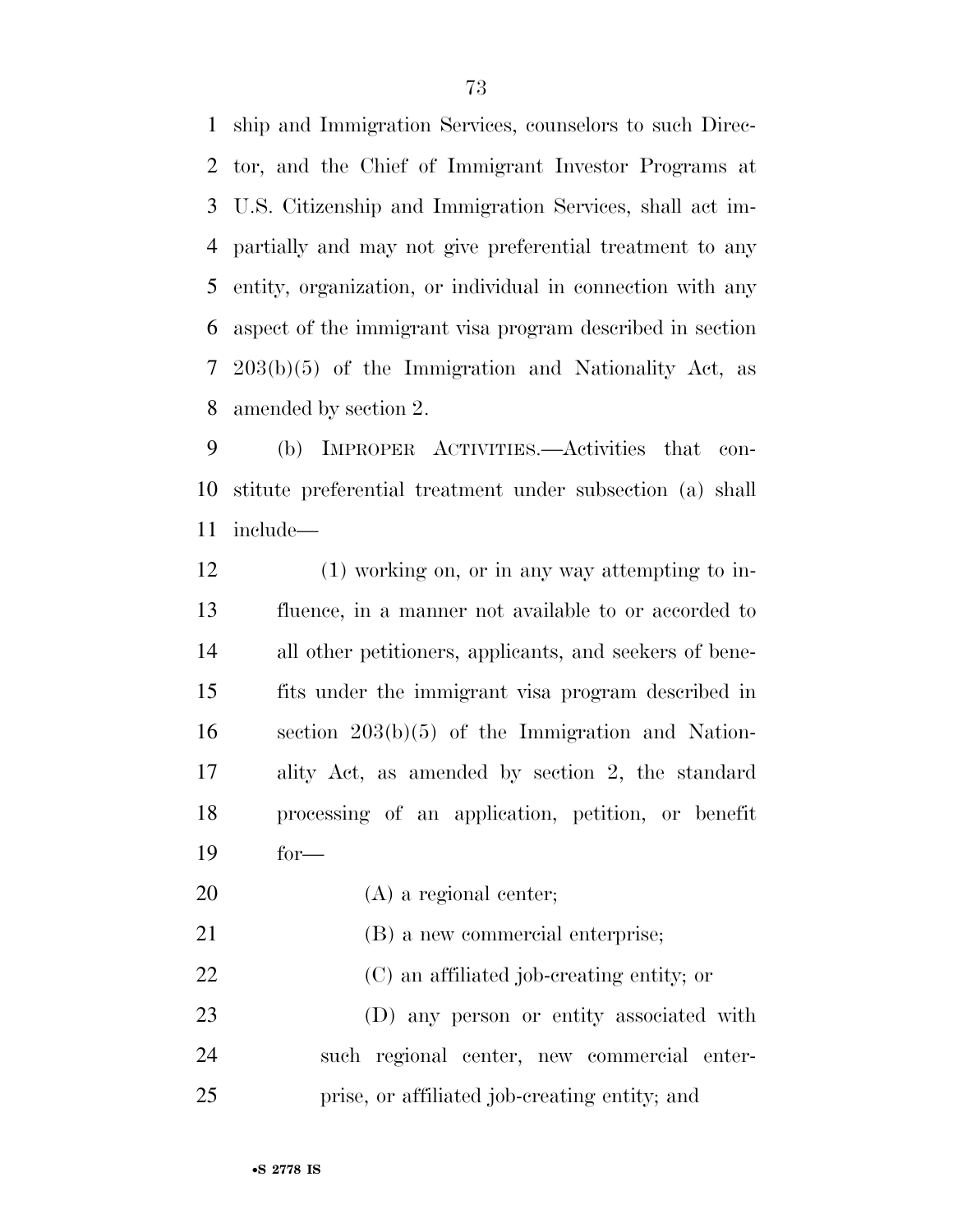ship and Immigration Services, counselors to such Direc- tor, and the Chief of Immigrant Investor Programs at U.S. Citizenship and Immigration Services, shall act im- partially and may not give preferential treatment to any entity, organization, or individual in connection with any aspect of the immigrant visa program described in section 203(b)(5) of the Immigration and Nationality Act, as amended by section 2.

 (b) IMPROPER ACTIVITIES.—Activities that con- stitute preferential treatment under subsection (a) shall include—

 (1) working on, or in any way attempting to in- fluence, in a manner not available to or accorded to all other petitioners, applicants, and seekers of bene- fits under the immigrant visa program described in section 203(b)(5) of the Immigration and Nation- ality Act, as amended by section 2, the standard processing of an application, petition, or benefit for—

(A) a regional center;

21 (B) a new commercial enterprise;

(C) an affiliated job-creating entity; or

 (D) any person or entity associated with such regional center, new commercial enter-prise, or affiliated job-creating entity; and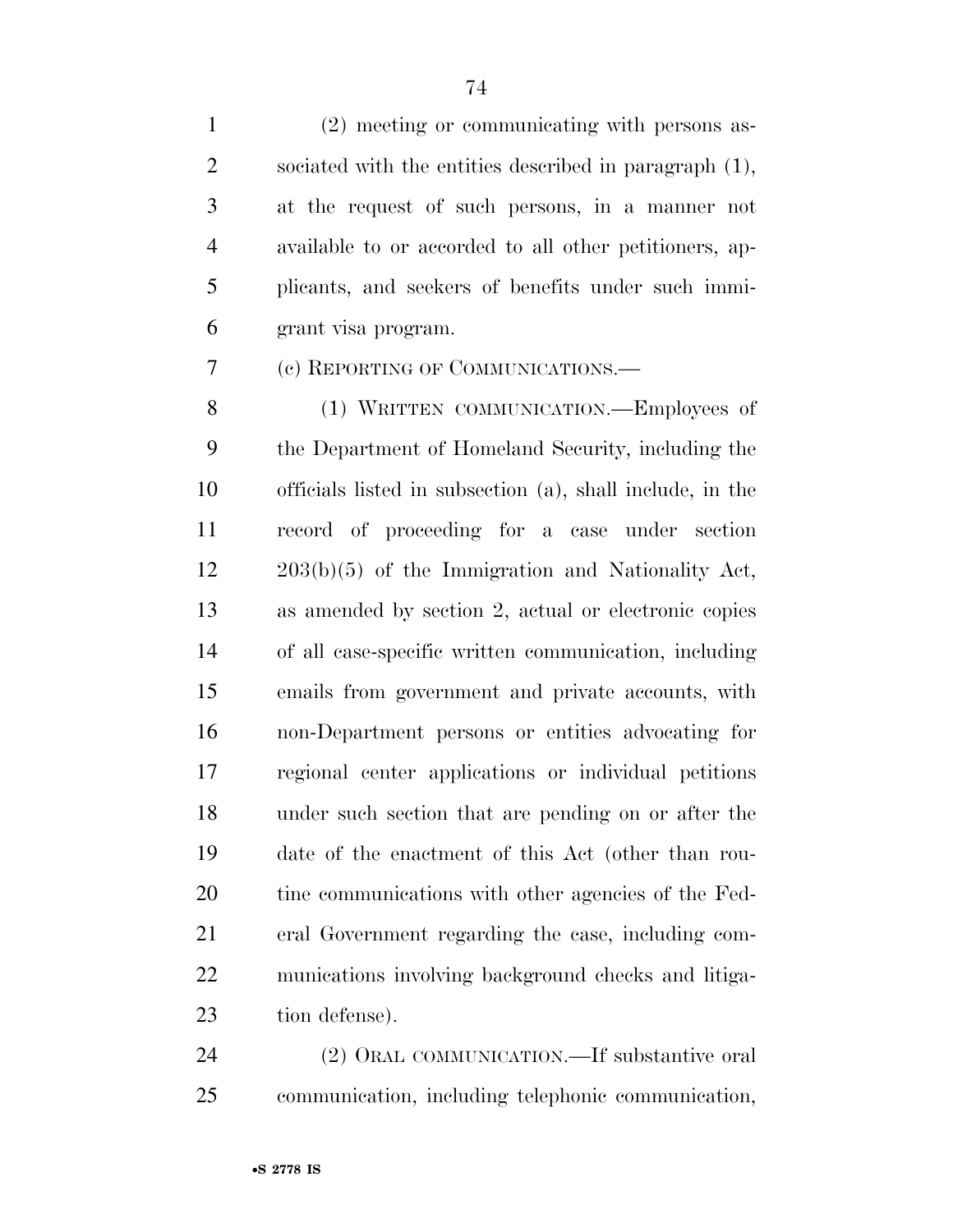(2) meeting or communicating with persons as- sociated with the entities described in paragraph (1), at the request of such persons, in a manner not available to or accorded to all other petitioners, ap- plicants, and seekers of benefits under such immi-grant visa program.

(c) REPORTING OF COMMUNICATIONS.—

8 (1) WRITTEN COMMUNICATION.—Employees of the Department of Homeland Security, including the officials listed in subsection (a), shall include, in the record of proceeding for a case under section 203(b)(5) of the Immigration and Nationality Act, as amended by section 2, actual or electronic copies of all case-specific written communication, including emails from government and private accounts, with non-Department persons or entities advocating for regional center applications or individual petitions under such section that are pending on or after the date of the enactment of this Act (other than rou-20 tine communications with other agencies of the Fed- eral Government regarding the case, including com- munications involving background checks and litiga-tion defense).

 (2) ORAL COMMUNICATION.—If substantive oral communication, including telephonic communication,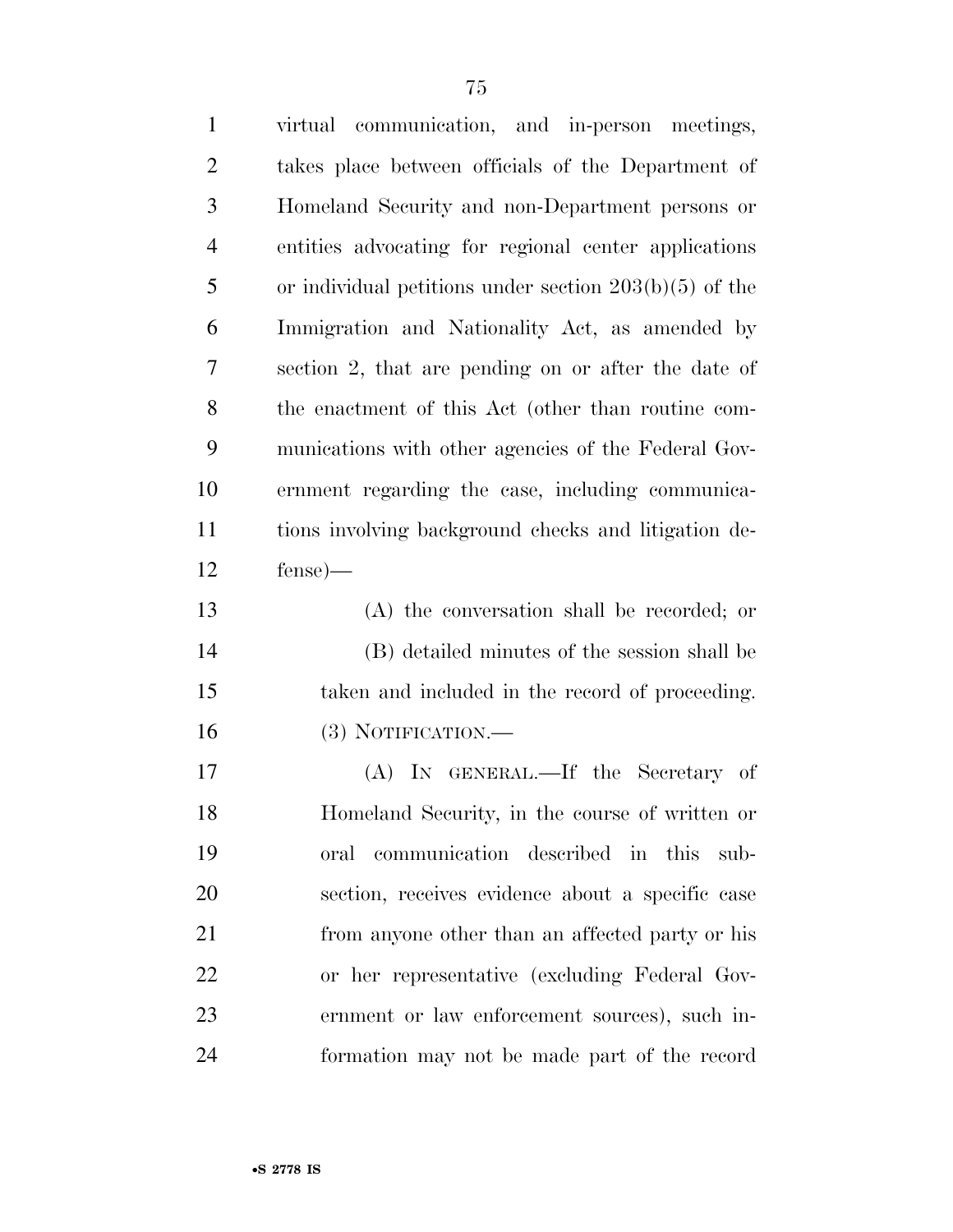| $\mathbf{1}$   | virtual communication, and in-person meetings,           |
|----------------|----------------------------------------------------------|
| $\overline{2}$ | takes place between officials of the Department of       |
| 3              | Homeland Security and non-Department persons or          |
| $\overline{4}$ | entities advocating for regional center applications     |
| 5              | or individual petitions under section $203(b)(5)$ of the |
| 6              | Immigration and Nationality Act, as amended by           |
| 7              | section 2, that are pending on or after the date of      |
| 8              | the enactment of this Act (other than routine com-       |
| 9              | munications with other agencies of the Federal Gov-      |
| 10             | ernment regarding the case, including communica-         |
| 11             | tions involving background checks and litigation de-     |
| 12             | $fense$ )—                                               |
| 13             | (A) the conversation shall be recorded; or               |
| 14             | (B) detailed minutes of the session shall be             |
| 15             | taken and included in the record of proceeding.          |
| 16             | (3) NOTIFICATION.—                                       |
| 17             | (A) IN GENERAL.—If the Secretary of                      |
| 18             | Homeland Security, in the course of written or           |
| 19             | oral communication described in this sub-                |
| 20             | section, receives evidence about a specific case         |
| 21             | from anyone other than an affected party or his          |
| 22             | or her representative (excluding Federal Gov-            |
| 23             | ernment or law enforcement sources), such in-            |
| 24             | formation may not be made part of the record             |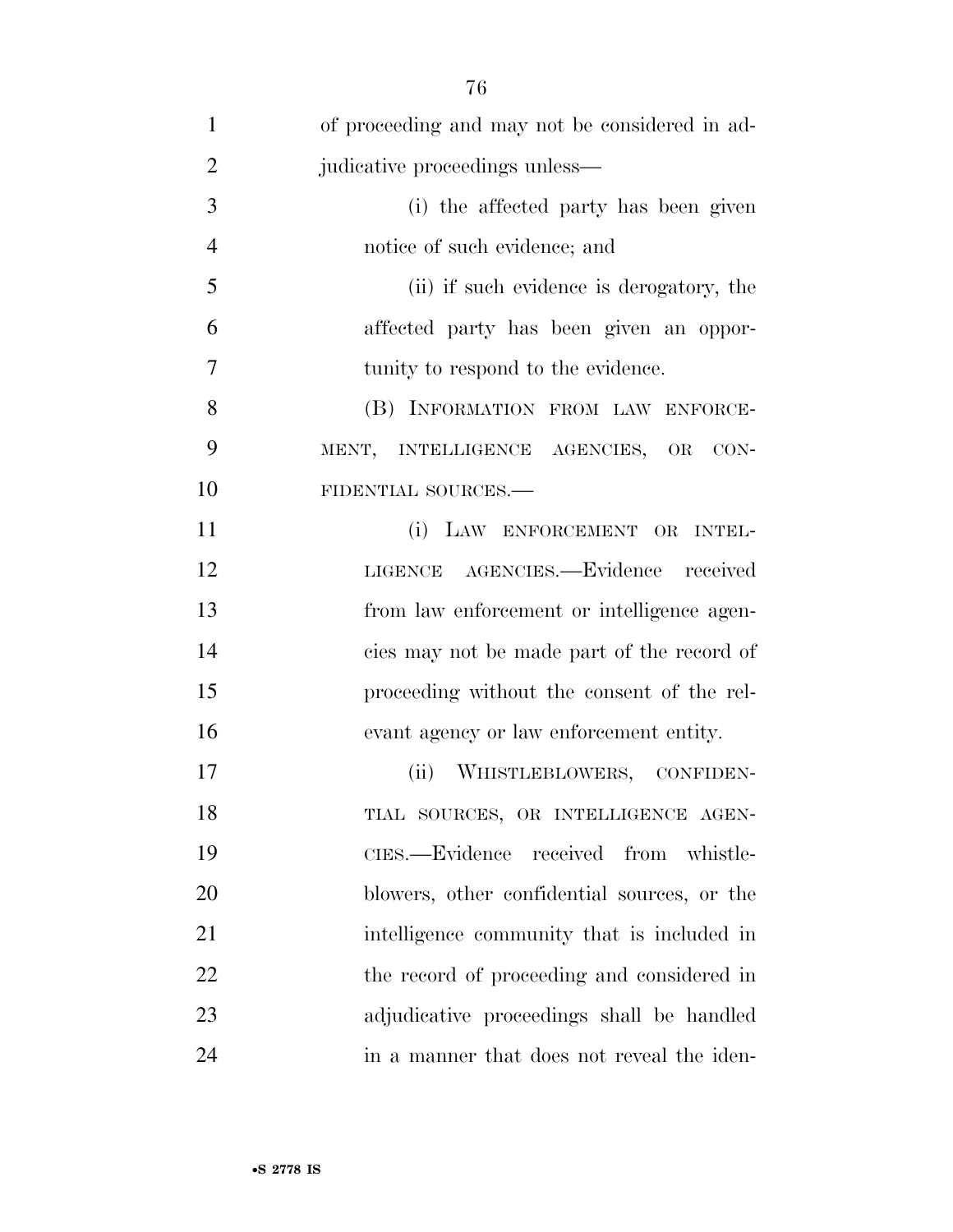| $\mathbf{1}$   | of proceeding and may not be considered in ad- |
|----------------|------------------------------------------------|
| $\overline{2}$ | judicative proceedings unless—                 |
| 3              | (i) the affected party has been given          |
| $\overline{4}$ | notice of such evidence; and                   |
| 5              | (ii) if such evidence is derogatory, the       |
| 6              | affected party has been given an oppor-        |
| 7              | tunity to respond to the evidence.             |
| 8              | (B) INFORMATION FROM LAW ENFORCE-              |
| 9              | MENT, INTELLIGENCE AGENCIES, OR<br>CON-        |
| 10             | FIDENTIAL SOURCES.-                            |
| 11             | (i) LAW ENFORCEMENT OR INTEL-                  |
| 12             | LIGENCE AGENCIES.-Evidence received            |
| 13             | from law enforcement or intelligence agen-     |
| 14             | cies may not be made part of the record of     |
| 15             | proceeding without the consent of the rel-     |
| 16             | evant agency or law enforcement entity.        |
| 17             | (ii)<br>WHISTLEBLOWERS, CONFIDEN-              |
| 18             | TIAL SOURCES, OR INTELLIGENCE AGEN-            |
| 19             | CIES.—Evidence received from whistle-          |
| 20             | blowers, other confidential sources, or the    |
| 21             | intelligence community that is included in     |
| 22             | the record of proceeding and considered in     |
| 23             | adjudicative proceedings shall be handled      |
| 24             | in a manner that does not reveal the iden-     |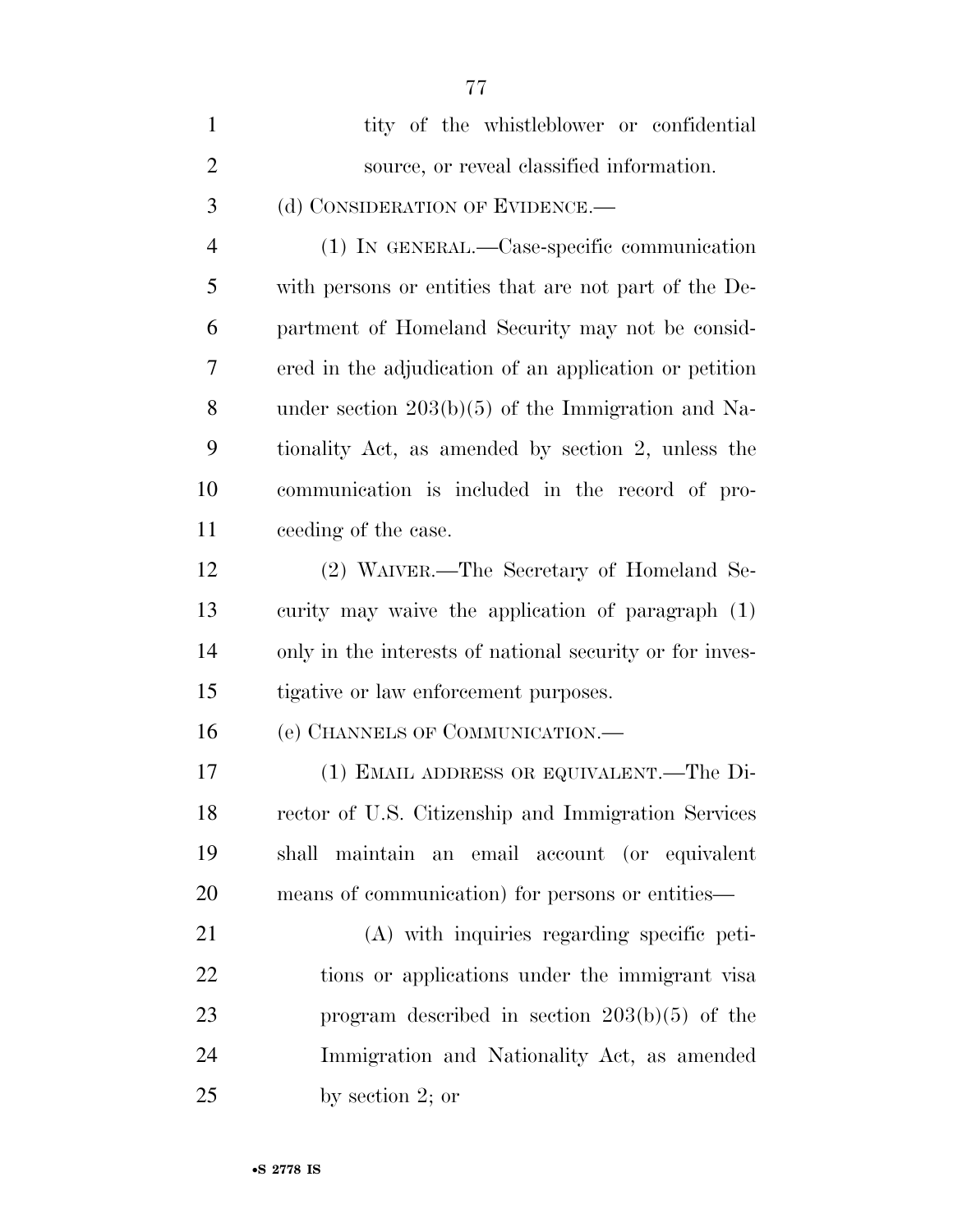| $\mathbf{1}$   | tity of the whistleblower or confidential                |
|----------------|----------------------------------------------------------|
| $\overline{2}$ | source, or reveal classified information.                |
| 3              | (d) CONSIDERATION OF EVIDENCE.—                          |
| $\overline{4}$ | (1) IN GENERAL.—Case-specific communication              |
| 5              | with persons or entities that are not part of the De-    |
| 6              | partment of Homeland Security may not be consid-         |
| 7              | ered in the adjudication of an application or petition   |
| 8              | under section $203(b)(5)$ of the Immigration and Na-     |
| 9              | tionality Act, as amended by section 2, unless the       |
| 10             | communication is included in the record of pro-          |
| 11             | ceeding of the case.                                     |
| 12             | (2) WAIVER.—The Secretary of Homeland Se-                |
| 13             | curity may waive the application of paragraph (1)        |
| 14             | only in the interests of national security or for inves- |
| 15             | tigative or law enforcement purposes.                    |
| 16             | (e) CHANNELS OF COMMUNICATION.—                          |
| 17             | (1) EMAIL ADDRESS OR EQUIVALENT.—The Di-                 |
| 18             | rector of U.S. Citizenship and Immigration Services      |
| 19             | shall maintain an email account (or equivalent           |
| 20             | means of communication) for persons or entities—         |
| 21             | (A) with inquiries regarding specific peti-              |
| 22             | tions or applications under the immigrant visa           |
| 23             | program described in section $203(b)(5)$ of the          |
| 24             | Immigration and Nationality Act, as amended              |
| 25             | by section $2$ ; or                                      |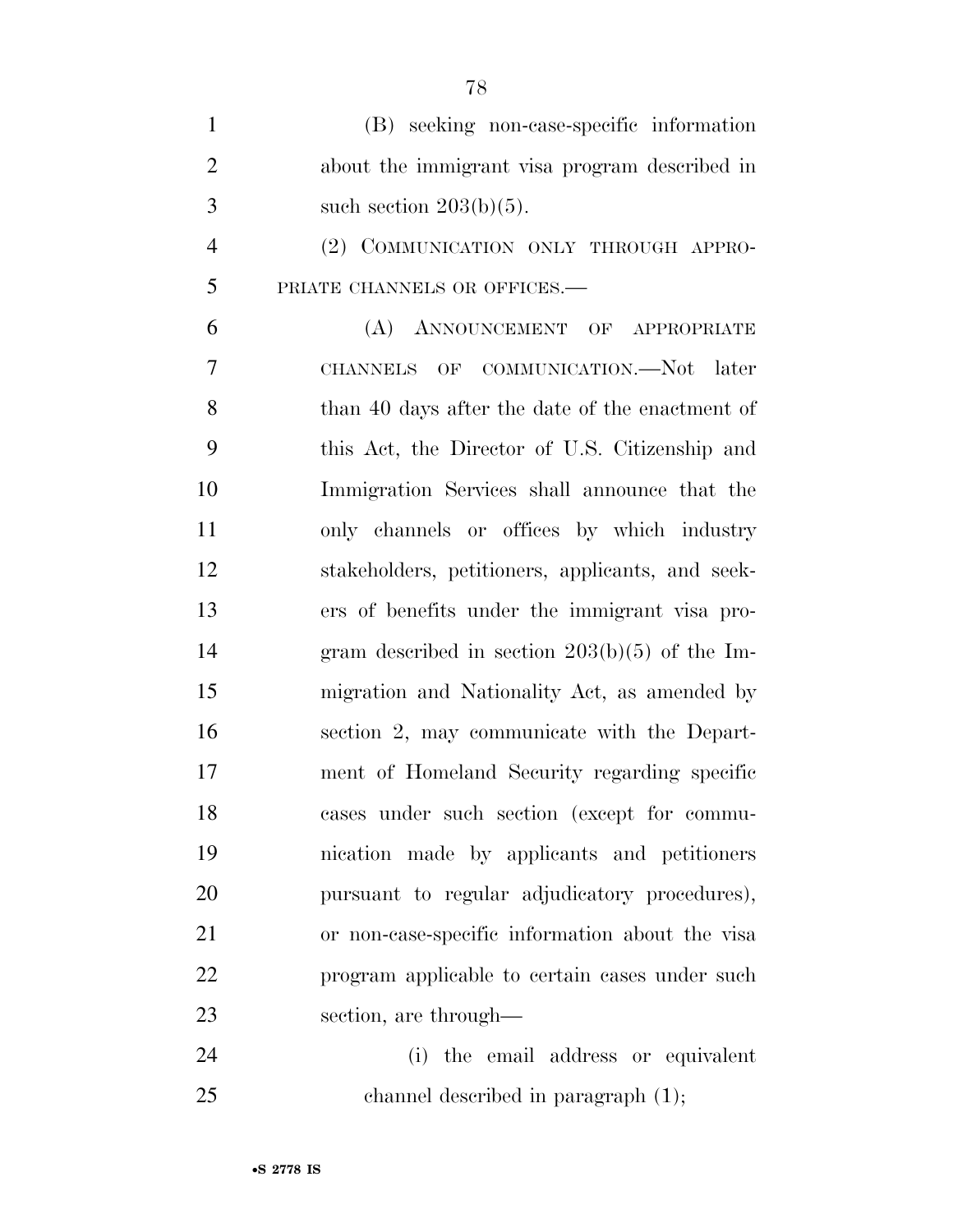(B) seeking non-case-specific information about the immigrant visa program described in 3 such section  $203(b)(5)$ . (2) COMMUNICATION ONLY THROUGH APPRO- PRIATE CHANNELS OR OFFICES.— (A) ANNOUNCEMENT OF APPROPRIATE CHANNELS OF COMMUNICATION.—Not later 8 than 40 days after the date of the enactment of this Act, the Director of U.S. Citizenship and Immigration Services shall announce that the only channels or offices by which industry stakeholders, petitioners, applicants, and seek- ers of benefits under the immigrant visa pro- gram described in section 203(b)(5) of the Im- migration and Nationality Act, as amended by section 2, may communicate with the Depart- ment of Homeland Security regarding specific cases under such section (except for commu- nication made by applicants and petitioners pursuant to regular adjudicatory procedures), or non-case-specific information about the visa program applicable to certain cases under such section, are through—

 (i) the email address or equivalent channel described in paragraph (1);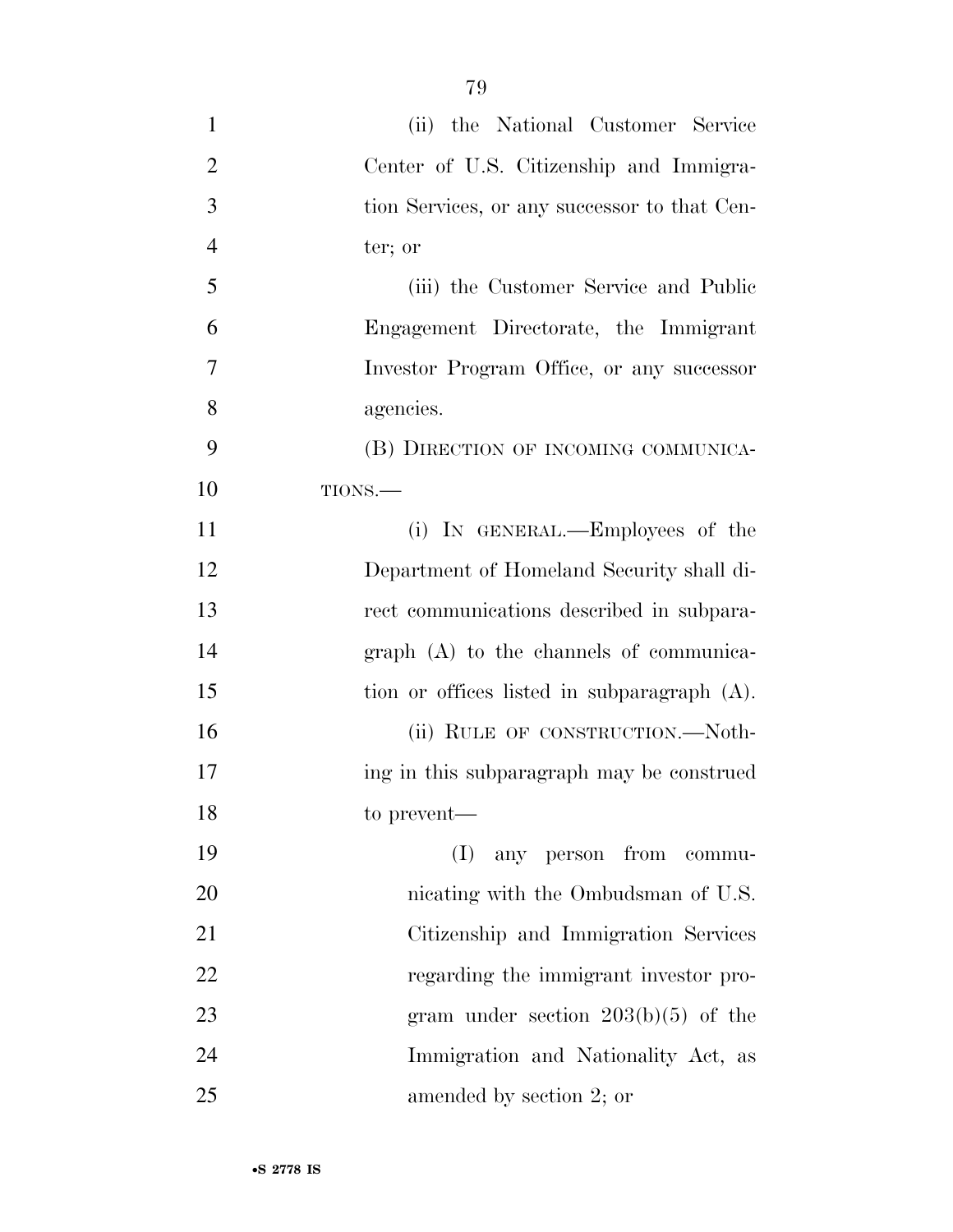(ii) the National Customer Service Center of U.S. Citizenship and Immigra- tion Services, or any successor to that Cen- ter; or (iii) the Customer Service and Public Engagement Directorate, the Immigrant Investor Program Office, or any successor agencies. (B) DIRECTION OF INCOMING COMMUNICA- TIONS.— 11 (i) IN GENERAL.—Employees of the Department of Homeland Security shall di- rect communications described in subpara- graph (A) to the channels of communica-15 tion or offices listed in subparagraph (A). 16 (ii) RULE OF CONSTRUCTION.—Noth-17 ing in this subparagraph may be construed to prevent— (I) any person from commu-20 nicating with the Ombudsman of U.S. Citizenship and Immigration Services 22 regarding the immigrant investor pro-23 gram under section 203(b)(5) of the Immigration and Nationality Act, as amended by section 2; or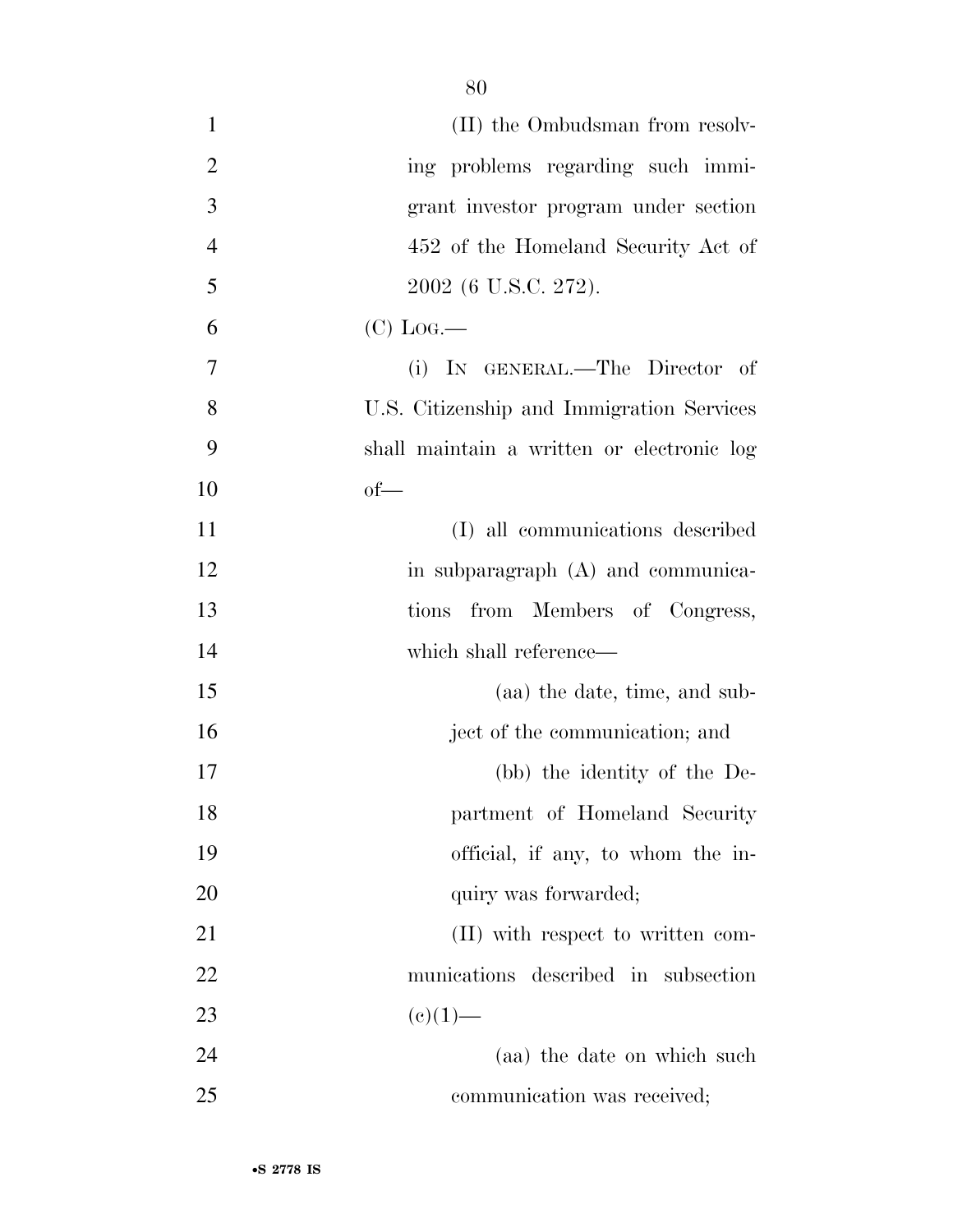| (II) the Ombudsman from resolv-            |
|--------------------------------------------|
| ing problems regarding such immi-          |
| grant investor program under section       |
| 452 of the Homeland Security Act of        |
| 2002 (6 U.S.C. 272).                       |
| $(C)$ Log.—                                |
| (i) IN GENERAL.—The Director of            |
| U.S. Citizenship and Immigration Services  |
| shall maintain a written or electronic log |
| $of$ —                                     |
| (I) all communications described           |
| in subparagraph (A) and communica-         |
| from Members of Congress,<br>tions         |
| which shall reference—                     |
| (aa) the date, time, and sub-              |
| ject of the communication; and             |
| (bb) the identity of the De-               |
| partment of Homeland Security              |
| official, if any, to whom the in-          |
| quiry was forwarded;                       |
| (II) with respect to written com-          |
| munications described in subsection        |
| $(e)(1)$ —                                 |
| (aa) the date on which such                |
| communication was received;                |
|                                            |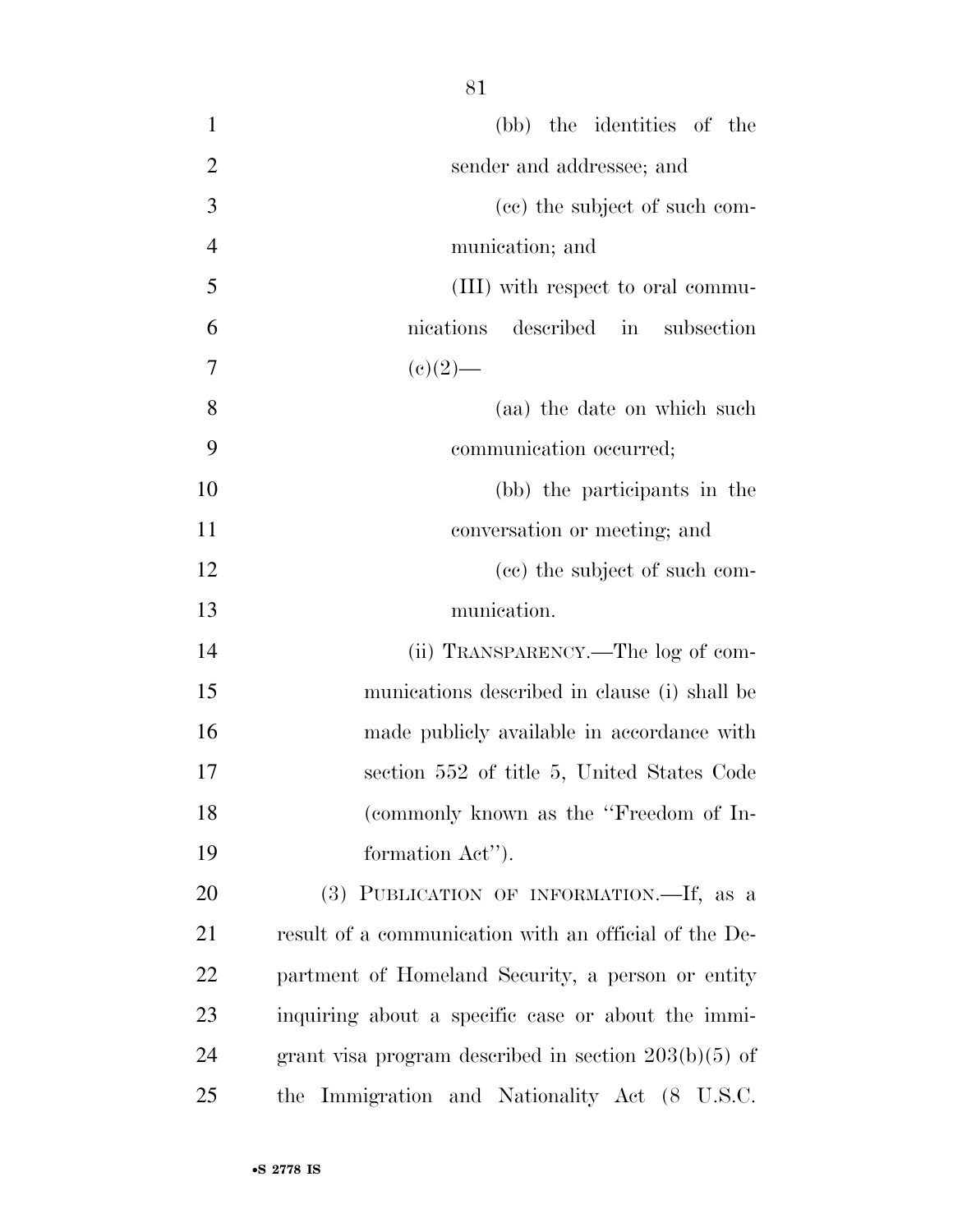| $\mathbf{1}$   | (bb) the identities of the                             |
|----------------|--------------------------------------------------------|
| $\overline{2}$ | sender and addressee; and                              |
| 3              | (ce) the subject of such com-                          |
| $\overline{4}$ | munication; and                                        |
| 5              | (III) with respect to oral commu-                      |
| 6              | described in subsection<br>nications                   |
| 7              | $(e)(2)$ —                                             |
| 8              | (aa) the date on which such                            |
| 9              | communication occurred;                                |
| 10             | (bb) the participants in the                           |
| 11             | conversation or meeting; and                           |
| 12             | (cc) the subject of such com-                          |
| 13             | munication.                                            |
| 14             | (ii) TRANSPARENCY.—The log of com-                     |
| 15             | munications described in clause (i) shall be           |
| 16             | made publicly available in accordance with             |
| 17             | section 552 of title 5, United States Code             |
| 18             | (commonly known as the "Freedom of In-                 |
| 19             | formation Act").                                       |
| 20             | (3) PUBLICATION OF INFORMATION.—If, as a               |
| 21             | result of a communication with an official of the De-  |
| 22             | partment of Homeland Security, a person or entity      |
| 23             | inquiring about a specific case or about the immi-     |
| 24             | grant visa program described in section $203(b)(5)$ of |
| 25             | the Immigration and Nationality Act (8 U.S.C.          |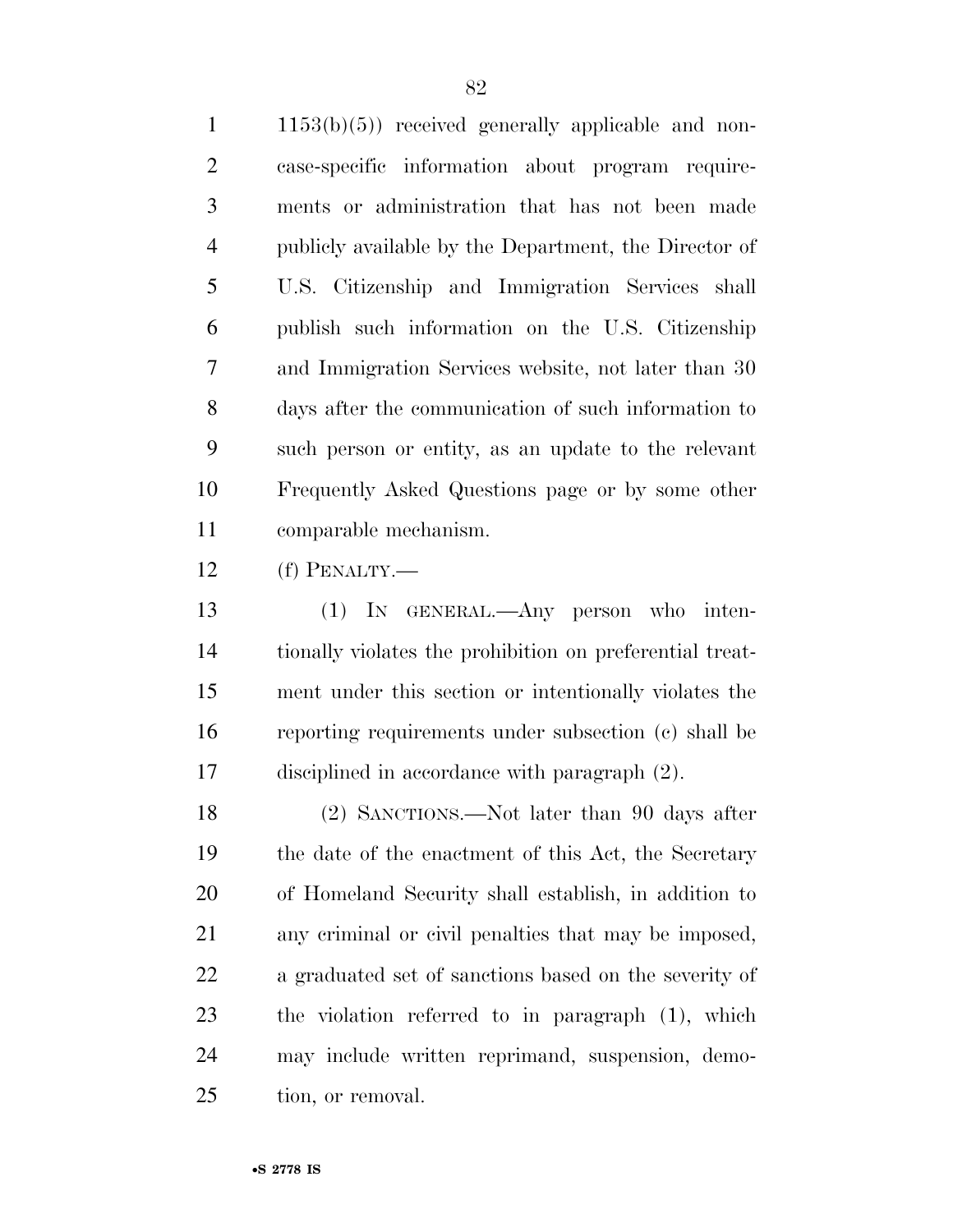$1 \quad 1153(b)(5)$  received generally applicable and non- case-specific information about program require- ments or administration that has not been made publicly available by the Department, the Director of U.S. Citizenship and Immigration Services shall publish such information on the U.S. Citizenship and Immigration Services website, not later than 30 days after the communication of such information to such person or entity, as an update to the relevant Frequently Asked Questions page or by some other comparable mechanism.

(f) PENALTY.—

 (1) IN GENERAL.—Any person who inten- tionally violates the prohibition on preferential treat- ment under this section or intentionally violates the reporting requirements under subsection (c) shall be disciplined in accordance with paragraph (2).

 (2) SANCTIONS.—Not later than 90 days after the date of the enactment of this Act, the Secretary of Homeland Security shall establish, in addition to any criminal or civil penalties that may be imposed, a graduated set of sanctions based on the severity of the violation referred to in paragraph (1), which may include written reprimand, suspension, demo-tion, or removal.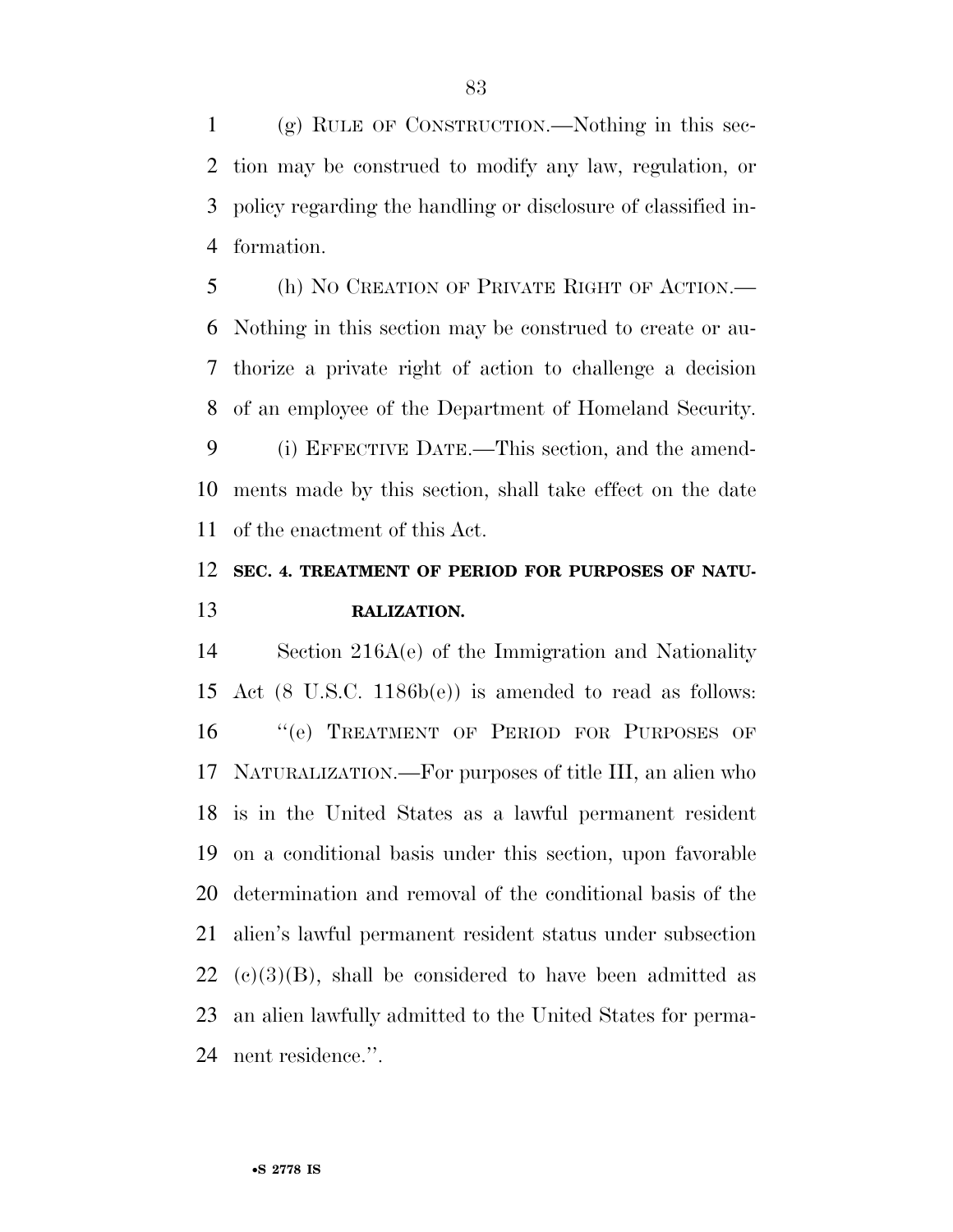(g) RULE OF CONSTRUCTION.—Nothing in this sec- tion may be construed to modify any law, regulation, or policy regarding the handling or disclosure of classified in-formation.

 (h) NO CREATION OF PRIVATE RIGHT OF ACTION.— Nothing in this section may be construed to create or au- thorize a private right of action to challenge a decision of an employee of the Department of Homeland Security.

 (i) EFFECTIVE DATE.—This section, and the amend- ments made by this section, shall take effect on the date of the enactment of this Act.

## **SEC. 4. TREATMENT OF PERIOD FOR PURPOSES OF NATU-RALIZATION.**

 Section 216A(e) of the Immigration and Nationality Act (8 U.S.C. 1186b(e)) is amended to read as follows: 16 "(e) TREATMENT OF PERIOD FOR PURPOSES OF NATURALIZATION.—For purposes of title III, an alien who is in the United States as a lawful permanent resident on a conditional basis under this section, upon favorable determination and removal of the conditional basis of the alien's lawful permanent resident status under subsection  $22 \text{ (c)}(3)(B)$ , shall be considered to have been admitted as an alien lawfully admitted to the United States for perma-nent residence.''.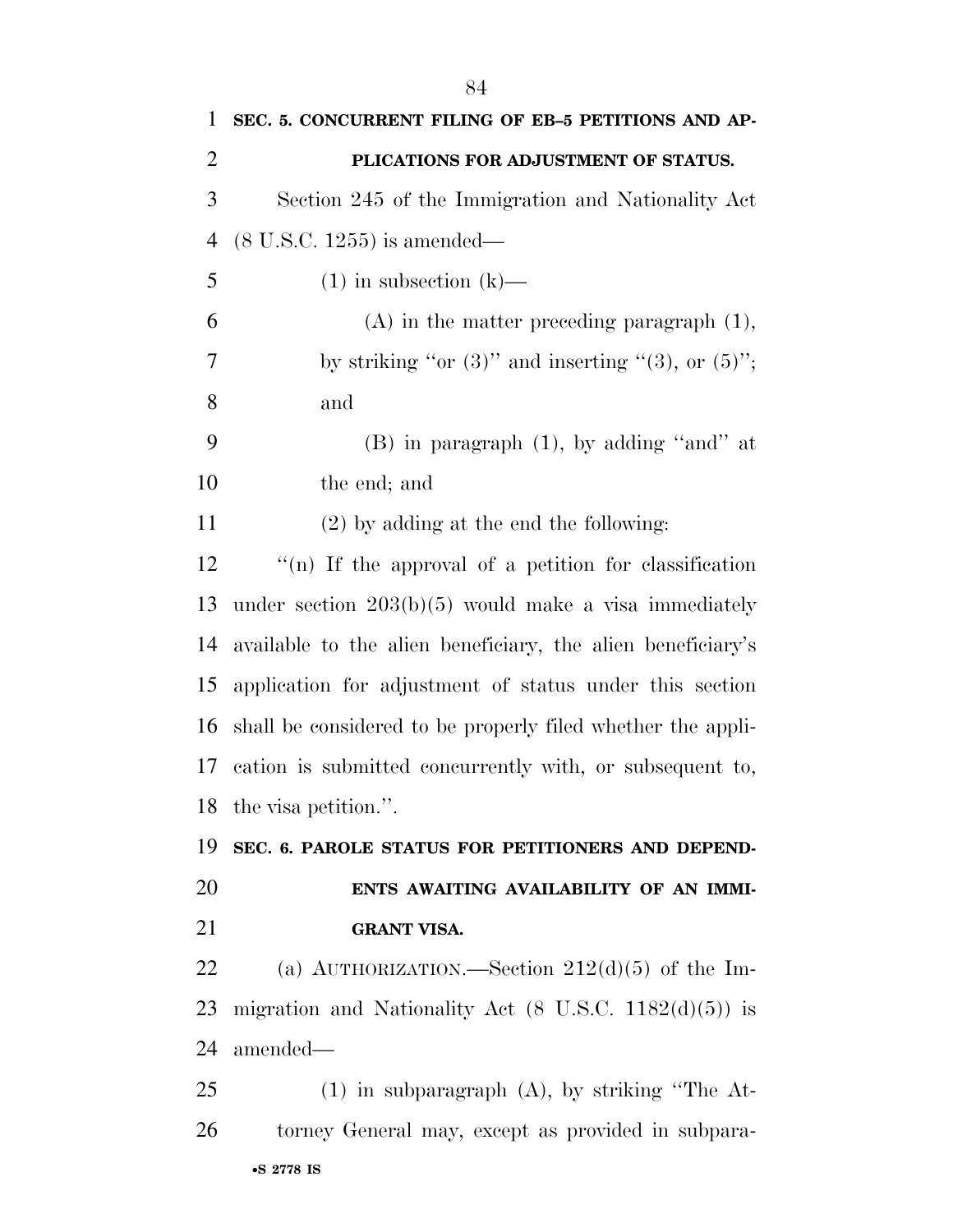| $\mathbf{1}$   | SEC. 5. CONCURRENT FILING OF EB-5 PETITIONS AND AP-               |
|----------------|-------------------------------------------------------------------|
| $\overline{2}$ | PLICATIONS FOR ADJUSTMENT OF STATUS.                              |
| 3              | Section 245 of the Immigration and Nationality Act                |
| $\overline{4}$ | $(8 \text{ U.S.C. } 1255)$ is amended—                            |
| 5              | $(1)$ in subsection $(k)$ —                                       |
| 6              | $(A)$ in the matter preceding paragraph $(1)$ ,                   |
| 7              | by striking "or $(3)$ " and inserting " $(3)$ , or $(5)$ ";       |
| 8              | and                                                               |
| 9              | $(B)$ in paragraph $(1)$ , by adding "and" at                     |
| 10             | the end; and                                                      |
| 11             | $(2)$ by adding at the end the following:                         |
| 12             | "(n) If the approval of a petition for classification             |
| 13             | under section $203(b)(5)$ would make a visa immediately           |
| 14             | available to the alien beneficiary, the alien beneficiary's       |
| 15             | application for adjustment of status under this section           |
| 16             | shall be considered to be properly filed whether the appli-       |
| 17             | cation is submitted concurrently with, or subsequent to,          |
|                | 18 the visa petition.".                                           |
| 19             | SEC. 6. PAROLE STATUS FOR PETITIONERS AND DEPEND-                 |
| 20             | ENTS AWAITING AVAILABILITY OF AN IMMI-                            |
| 21             | <b>GRANT VISA.</b>                                                |
| 22             | (a) AUTHORIZATION.—Section $212(d)(5)$ of the Im-                 |
| 23             | migration and Nationality Act $(8 \text{ U.S.C. } 1182(d)(5))$ is |
| 24             | amended—                                                          |
| 25             | $(1)$ in subparagraph $(A)$ , by striking "The At-                |
| 26             | torney General may, except as provided in subpara-                |
|                | •S 2778 IS                                                        |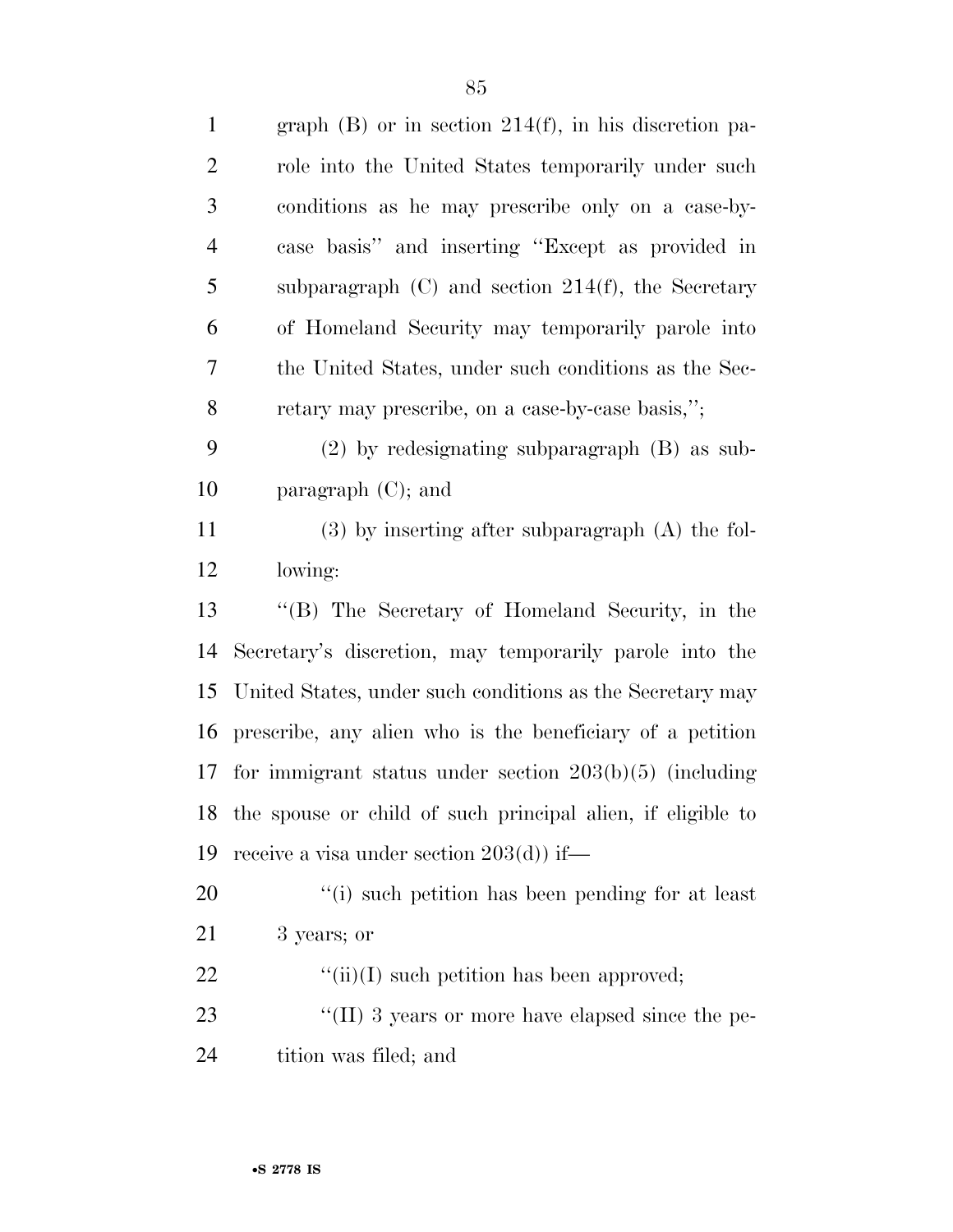| $\mathbf{1}$   | graph $(B)$ or in section 214 $(f)$ , in his discretion pa-    |
|----------------|----------------------------------------------------------------|
| $\overline{2}$ | role into the United States temporarily under such             |
| 3              | conditions as he may prescribe only on a case-by-              |
| $\overline{4}$ | case basis" and inserting "Except as provided in               |
| 5              | subparagraph $(C)$ and section $214(f)$ , the Secretary        |
| 6              | of Homeland Security may temporarily parole into               |
| 7              | the United States, under such conditions as the Sec-           |
| $8\,$          | retary may prescribe, on a case-by-case basis,";               |
| 9              | $(2)$ by redesignating subparagraph $(B)$ as sub-              |
| 10             | paragraph $(C)$ ; and                                          |
| 11             | $(3)$ by inserting after subparagraph $(A)$ the fol-           |
| 12             | lowing:                                                        |
| 13             | "(B) The Secretary of Homeland Security, in the                |
| 14             | Secretary's discretion, may temporarily parole into the        |
| 15             | United States, under such conditions as the Secretary may      |
| 16             | prescribe, any alien who is the beneficiary of a petition      |
| 17             | for immigrant status under section $203(b)(5)$ (including      |
|                | 18 the spouse or child of such principal alien, if eligible to |
| 19             | receive a visa under section $203(d)$ if—                      |
| 20             | "(i) such petition has been pending for at least               |
| 21             | 3 years; or                                                    |
| 22             | $\lq\lq$ (ii)(I) such petition has been approved;              |
| 23             | "(II) 3 years or more have elapsed since the pe-               |
| 24             | tition was filed; and                                          |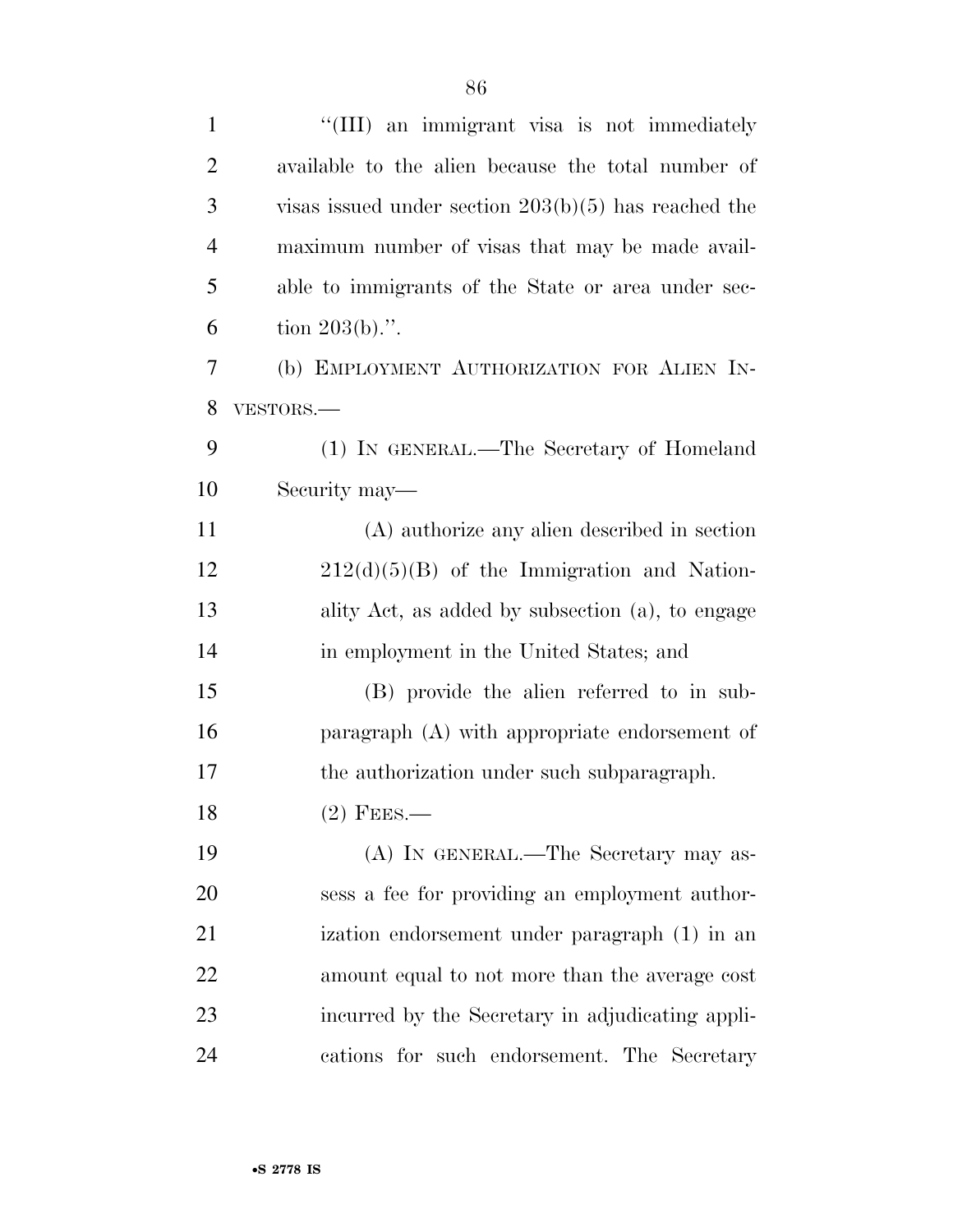| $\mathbf{1}$   | "(III) an immigrant visa is not immediately            |
|----------------|--------------------------------------------------------|
| $\overline{2}$ | available to the alien because the total number of     |
| 3              | visas issued under section $203(b)(5)$ has reached the |
| $\overline{4}$ | maximum number of visas that may be made avail-        |
| 5              | able to immigrants of the State or area under sec-     |
| 6              | tion $203(b)$ .".                                      |
| 7              | (b) EMPLOYMENT AUTHORIZATION FOR ALIEN IN-             |
| 8              | VESTORS.-                                              |
| 9              | (1) IN GENERAL.—The Secretary of Homeland              |
| 10             | Security may—                                          |
| 11             | (A) authorize any alien described in section           |
| 12             | $212(d)(5)(B)$ of the Immigration and Nation-          |
| 13             | ality Act, as added by subsection (a), to engage       |
| 14             | in employment in the United States; and                |
| 15             | (B) provide the alien referred to in sub-              |
| 16             | paragraph (A) with appropriate endorsement of          |
| 17             | the authorization under such subparagraph.             |
| 18             | $(2)$ FEES.-                                           |
| 19             | (A) IN GENERAL.—The Secretary may as-                  |
| 20             | sess a fee for providing an employment author-         |
| 21             | ization endorsement under paragraph (1) in an          |
| 22             | amount equal to not more than the average cost         |
| 23             | incurred by the Secretary in adjudicating appli-       |
| 24             | cations for such endorsement. The Secretary            |